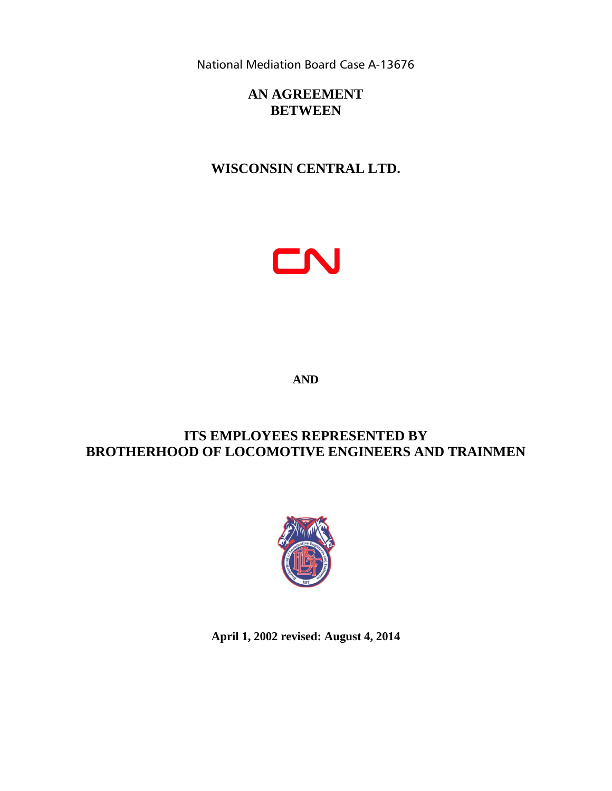National Mediation Board Case A-13676

# **AN AGREEMENT BETWEEN**

# **WISCONSIN CENTRAL LTD.**



**AND**

# **ITS EMPLOYEES REPRESENTED BY BROTHERHOOD OF LOCOMOTIVE ENGINEERS AND TRAINMEN**



**April 1, 2002 revised: August 4, 2014**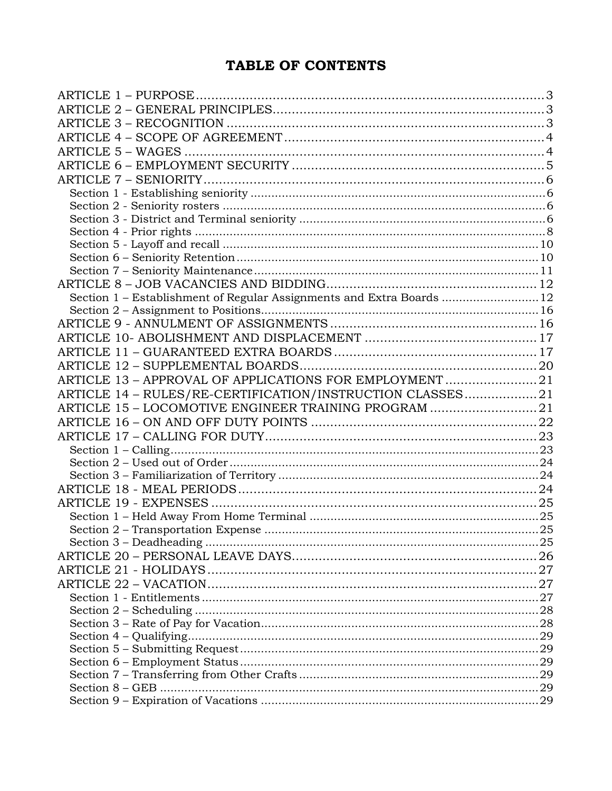# TABLE OF CONTENTS

| Section 1 - Establishment of Regular Assignments and Extra Boards  12 |  |
|-----------------------------------------------------------------------|--|
|                                                                       |  |
|                                                                       |  |
|                                                                       |  |
|                                                                       |  |
|                                                                       |  |
| ARTICLE 13 - APPROVAL OF APPLICATIONS FOR EMPLOYMENT21                |  |
| ARTICLE 14 - RULES/RE-CERTIFICATION/INSTRUCTION CLASSES21             |  |
| ARTICLE 15 - LOCOMOTIVE ENGINEER TRAINING PROGRAM 21                  |  |
|                                                                       |  |
|                                                                       |  |
|                                                                       |  |
|                                                                       |  |
|                                                                       |  |
|                                                                       |  |
|                                                                       |  |
|                                                                       |  |
|                                                                       |  |
|                                                                       |  |
|                                                                       |  |
|                                                                       |  |
|                                                                       |  |
|                                                                       |  |
|                                                                       |  |
|                                                                       |  |
|                                                                       |  |
|                                                                       |  |
|                                                                       |  |
|                                                                       |  |
|                                                                       |  |
|                                                                       |  |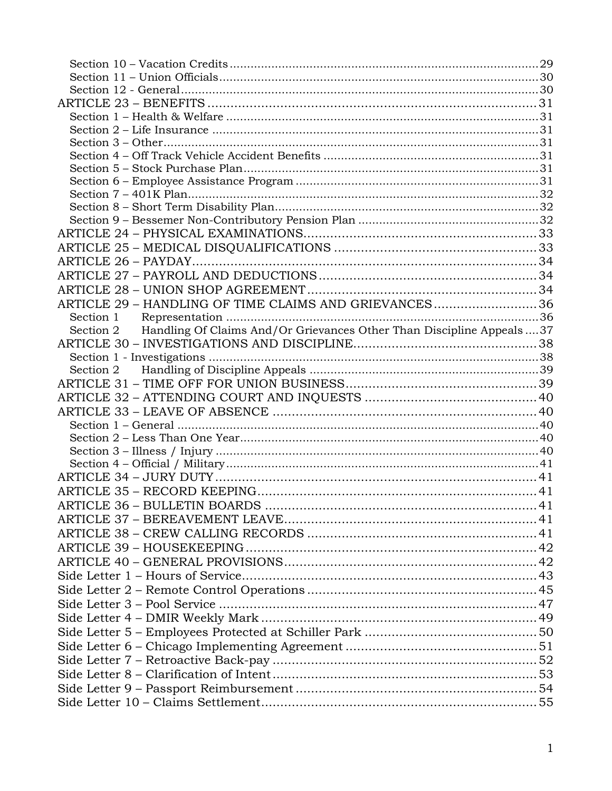| ARTICLE 29 - HANDLING OF TIME CLAIMS AND GRIEVANCES36                            |  |
|----------------------------------------------------------------------------------|--|
|                                                                                  |  |
| Section 2 Handling Of Claims And/Or Grievances Other Than Discipline Appeals  37 |  |
|                                                                                  |  |
|                                                                                  |  |
|                                                                                  |  |
|                                                                                  |  |
|                                                                                  |  |
|                                                                                  |  |
|                                                                                  |  |
|                                                                                  |  |
|                                                                                  |  |
|                                                                                  |  |
|                                                                                  |  |
|                                                                                  |  |
|                                                                                  |  |
|                                                                                  |  |
|                                                                                  |  |
|                                                                                  |  |
|                                                                                  |  |
|                                                                                  |  |
|                                                                                  |  |
|                                                                                  |  |
|                                                                                  |  |
|                                                                                  |  |
|                                                                                  |  |
|                                                                                  |  |
|                                                                                  |  |
|                                                                                  |  |
|                                                                                  |  |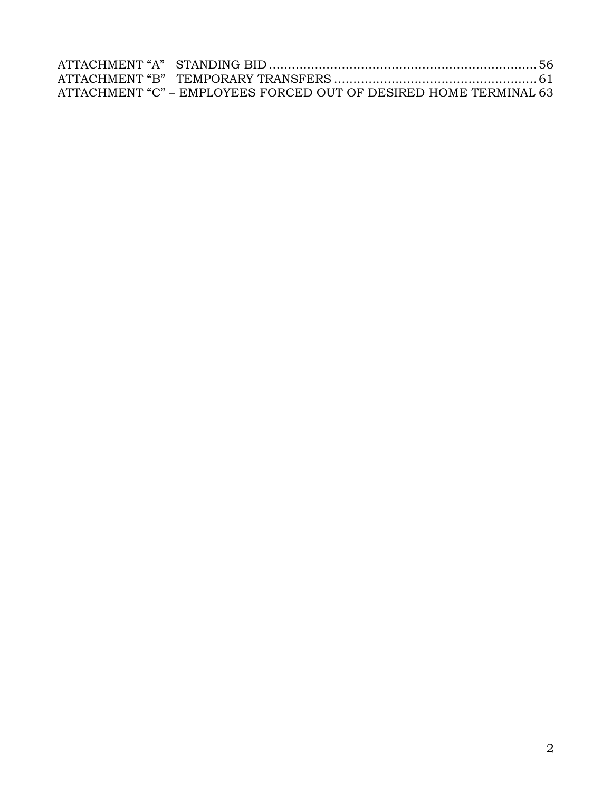| ATTACHMENT "C" – EMPLOYEES FORCED OUT OF DESIRED HOME TERMINAL 63 |  |
|-------------------------------------------------------------------|--|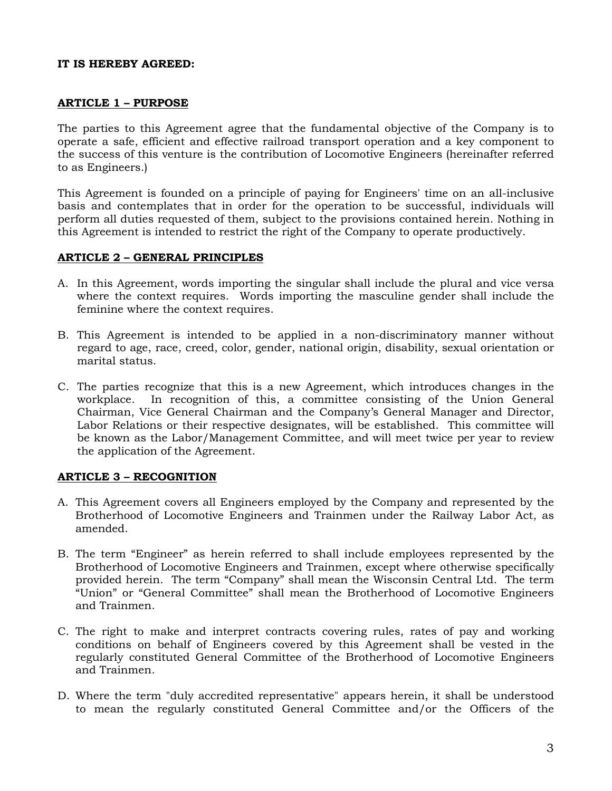#### **IT IS HEREBY AGREED:**

#### <span id="page-4-0"></span>**ARTICLE 1 – PURPOSE**

The parties to this Agreement agree that the fundamental objective of the Company is to operate a safe, efficient and effective railroad transport operation and a key component to the success of this venture is the contribution of Locomotive Engineers (hereinafter referred to as Engineers.)

This Agreement is founded on a principle of paying for Engineers' time on an all-inclusive basis and contemplates that in order for the operation to be successful, individuals will perform all duties requested of them, subject to the provisions contained herein. Nothing in this Agreement is intended to restrict the right of the Company to operate productively.

#### <span id="page-4-1"></span>**ARTICLE 2 – GENERAL PRINCIPLES**

- A. In this Agreement, words importing the singular shall include the plural and vice versa where the context requires. Words importing the masculine gender shall include the feminine where the context requires.
- B. This Agreement is intended to be applied in a non-discriminatory manner without regard to age, race, creed, color, gender, national origin, disability, sexual orientation or marital status.
- C. The parties recognize that this is a new Agreement, which introduces changes in the workplace. In recognition of this, a committee consisting of the Union General Chairman, Vice General Chairman and the Company's General Manager and Director, Labor Relations or their respective designates, will be established. This committee will be known as the Labor/Management Committee, and will meet twice per year to review the application of the Agreement.

#### <span id="page-4-2"></span>**ARTICLE 3 – RECOGNITION**

- A. This Agreement covers all Engineers employed by the Company and represented by the Brotherhood of Locomotive Engineers and Trainmen under the Railway Labor Act, as amended.
- B. The term "Engineer" as herein referred to shall include employees represented by the Brotherhood of Locomotive Engineers and Trainmen, except where otherwise specifically provided herein. The term "Company" shall mean the Wisconsin Central Ltd. The term "Union" or "General Committee" shall mean the Brotherhood of Locomotive Engineers and Trainmen.
- C. The right to make and interpret contracts covering rules, rates of pay and working conditions on behalf of Engineers covered by this Agreement shall be vested in the regularly constituted General Committee of the Brotherhood of Locomotive Engineers and Trainmen.
- D. Where the term "duly accredited representative" appears herein, it shall be understood to mean the regularly constituted General Committee and/or the Officers of the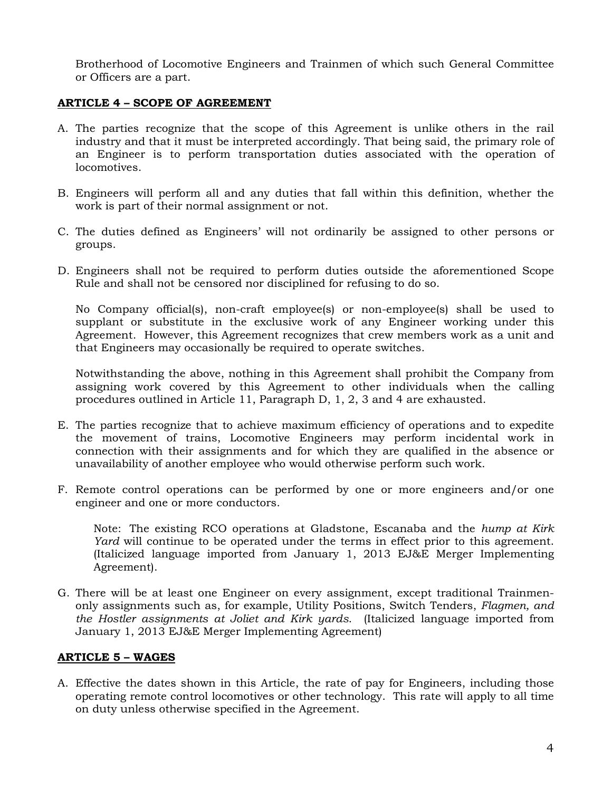Brotherhood of Locomotive Engineers and Trainmen of which such General Committee or Officers are a part.

#### <span id="page-5-0"></span>**ARTICLE 4 – SCOPE OF AGREEMENT**

- A. The parties recognize that the scope of this Agreement is unlike others in the rail industry and that it must be interpreted accordingly. That being said, the primary role of an Engineer is to perform transportation duties associated with the operation of locomotives.
- B. Engineers will perform all and any duties that fall within this definition, whether the work is part of their normal assignment or not.
- C. The duties defined as Engineers' will not ordinarily be assigned to other persons or groups.
- D. Engineers shall not be required to perform duties outside the aforementioned Scope Rule and shall not be censored nor disciplined for refusing to do so.

No Company official(s), non-craft employee(s) or non-employee(s) shall be used to supplant or substitute in the exclusive work of any Engineer working under this Agreement. However, this Agreement recognizes that crew members work as a unit and that Engineers may occasionally be required to operate switches.

Notwithstanding the above, nothing in this Agreement shall prohibit the Company from assigning work covered by this Agreement to other individuals when the calling procedures outlined in Article 11, Paragraph D, 1, 2, 3 and 4 are exhausted.

- E. The parties recognize that to achieve maximum efficiency of operations and to expedite the movement of trains, Locomotive Engineers may perform incidental work in connection with their assignments and for which they are qualified in the absence or unavailability of another employee who would otherwise perform such work.
- F. Remote control operations can be performed by one or more engineers and/or one engineer and one or more conductors.

Note: The existing RCO operations at Gladstone, Escanaba and the *hump at Kirk Yard* will continue to be operated under the terms in effect prior to this agreement. (Italicized language imported from January 1, 2013 EJ&E Merger Implementing Agreement).

G. There will be at least one Engineer on every assignment, except traditional Trainmenonly assignments such as, for example, Utility Positions, Switch Tenders, *Flagmen, and the Hostler assignments at Joliet and Kirk yards*. (Italicized language imported from January 1, 2013 EJ&E Merger Implementing Agreement)

### <span id="page-5-1"></span>**ARTICLE 5 – WAGES**

A. Effective the dates shown in this Article, the rate of pay for Engineers, including those operating remote control locomotives or other technology. This rate will apply to all time on duty unless otherwise specified in the Agreement.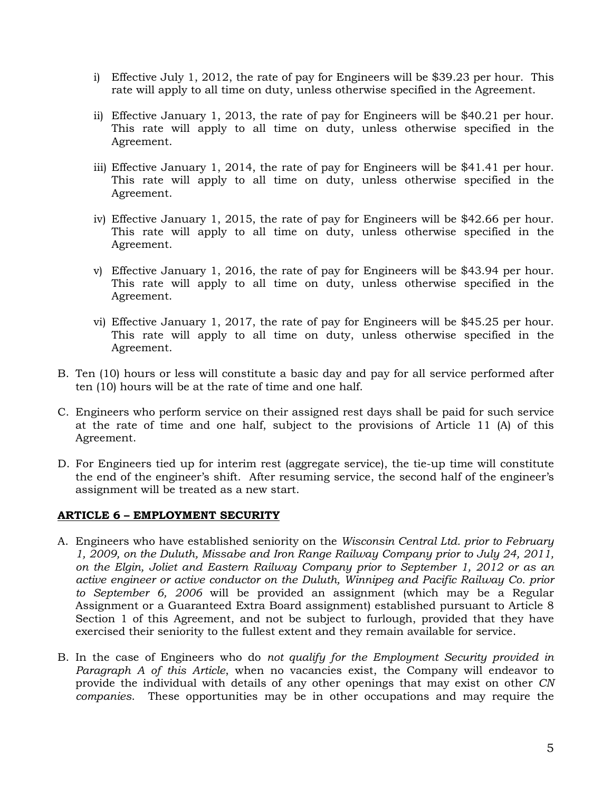- i) Effective July 1, 2012, the rate of pay for Engineers will be \$39.23 per hour. This rate will apply to all time on duty, unless otherwise specified in the Agreement.
- ii) Effective January 1, 2013, the rate of pay for Engineers will be \$40.21 per hour. This rate will apply to all time on duty, unless otherwise specified in the Agreement.
- iii) Effective January 1, 2014, the rate of pay for Engineers will be \$41.41 per hour. This rate will apply to all time on duty, unless otherwise specified in the Agreement.
- iv) Effective January 1, 2015, the rate of pay for Engineers will be \$42.66 per hour. This rate will apply to all time on duty, unless otherwise specified in the Agreement.
- v) Effective January 1, 2016, the rate of pay for Engineers will be \$43.94 per hour. This rate will apply to all time on duty, unless otherwise specified in the Agreement.
- vi) Effective January 1, 2017, the rate of pay for Engineers will be \$45.25 per hour. This rate will apply to all time on duty, unless otherwise specified in the Agreement.
- B. Ten (10) hours or less will constitute a basic day and pay for all service performed after ten (10) hours will be at the rate of time and one half.
- C. Engineers who perform service on their assigned rest days shall be paid for such service at the rate of time and one half, subject to the provisions of Article 11 (A) of this Agreement.
- D. For Engineers tied up for interim rest (aggregate service), the tie-up time will constitute the end of the engineer's shift. After resuming service, the second half of the engineer's assignment will be treated as a new start.

### <span id="page-6-0"></span>**ARTICLE 6 – EMPLOYMENT SECURITY**

- A. Engineers who have established seniority on the *Wisconsin Central Ltd. prior to February 1, 2009, on the Duluth, Missabe and Iron Range Railway Company prior to July 24, 2011, on the Elgin, Joliet and Eastern Railway Company prior to September 1, 2012 or as an active engineer or active conductor on the Duluth, Winnipeg and Pacific Railway Co. prior to September 6, 2006* will be provided an assignment (which may be a Regular Assignment or a Guaranteed Extra Board assignment) established pursuant to Article 8 Section 1 of this Agreement, and not be subject to furlough, provided that they have exercised their seniority to the fullest extent and they remain available for service.
- B. In the case of Engineers who do *not qualify for the Employment Security provided in Paragraph A of this Article*, when no vacancies exist, the Company will endeavor to provide the individual with details of any other openings that may exist on other *CN companies*. These opportunities may be in other occupations and may require the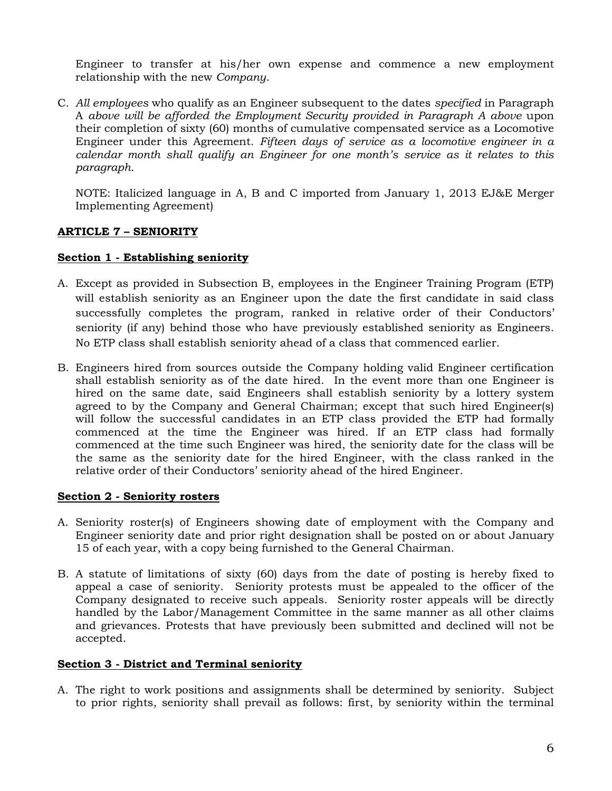Engineer to transfer at his/her own expense and commence a new employment relationship with the new *Company*.

C. *All employees* who qualify as an Engineer subsequent to the dates *specified* in Paragraph A *above will be afforded the Employment Security provided in Paragraph A above* upon their completion of sixty (60) months of cumulative compensated service as a Locomotive Engineer under this Agreement. *Fifteen days of service as a locomotive engineer in a calendar month shall qualify an Engineer for one month's service as it relates to this paragraph*.

NOTE: Italicized language in A, B and C imported from January 1, 2013 EJ&E Merger Implementing Agreement)

## <span id="page-7-0"></span>**ARTICLE 7 – SENIORITY**

### <span id="page-7-1"></span>**Section 1 - Establishing seniority**

- A. Except as provided in Subsection B, employees in the Engineer Training Program (ETP) will establish seniority as an Engineer upon the date the first candidate in said class successfully completes the program, ranked in relative order of their Conductors' seniority (if any) behind those who have previously established seniority as Engineers. No ETP class shall establish seniority ahead of a class that commenced earlier.
- B. Engineers hired from sources outside the Company holding valid Engineer certification shall establish seniority as of the date hired. In the event more than one Engineer is hired on the same date, said Engineers shall establish seniority by a lottery system agreed to by the Company and General Chairman; except that such hired Engineer(s) will follow the successful candidates in an ETP class provided the ETP had formally commenced at the time the Engineer was hired. If an ETP class had formally commenced at the time such Engineer was hired, the seniority date for the class will be the same as the seniority date for the hired Engineer, with the class ranked in the relative order of their Conductors' seniority ahead of the hired Engineer.

## <span id="page-7-2"></span>**Section 2 - Seniority rosters**

- A. Seniority roster(s) of Engineers showing date of employment with the Company and Engineer seniority date and prior right designation shall be posted on or about January 15 of each year, with a copy being furnished to the General Chairman.
- B. A statute of limitations of sixty (60) days from the date of posting is hereby fixed to appeal a case of seniority. Seniority protests must be appealed to the officer of the Company designated to receive such appeals. Seniority roster appeals will be directly handled by the Labor/Management Committee in the same manner as all other claims and grievances. Protests that have previously been submitted and declined will not be accepted.

### <span id="page-7-3"></span>**Section 3 - District and Terminal seniority**

A. The right to work positions and assignments shall be determined by seniority. Subject to prior rights, seniority shall prevail as follows: first, by seniority within the terminal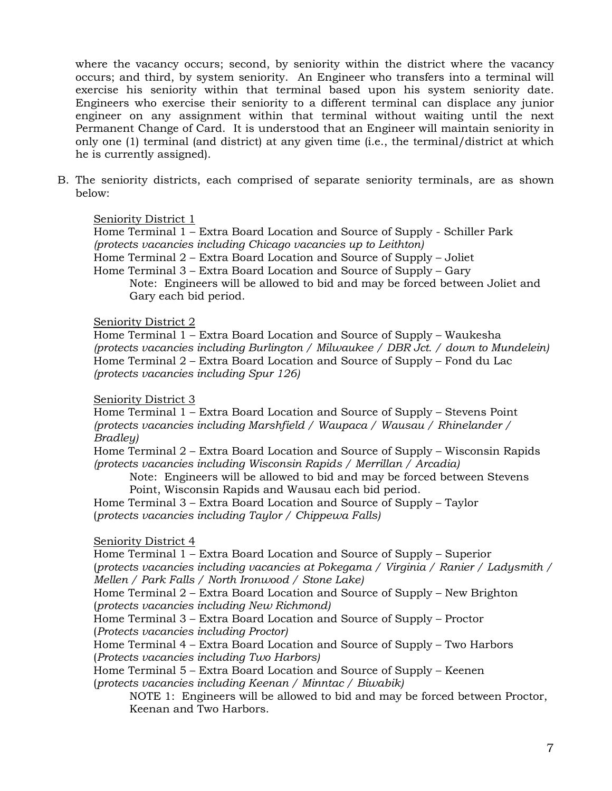where the vacancy occurs; second, by seniority within the district where the vacancy occurs; and third, by system seniority. An Engineer who transfers into a terminal will exercise his seniority within that terminal based upon his system seniority date. Engineers who exercise their seniority to a different terminal can displace any junior engineer on any assignment within that terminal without waiting until the next Permanent Change of Card. It is understood that an Engineer will maintain seniority in only one (1) terminal (and district) at any given time (i.e., the terminal/district at which he is currently assigned).

B. The seniority districts, each comprised of separate seniority terminals, are as shown below:

### Seniority District 1

Home Terminal 1 – Extra Board Location and Source of Supply - Schiller Park *(protects vacancies including Chicago vacancies up to Leithton)*

Home Terminal 2 – Extra Board Location and Source of Supply – Joliet

Home Terminal 3 – Extra Board Location and Source of Supply – Gary

Note: Engineers will be allowed to bid and may be forced between Joliet and Gary each bid period.

#### Seniority District 2

Home Terminal 1 – Extra Board Location and Source of Supply – Waukesha *(protects vacancies including Burlington / Milwaukee / DBR Jct. / down to Mundelein)* Home Terminal 2 – Extra Board Location and Source of Supply – Fond du Lac *(protects vacancies including Spur 126)*

### Seniority District 3

Home Terminal 1 – Extra Board Location and Source of Supply – Stevens Point *(protects vacancies including Marshfield / Waupaca / Wausau / Rhinelander / Bradley)*

Home Terminal 2 – Extra Board Location and Source of Supply – Wisconsin Rapids *(protects vacancies including Wisconsin Rapids / Merrillan / Arcadia)*

Note: Engineers will be allowed to bid and may be forced between Stevens Point, Wisconsin Rapids and Wausau each bid period.

Home Terminal 3 – Extra Board Location and Source of Supply – Taylor (*protects vacancies including Taylor / Chippewa Falls)*

### Seniority District 4

Home Terminal 1 – Extra Board Location and Source of Supply – Superior (*protects vacancies including vacancies at Pokegama / Virginia / Ranier / Ladysmith / Mellen / Park Falls / North Ironwood / Stone Lake)*

Home Terminal 2 – Extra Board Location and Source of Supply – New Brighton (*protects vacancies including New Richmond)*

Home Terminal 3 – Extra Board Location and Source of Supply – Proctor (*Protects vacancies including Proctor)*

Home Terminal 4 – Extra Board Location and Source of Supply – Two Harbors (*Protects vacancies including Two Harbors)*

Home Terminal 5 – Extra Board Location and Source of Supply – Keenen (*protects vacancies including Keenan / Minntac / Biwabik)*

NOTE 1: Engineers will be allowed to bid and may be forced between Proctor, Keenan and Two Harbors.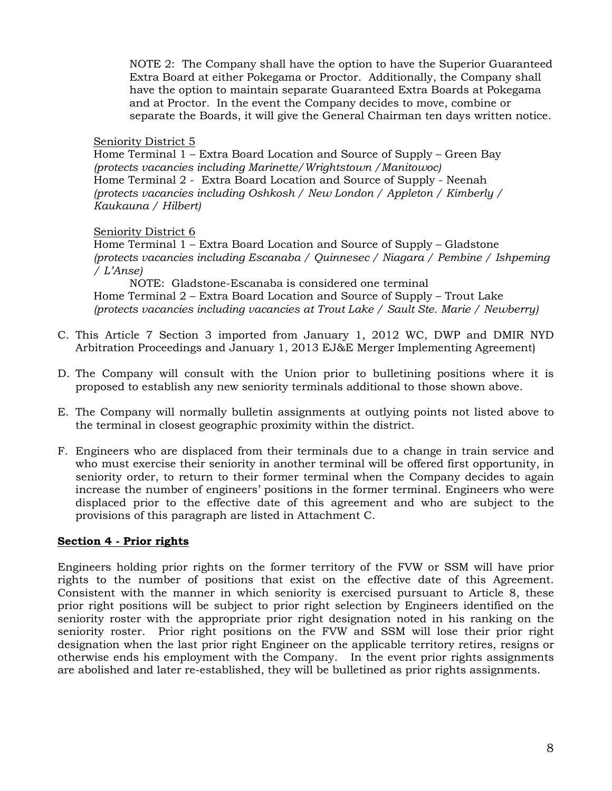NOTE 2: The Company shall have the option to have the Superior Guaranteed Extra Board at either Pokegama or Proctor. Additionally, the Company shall have the option to maintain separate Guaranteed Extra Boards at Pokegama and at Proctor. In the event the Company decides to move, combine or separate the Boards, it will give the General Chairman ten days written notice.

#### Seniority District 5

Home Terminal 1 – Extra Board Location and Source of Supply – Green Bay *(protects vacancies including Marinette/Wrightstown /Manitowoc)* Home Terminal 2 - Extra Board Location and Source of Supply - Neenah *(protects vacancies including Oshkosh / New London / Appleton / Kimberly / Kaukauna / Hilbert)*

#### Seniority District 6

Home Terminal 1 – Extra Board Location and Source of Supply – Gladstone *(protects vacancies including Escanaba / Quinnesec / Niagara / Pembine / Ishpeming / L'Anse)*

NOTE: Gladstone-Escanaba is considered one terminal Home Terminal 2 – Extra Board Location and Source of Supply – Trout Lake *(protects vacancies including vacancies at Trout Lake / Sault Ste. Marie / Newberry)*

- C. This Article 7 Section 3 imported from January 1, 2012 WC, DWP and DMIR NYD Arbitration Proceedings and January 1, 2013 EJ&E Merger Implementing Agreement)
- D. The Company will consult with the Union prior to bulletining positions where it is proposed to establish any new seniority terminals additional to those shown above.
- E. The Company will normally bulletin assignments at outlying points not listed above to the terminal in closest geographic proximity within the district.
- F. Engineers who are displaced from their terminals due to a change in train service and who must exercise their seniority in another terminal will be offered first opportunity, in seniority order, to return to their former terminal when the Company decides to again increase the number of engineers' positions in the former terminal. Engineers who were displaced prior to the effective date of this agreement and who are subject to the provisions of this paragraph are listed in Attachment C.

### <span id="page-9-0"></span>**Section 4 - Prior rights**

Engineers holding prior rights on the former territory of the FVW or SSM will have prior rights to the number of positions that exist on the effective date of this Agreement. Consistent with the manner in which seniority is exercised pursuant to Article 8, these prior right positions will be subject to prior right selection by Engineers identified on the seniority roster with the appropriate prior right designation noted in his ranking on the seniority roster. Prior right positions on the FVW and SSM will lose their prior right designation when the last prior right Engineer on the applicable territory retires, resigns or otherwise ends his employment with the Company. In the event prior rights assignments are abolished and later re-established, they will be bulletined as prior rights assignments.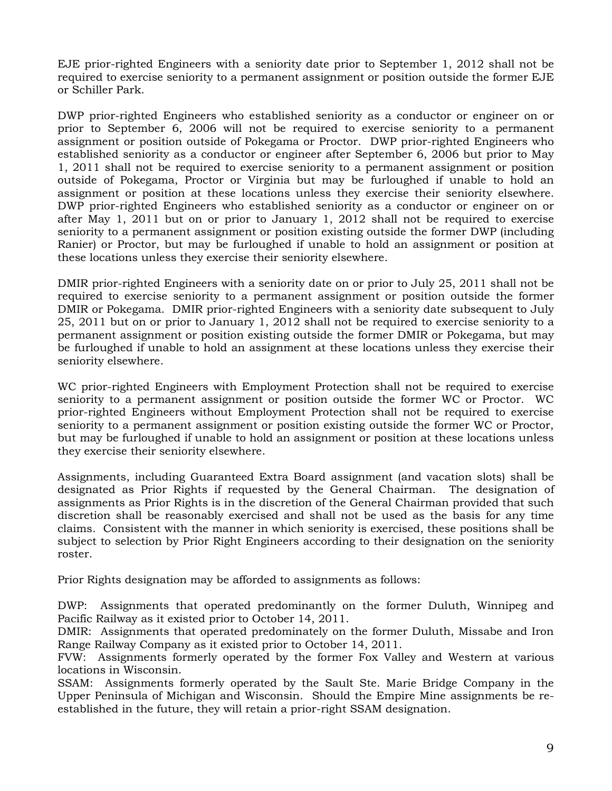EJE prior-righted Engineers with a seniority date prior to September 1, 2012 shall not be required to exercise seniority to a permanent assignment or position outside the former EJE or Schiller Park.

DWP prior-righted Engineers who established seniority as a conductor or engineer on or prior to September 6, 2006 will not be required to exercise seniority to a permanent assignment or position outside of Pokegama or Proctor. DWP prior-righted Engineers who established seniority as a conductor or engineer after September 6, 2006 but prior to May 1, 2011 shall not be required to exercise seniority to a permanent assignment or position outside of Pokegama, Proctor or Virginia but may be furloughed if unable to hold an assignment or position at these locations unless they exercise their seniority elsewhere. DWP prior-righted Engineers who established seniority as a conductor or engineer on or after May 1, 2011 but on or prior to January 1, 2012 shall not be required to exercise seniority to a permanent assignment or position existing outside the former DWP (including Ranier) or Proctor, but may be furloughed if unable to hold an assignment or position at these locations unless they exercise their seniority elsewhere.

DMIR prior-righted Engineers with a seniority date on or prior to July 25, 2011 shall not be required to exercise seniority to a permanent assignment or position outside the former DMIR or Pokegama. DMIR prior-righted Engineers with a seniority date subsequent to July 25, 2011 but on or prior to January 1, 2012 shall not be required to exercise seniority to a permanent assignment or position existing outside the former DMIR or Pokegama, but may be furloughed if unable to hold an assignment at these locations unless they exercise their seniority elsewhere.

WC prior-righted Engineers with Employment Protection shall not be required to exercise seniority to a permanent assignment or position outside the former WC or Proctor. WC prior-righted Engineers without Employment Protection shall not be required to exercise seniority to a permanent assignment or position existing outside the former WC or Proctor, but may be furloughed if unable to hold an assignment or position at these locations unless they exercise their seniority elsewhere.

Assignments, including Guaranteed Extra Board assignment (and vacation slots) shall be designated as Prior Rights if requested by the General Chairman. The designation of assignments as Prior Rights is in the discretion of the General Chairman provided that such discretion shall be reasonably exercised and shall not be used as the basis for any time claims. Consistent with the manner in which seniority is exercised, these positions shall be subject to selection by Prior Right Engineers according to their designation on the seniority roster.

Prior Rights designation may be afforded to assignments as follows:

DWP: Assignments that operated predominantly on the former Duluth, Winnipeg and Pacific Railway as it existed prior to October 14, 2011.

DMIR: Assignments that operated predominately on the former Duluth, Missabe and Iron Range Railway Company as it existed prior to October 14, 2011.

FVW: Assignments formerly operated by the former Fox Valley and Western at various locations in Wisconsin.

SSAM: Assignments formerly operated by the Sault Ste. Marie Bridge Company in the Upper Peninsula of Michigan and Wisconsin. Should the Empire Mine assignments be reestablished in the future, they will retain a prior-right SSAM designation.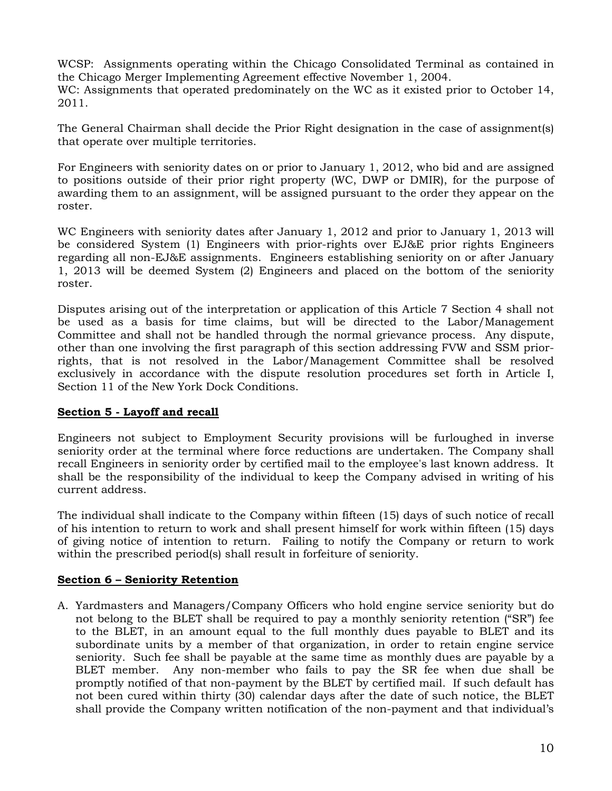WCSP: Assignments operating within the Chicago Consolidated Terminal as contained in the Chicago Merger Implementing Agreement effective November 1, 2004.

WC: Assignments that operated predominately on the WC as it existed prior to October 14, 2011.

The General Chairman shall decide the Prior Right designation in the case of assignment(s) that operate over multiple territories.

For Engineers with seniority dates on or prior to January 1, 2012, who bid and are assigned to positions outside of their prior right property (WC, DWP or DMIR), for the purpose of awarding them to an assignment, will be assigned pursuant to the order they appear on the roster.

WC Engineers with seniority dates after January 1, 2012 and prior to January 1, 2013 will be considered System (1) Engineers with prior-rights over EJ&E prior rights Engineers regarding all non-EJ&E assignments. Engineers establishing seniority on or after January 1, 2013 will be deemed System (2) Engineers and placed on the bottom of the seniority roster.

Disputes arising out of the interpretation or application of this Article 7 Section 4 shall not be used as a basis for time claims, but will be directed to the Labor/Management Committee and shall not be handled through the normal grievance process. Any dispute, other than one involving the first paragraph of this section addressing FVW and SSM priorrights, that is not resolved in the Labor/Management Committee shall be resolved exclusively in accordance with the dispute resolution procedures set forth in Article I, Section 11 of the New York Dock Conditions.

## <span id="page-11-0"></span>**Section 5 - Layoff and recall**

Engineers not subject to Employment Security provisions will be furloughed in inverse seniority order at the terminal where force reductions are undertaken. The Company shall recall Engineers in seniority order by certified mail to the employee's last known address. It shall be the responsibility of the individual to keep the Company advised in writing of his current address.

The individual shall indicate to the Company within fifteen (15) days of such notice of recall of his intention to return to work and shall present himself for work within fifteen (15) days of giving notice of intention to return. Failing to notify the Company or return to work within the prescribed period(s) shall result in forfeiture of seniority.

## <span id="page-11-1"></span>**Section 6 – Seniority Retention**

A. Yardmasters and Managers/Company Officers who hold engine service seniority but do not belong to the BLET shall be required to pay a monthly seniority retention ("SR") fee to the BLET, in an amount equal to the full monthly dues payable to BLET and its subordinate units by a member of that organization, in order to retain engine service seniority. Such fee shall be payable at the same time as monthly dues are payable by a BLET member. Any non-member who fails to pay the SR fee when due shall be promptly notified of that non-payment by the BLET by certified mail. If such default has not been cured within thirty (30) calendar days after the date of such notice, the BLET shall provide the Company written notification of the non-payment and that individual's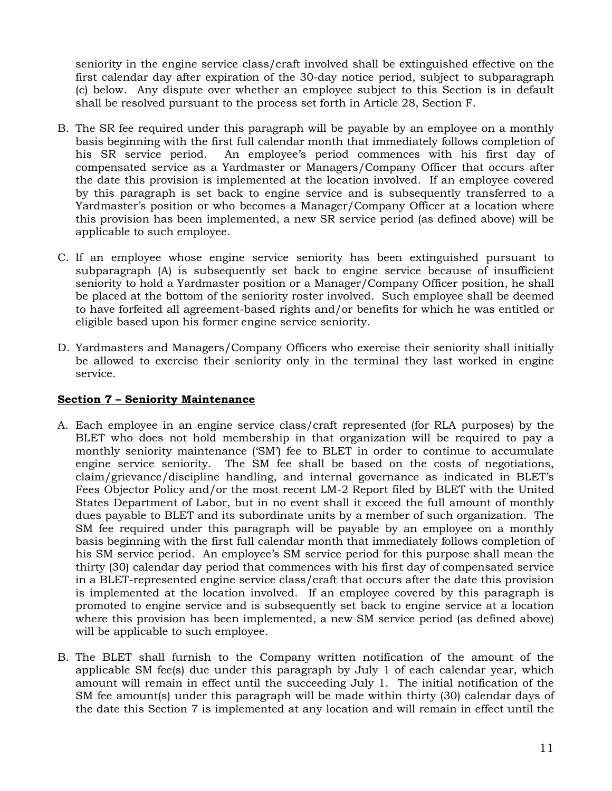seniority in the engine service class/craft involved shall be extinguished effective on the first calendar day after expiration of the 30-day notice period, subject to subparagraph (c) below. Any dispute over whether an employee subject to this Section is in default shall be resolved pursuant to the process set forth in Article 28, Section F.

- B. The SR fee required under this paragraph will be payable by an employee on a monthly basis beginning with the first full calendar month that immediately follows completion of his SR service period. An employee's period commences with his first day of compensated service as a Yardmaster or Managers/Company Officer that occurs after the date this provision is implemented at the location involved. If an employee covered by this paragraph is set back to engine service and is subsequently transferred to a Yardmaster's position or who becomes a Manager/Company Officer at a location where this provision has been implemented, a new SR service period (as defined above) will be applicable to such employee.
- C. If an employee whose engine service seniority has been extinguished pursuant to subparagraph (A) is subsequently set back to engine service because of insufficient seniority to hold a Yardmaster position or a Manager/Company Officer position, he shall be placed at the bottom of the seniority roster involved. Such employee shall be deemed to have forfeited all agreement-based rights and/or benefits for which he was entitled or eligible based upon his former engine service seniority.
- D. Yardmasters and Managers/Company Officers who exercise their seniority shall initially be allowed to exercise their seniority only in the terminal they last worked in engine service.

### <span id="page-12-0"></span>**Section 7 – Seniority Maintenance**

- A. Each employee in an engine service class/craft represented (for RLA purposes) by the BLET who does not hold membership in that organization will be required to pay a monthly seniority maintenance ('SM') fee to BLET in order to continue to accumulate engine service seniority. The SM fee shall be based on the costs of negotiations, claim/grievance/discipline handling, and internal governance as indicated in BLET's Fees Objector Policy and/or the most recent LM-2 Report filed by BLET with the United States Department of Labor, but in no event shall it exceed the full amount of monthly dues payable to BLET and its subordinate units by a member of such organization. The SM fee required under this paragraph will be payable by an employee on a monthly basis beginning with the first full calendar month that immediately follows completion of his SM service period. An employee's SM service period for this purpose shall mean the thirty (30) calendar day period that commences with his first day of compensated service in a BLET-represented engine service class/craft that occurs after the date this provision is implemented at the location involved. If an employee covered by this paragraph is promoted to engine service and is subsequently set back to engine service at a location where this provision has been implemented, a new SM service period (as defined above) will be applicable to such employee.
- B. The BLET shall furnish to the Company written notification of the amount of the applicable SM fee(s) due under this paragraph by July 1 of each calendar year, which amount will remain in effect until the succeeding July 1. The initial notification of the SM fee amount(s) under this paragraph will be made within thirty (30) calendar days of the date this Section 7 is implemented at any location and will remain in effect until the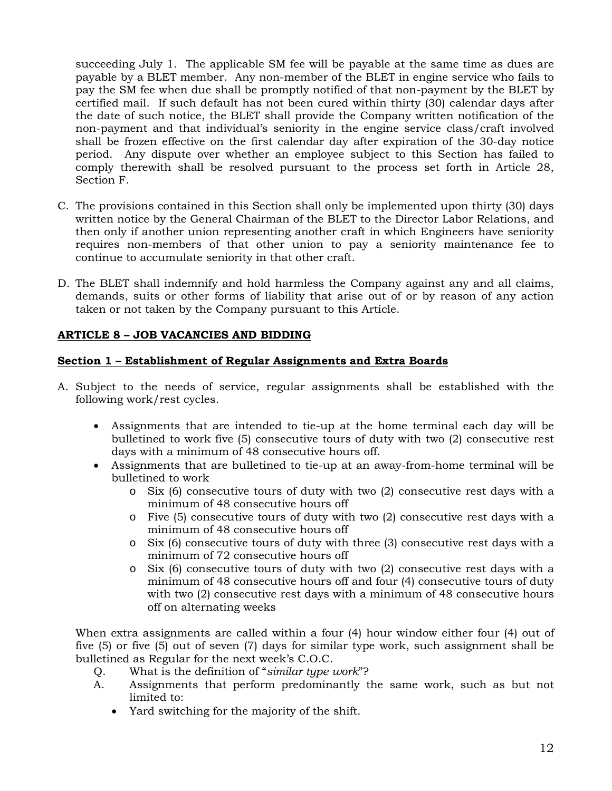succeeding July 1. The applicable SM fee will be payable at the same time as dues are payable by a BLET member. Any non-member of the BLET in engine service who fails to pay the SM fee when due shall be promptly notified of that non-payment by the BLET by certified mail. If such default has not been cured within thirty (30) calendar days after the date of such notice, the BLET shall provide the Company written notification of the non-payment and that individual's seniority in the engine service class/craft involved shall be frozen effective on the first calendar day after expiration of the 30-day notice period. Any dispute over whether an employee subject to this Section has failed to comply therewith shall be resolved pursuant to the process set forth in Article 28, Section F.

- C. The provisions contained in this Section shall only be implemented upon thirty (30) days written notice by the General Chairman of the BLET to the Director Labor Relations, and then only if another union representing another craft in which Engineers have seniority requires non-members of that other union to pay a seniority maintenance fee to continue to accumulate seniority in that other craft.
- D. The BLET shall indemnify and hold harmless the Company against any and all claims, demands, suits or other forms of liability that arise out of or by reason of any action taken or not taken by the Company pursuant to this Article.

## <span id="page-13-0"></span>**ARTICLE 8 – JOB VACANCIES AND BIDDING**

## <span id="page-13-1"></span>**Section 1 – Establishment of Regular Assignments and Extra Boards**

- A. Subject to the needs of service, regular assignments shall be established with the following work/rest cycles.
	- Assignments that are intended to tie-up at the home terminal each day will be bulletined to work five (5) consecutive tours of duty with two (2) consecutive rest days with a minimum of 48 consecutive hours off.
	- Assignments that are bulletined to tie-up at an away-from-home terminal will be bulletined to work
		- o Six (6) consecutive tours of duty with two (2) consecutive rest days with a minimum of 48 consecutive hours off
		- o Five (5) consecutive tours of duty with two (2) consecutive rest days with a minimum of 48 consecutive hours off
		- o Six (6) consecutive tours of duty with three (3) consecutive rest days with a minimum of 72 consecutive hours off
		- o Six (6) consecutive tours of duty with two (2) consecutive rest days with a minimum of 48 consecutive hours off and four (4) consecutive tours of duty with two (2) consecutive rest days with a minimum of 48 consecutive hours off on alternating weeks

When extra assignments are called within a four (4) hour window either four (4) out of five (5) or five (5) out of seven (7) days for similar type work, such assignment shall be bulletined as Regular for the next week's C.O.C.

- Q. What is the definition of "*similar type work*"?
- A. Assignments that perform predominantly the same work, such as but not limited to:
	- Yard switching for the majority of the shift.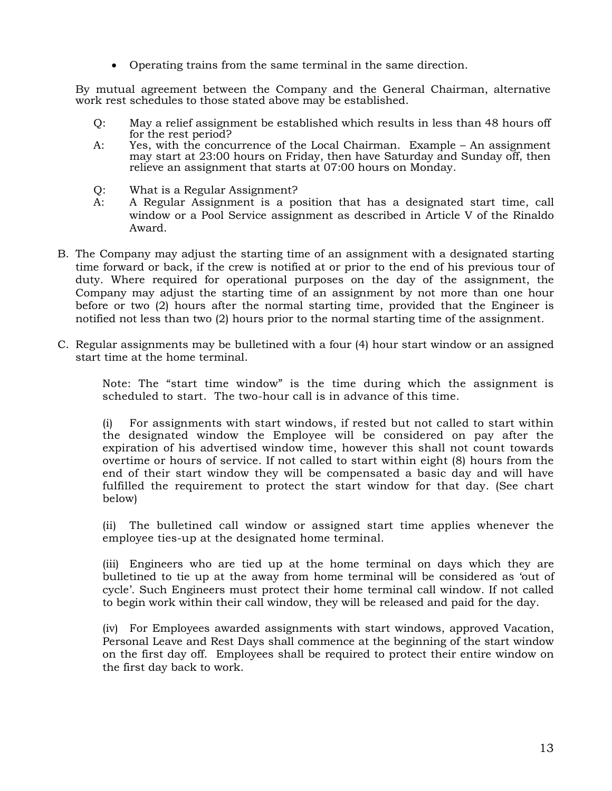• Operating trains from the same terminal in the same direction.

By mutual agreement between the Company and the General Chairman, alternative work rest schedules to those stated above may be established.

- Q: May a relief assignment be established which results in less than 48 hours off for the rest period?
- A: Yes, with the concurrence of the Local Chairman. Example An assignment may start at 23:00 hours on Friday, then have Saturday and Sunday off, then relieve an assignment that starts at 07:00 hours on Monday.
- Q: What is a Regular Assignment?
- A: A Regular Assignment is a position that has a designated start time, call window or a Pool Service assignment as described in Article V of the Rinaldo Award.
- B. The Company may adjust the starting time of an assignment with a designated starting time forward or back, if the crew is notified at or prior to the end of his previous tour of duty. Where required for operational purposes on the day of the assignment, the Company may adjust the starting time of an assignment by not more than one hour before or two (2) hours after the normal starting time, provided that the Engineer is notified not less than two (2) hours prior to the normal starting time of the assignment.
- C. Regular assignments may be bulletined with a four (4) hour start window or an assigned start time at the home terminal.

Note: The "start time window" is the time during which the assignment is scheduled to start. The two-hour call is in advance of this time.

(i) For assignments with start windows, if rested but not called to start within the designated window the Employee will be considered on pay after the expiration of his advertised window time, however this shall not count towards overtime or hours of service. If not called to start within eight (8) hours from the end of their start window they will be compensated a basic day and will have fulfilled the requirement to protect the start window for that day. (See chart below)

(ii) The bulletined call window or assigned start time applies whenever the employee ties-up at the designated home terminal.

(iii) Engineers who are tied up at the home terminal on days which they are bulletined to tie up at the away from home terminal will be considered as 'out of cycle'. Such Engineers must protect their home terminal call window. If not called to begin work within their call window, they will be released and paid for the day.

(iv) For Employees awarded assignments with start windows, approved Vacation, Personal Leave and Rest Days shall commence at the beginning of the start window on the first day off. Employees shall be required to protect their entire window on the first day back to work.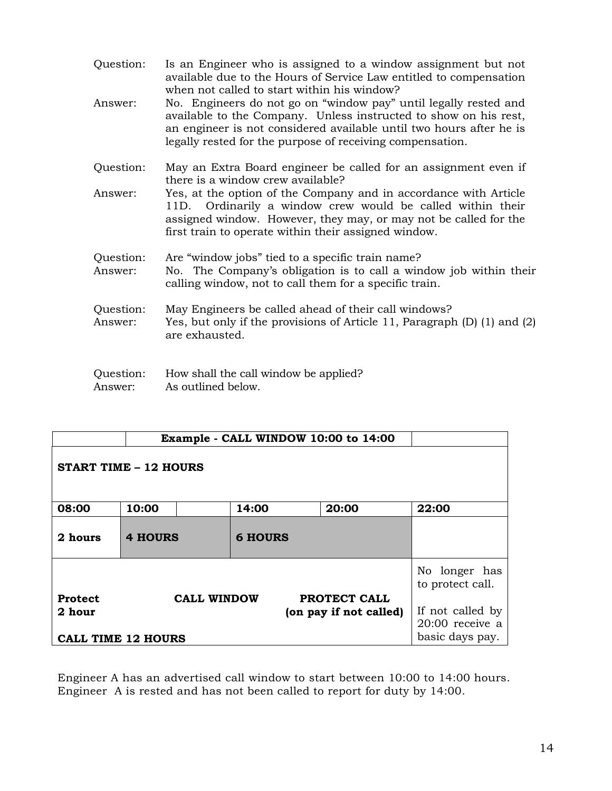| Question:<br>Answer: | Is an Engineer who is assigned to a window assignment but not<br>available due to the Hours of Service Law entitled to compensation<br>when not called to start within his window?<br>No. Engineers do not go on "window pay" until legally rested and<br>available to the Company. Unless instructed to show on his rest,<br>an engineer is not considered available until two hours after he is<br>legally rested for the purpose of receiving compensation. |
|----------------------|----------------------------------------------------------------------------------------------------------------------------------------------------------------------------------------------------------------------------------------------------------------------------------------------------------------------------------------------------------------------------------------------------------------------------------------------------------------|
| Question:            | May an Extra Board engineer be called for an assignment even if<br>there is a window crew available?                                                                                                                                                                                                                                                                                                                                                           |
| Answer:              | Yes, at the option of the Company and in accordance with Article<br>11D. Ordinarily a window crew would be called within their<br>assigned window. However, they may, or may not be called for the<br>first train to operate within their assigned window.                                                                                                                                                                                                     |
| Question:<br>Answer: | Are "window jobs" tied to a specific train name?<br>No. The Company's obligation is to call a window job within their<br>calling window, not to call them for a specific train.                                                                                                                                                                                                                                                                                |
| Question:<br>Answer: | May Engineers be called ahead of their call windows?<br>Yes, but only if the provisions of Article 11, Paragraph (D) (1) and (2)<br>are exhausted.                                                                                                                                                                                                                                                                                                             |
| Question:<br>Answer: | How shall the call window be applied?<br>As outlined below.                                                                                                                                                                                                                                                                                                                                                                                                    |

| Example - CALL WINDOW 10:00 to 14:00 |                |                    |                |  |                        |                                                          |
|--------------------------------------|----------------|--------------------|----------------|--|------------------------|----------------------------------------------------------|
| <b>START TIME - 12 HOURS</b>         |                |                    |                |  |                        |                                                          |
| 08:00                                | 10:00          |                    | 14:00          |  | 20:00                  | 22:00                                                    |
| 2 hours                              | <b>4 HOURS</b> |                    | <b>6 HOURS</b> |  |                        |                                                          |
| <b>Protect</b>                       |                | <b>CALL WINDOW</b> |                |  | PROTECT CALL           | No longer has<br>to protect call.                        |
| 2 hour<br><b>CALL TIME 12 HOURS</b>  |                |                    |                |  | (on pay if not called) | If not called by<br>$20:00$ receive a<br>basic days pay. |

Engineer A has an advertised call window to start between 10:00 to 14:00 hours. Engineer A is rested and has not been called to report for duty by 14:00.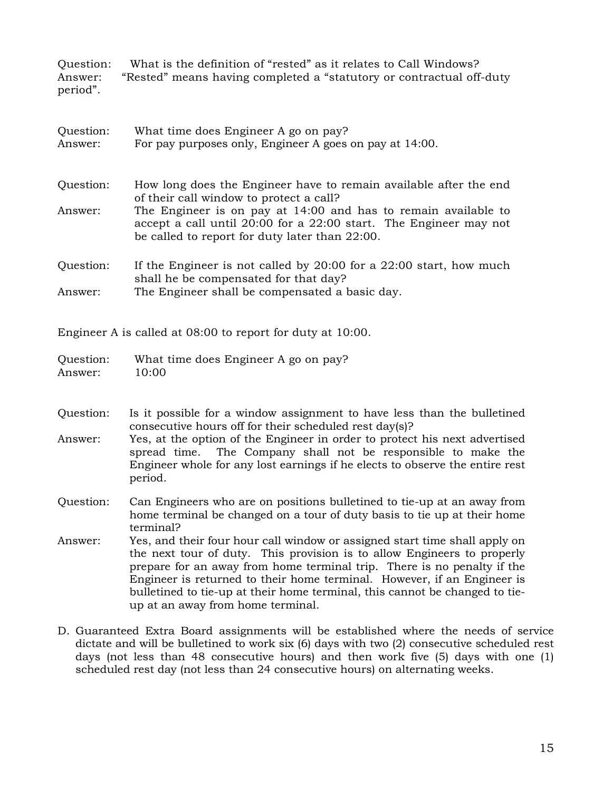Question: What is the definition of "rested" as it relates to Call Windows? Answer: "Rested" means having completed a "statutory or contractual off-duty period".

| Question:<br>Answer: | What time does Engineer A go on pay?<br>For pay purposes only, Engineer A goes on pay at 14:00.                                                                                       |
|----------------------|---------------------------------------------------------------------------------------------------------------------------------------------------------------------------------------|
| Question:            | How long does the Engineer have to remain available after the end<br>of their call window to protect a call?                                                                          |
| Answer:              | The Engineer is on pay at 14:00 and has to remain available to<br>accept a call until 20:00 for a 22:00 start. The Engineer may not<br>be called to report for duty later than 22:00. |
| Question:            | If the Engineer is not called by 20:00 for a 22:00 start, how much<br>shall he be compensated for that day?                                                                           |
| Answer:              | The Engineer shall be compensated a basic day.                                                                                                                                        |

Engineer A is called at 08:00 to report for duty at 10:00.

| Question: | What time does Engineer A go on pay? |
|-----------|--------------------------------------|
| Answer:   | 10:00                                |

- Question: Is it possible for a window assignment to have less than the bulletined consecutive hours off for their scheduled rest day(s)?
- Answer: Yes, at the option of the Engineer in order to protect his next advertised spread time. The Company shall not be responsible to make the Engineer whole for any lost earnings if he elects to observe the entire rest period.
- Question: Can Engineers who are on positions bulletined to tie-up at an away from home terminal be changed on a tour of duty basis to tie up at their home terminal?
- Answer: Yes, and their four hour call window or assigned start time shall apply on the next tour of duty. This provision is to allow Engineers to properly prepare for an away from home terminal trip. There is no penalty if the Engineer is returned to their home terminal. However, if an Engineer is bulletined to tie-up at their home terminal, this cannot be changed to tieup at an away from home terminal.
- D. Guaranteed Extra Board assignments will be established where the needs of service dictate and will be bulletined to work six (6) days with two (2) consecutive scheduled rest days (not less than 48 consecutive hours) and then work five (5) days with one (1) scheduled rest day (not less than 24 consecutive hours) on alternating weeks.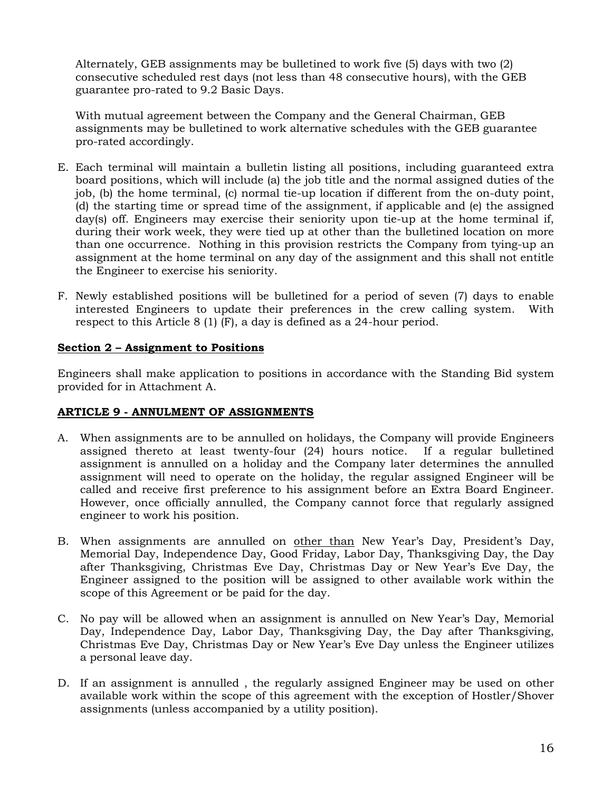Alternately, GEB assignments may be bulletined to work five (5) days with two (2) consecutive scheduled rest days (not less than 48 consecutive hours), with the GEB guarantee pro-rated to 9.2 Basic Days.

With mutual agreement between the Company and the General Chairman, GEB assignments may be bulletined to work alternative schedules with the GEB guarantee pro-rated accordingly.

- E. Each terminal will maintain a bulletin listing all positions, including guaranteed extra board positions, which will include (a) the job title and the normal assigned duties of the job, (b) the home terminal, (c) normal tie-up location if different from the on-duty point, (d) the starting time or spread time of the assignment, if applicable and (e) the assigned day(s) off. Engineers may exercise their seniority upon tie-up at the home terminal if, during their work week, they were tied up at other than the bulletined location on more than one occurrence. Nothing in this provision restricts the Company from tying-up an assignment at the home terminal on any day of the assignment and this shall not entitle the Engineer to exercise his seniority.
- F. Newly established positions will be bulletined for a period of seven (7) days to enable interested Engineers to update their preferences in the crew calling system. With respect to this Article 8 (1) (F), a day is defined as a 24-hour period.

### <span id="page-17-0"></span>**Section 2 – Assignment to Positions**

Engineers shall make application to positions in accordance with the Standing Bid system provided for in Attachment A.

### <span id="page-17-1"></span>**ARTICLE 9 - ANNULMENT OF ASSIGNMENTS**

- A. When assignments are to be annulled on holidays, the Company will provide Engineers assigned thereto at least twenty-four (24) hours notice. If a regular bulletined assignment is annulled on a holiday and the Company later determines the annulled assignment will need to operate on the holiday, the regular assigned Engineer will be called and receive first preference to his assignment before an Extra Board Engineer. However, once officially annulled, the Company cannot force that regularly assigned engineer to work his position.
- B. When assignments are annulled on other than New Year's Day, President's Day, Memorial Day, Independence Day, Good Friday, Labor Day, Thanksgiving Day, the Day after Thanksgiving, Christmas Eve Day, Christmas Day or New Year's Eve Day, the Engineer assigned to the position will be assigned to other available work within the scope of this Agreement or be paid for the day.
- C. No pay will be allowed when an assignment is annulled on New Year's Day, Memorial Day, Independence Day, Labor Day, Thanksgiving Day, the Day after Thanksgiving, Christmas Eve Day, Christmas Day or New Year's Eve Day unless the Engineer utilizes a personal leave day.
- D. If an assignment is annulled , the regularly assigned Engineer may be used on other available work within the scope of this agreement with the exception of Hostler/Shover assignments (unless accompanied by a utility position).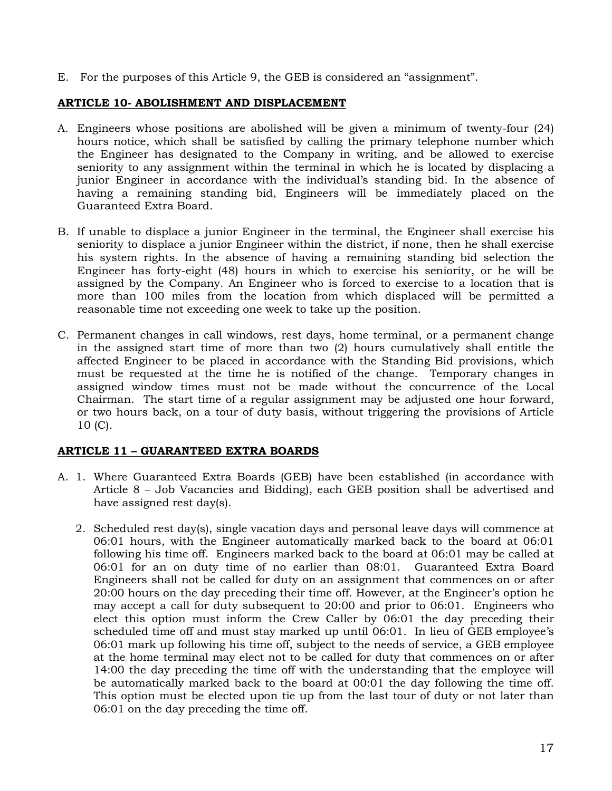E. For the purposes of this Article 9, the GEB is considered an "assignment".

## <span id="page-18-0"></span>**ARTICLE 10- ABOLISHMENT AND DISPLACEMENT**

- A. Engineers whose positions are abolished will be given a minimum of twenty-four (24) hours notice, which shall be satisfied by calling the primary telephone number which the Engineer has designated to the Company in writing, and be allowed to exercise seniority to any assignment within the terminal in which he is located by displacing a junior Engineer in accordance with the individual's standing bid. In the absence of having a remaining standing bid, Engineers will be immediately placed on the Guaranteed Extra Board.
- B. If unable to displace a junior Engineer in the terminal, the Engineer shall exercise his seniority to displace a junior Engineer within the district, if none, then he shall exercise his system rights. In the absence of having a remaining standing bid selection the Engineer has forty-eight (48) hours in which to exercise his seniority, or he will be assigned by the Company. An Engineer who is forced to exercise to a location that is more than 100 miles from the location from which displaced will be permitted a reasonable time not exceeding one week to take up the position.
- C. Permanent changes in call windows, rest days, home terminal, or a permanent change in the assigned start time of more than two (2) hours cumulatively shall entitle the affected Engineer to be placed in accordance with the Standing Bid provisions, which must be requested at the time he is notified of the change. Temporary changes in assigned window times must not be made without the concurrence of the Local Chairman. The start time of a regular assignment may be adjusted one hour forward, or two hours back, on a tour of duty basis, without triggering the provisions of Article 10 (C).

## <span id="page-18-1"></span>**ARTICLE 11 – GUARANTEED EXTRA BOARDS**

- A. 1. Where Guaranteed Extra Boards (GEB) have been established (in accordance with Article 8 – Job Vacancies and Bidding), each GEB position shall be advertised and have assigned rest day(s).
	- 2. Scheduled rest day(s), single vacation days and personal leave days will commence at 06:01 hours, with the Engineer automatically marked back to the board at 06:01 following his time off. Engineers marked back to the board at 06:01 may be called at 06:01 for an on duty time of no earlier than 08:01. Guaranteed Extra Board Engineers shall not be called for duty on an assignment that commences on or after 20:00 hours on the day preceding their time off. However, at the Engineer's option he may accept a call for duty subsequent to 20:00 and prior to 06:01. Engineers who elect this option must inform the Crew Caller by 06:01 the day preceding their scheduled time off and must stay marked up until 06:01. In lieu of GEB employee's 06:01 mark up following his time off, subject to the needs of service, a GEB employee at the home terminal may elect not to be called for duty that commences on or after 14:00 the day preceding the time off with the understanding that the employee will be automatically marked back to the board at 00:01 the day following the time off. This option must be elected upon tie up from the last tour of duty or not later than 06:01 on the day preceding the time off.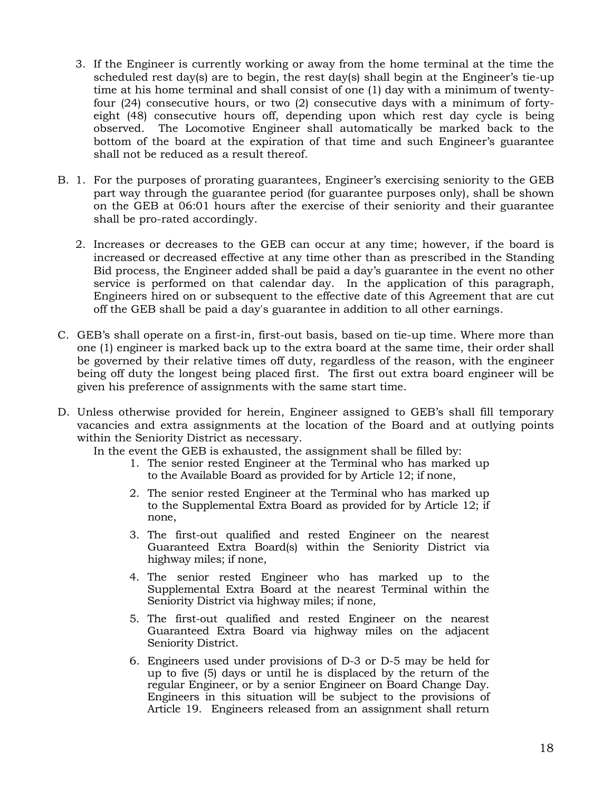- 3. If the Engineer is currently working or away from the home terminal at the time the scheduled rest day(s) are to begin, the rest day(s) shall begin at the Engineer's tie-up time at his home terminal and shall consist of one (1) day with a minimum of twentyfour (24) consecutive hours, or two (2) consecutive days with a minimum of fortyeight (48) consecutive hours off, depending upon which rest day cycle is being observed. The Locomotive Engineer shall automatically be marked back to the bottom of the board at the expiration of that time and such Engineer's guarantee shall not be reduced as a result thereof.
- B. 1. For the purposes of prorating guarantees, Engineer's exercising seniority to the GEB part way through the guarantee period (for guarantee purposes only), shall be shown on the GEB at 06:01 hours after the exercise of their seniority and their guarantee shall be pro-rated accordingly.
	- 2. Increases or decreases to the GEB can occur at any time; however, if the board is increased or decreased effective at any time other than as prescribed in the Standing Bid process, the Engineer added shall be paid a day's guarantee in the event no other service is performed on that calendar day. In the application of this paragraph, Engineers hired on or subsequent to the effective date of this Agreement that are cut off the GEB shall be paid a day's guarantee in addition to all other earnings.
- C. GEB's shall operate on a first-in, first-out basis, based on tie-up time. Where more than one (1) engineer is marked back up to the extra board at the same time, their order shall be governed by their relative times off duty, regardless of the reason, with the engineer being off duty the longest being placed first. The first out extra board engineer will be given his preference of assignments with the same start time.
- D. Unless otherwise provided for herein, Engineer assigned to GEB's shall fill temporary vacancies and extra assignments at the location of the Board and at outlying points within the Seniority District as necessary.

In the event the GEB is exhausted, the assignment shall be filled by:

- 1. The senior rested Engineer at the Terminal who has marked up to the Available Board as provided for by Article 12; if none,
- 2. The senior rested Engineer at the Terminal who has marked up to the Supplemental Extra Board as provided for by Article 12; if none,
- 3. The first-out qualified and rested Engineer on the nearest Guaranteed Extra Board(s) within the Seniority District via highway miles; if none,
- 4. The senior rested Engineer who has marked up to the Supplemental Extra Board at the nearest Terminal within the Seniority District via highway miles; if none,
- 5. The first-out qualified and rested Engineer on the nearest Guaranteed Extra Board via highway miles on the adjacent Seniority District.
- 6. Engineers used under provisions of D-3 or D-5 may be held for up to five (5) days or until he is displaced by the return of the regular Engineer, or by a senior Engineer on Board Change Day. Engineers in this situation will be subject to the provisions of Article 19. Engineers released from an assignment shall return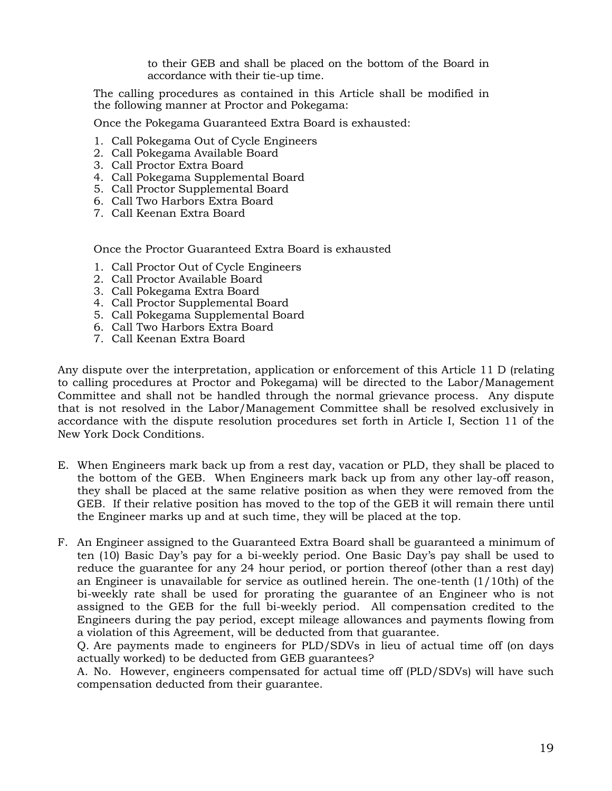to their GEB and shall be placed on the bottom of the Board in accordance with their tie-up time.

The calling procedures as contained in this Article shall be modified in the following manner at Proctor and Pokegama:

Once the Pokegama Guaranteed Extra Board is exhausted:

- 1. Call Pokegama Out of Cycle Engineers
- 2. Call Pokegama Available Board
- 3. Call Proctor Extra Board
- 4. Call Pokegama Supplemental Board
- 5. Call Proctor Supplemental Board
- 6. Call Two Harbors Extra Board
- 7. Call Keenan Extra Board

Once the Proctor Guaranteed Extra Board is exhausted

- 1. Call Proctor Out of Cycle Engineers
- 2. Call Proctor Available Board
- 3. Call Pokegama Extra Board
- 4. Call Proctor Supplemental Board
- 5. Call Pokegama Supplemental Board
- 6. Call Two Harbors Extra Board
- 7. Call Keenan Extra Board

Any dispute over the interpretation, application or enforcement of this Article 11 D (relating to calling procedures at Proctor and Pokegama) will be directed to the Labor/Management Committee and shall not be handled through the normal grievance process. Any dispute that is not resolved in the Labor/Management Committee shall be resolved exclusively in accordance with the dispute resolution procedures set forth in Article I, Section 11 of the New York Dock Conditions.

- E. When Engineers mark back up from a rest day, vacation or PLD, they shall be placed to the bottom of the GEB. When Engineers mark back up from any other lay-off reason, they shall be placed at the same relative position as when they were removed from the GEB. If their relative position has moved to the top of the GEB it will remain there until the Engineer marks up and at such time, they will be placed at the top.
- F. An Engineer assigned to the Guaranteed Extra Board shall be guaranteed a minimum of ten (10) Basic Day's pay for a bi-weekly period. One Basic Day's pay shall be used to reduce the guarantee for any 24 hour period, or portion thereof (other than a rest day) an Engineer is unavailable for service as outlined herein. The one-tenth (1/10th) of the bi-weekly rate shall be used for prorating the guarantee of an Engineer who is not assigned to the GEB for the full bi-weekly period. All compensation credited to the Engineers during the pay period, except mileage allowances and payments flowing from a violation of this Agreement, will be deducted from that guarantee.

Q. Are payments made to engineers for PLD/SDVs in lieu of actual time off (on days actually worked) to be deducted from GEB guarantees?

A. No. However, engineers compensated for actual time off (PLD/SDVs) will have such compensation deducted from their guarantee.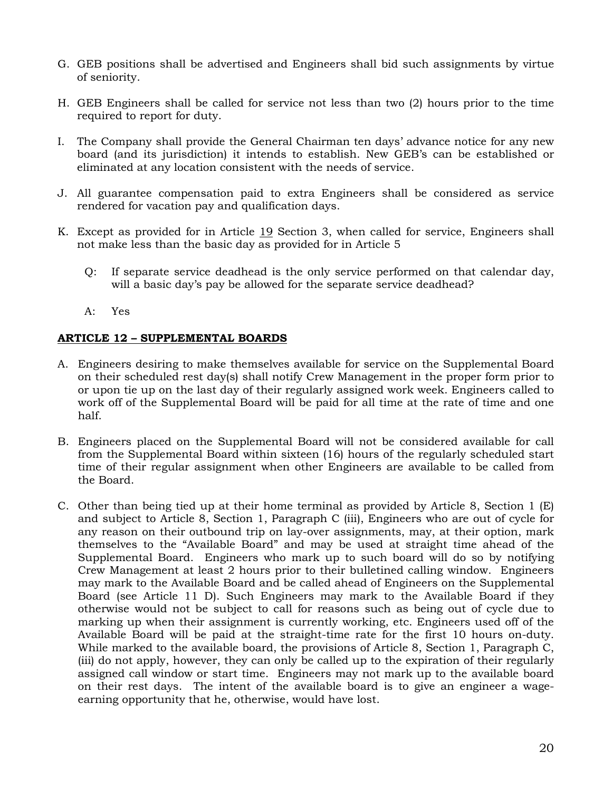- G. GEB positions shall be advertised and Engineers shall bid such assignments by virtue of seniority.
- H. GEB Engineers shall be called for service not less than two (2) hours prior to the time required to report for duty.
- I. The Company shall provide the General Chairman ten days' advance notice for any new board (and its jurisdiction) it intends to establish. New GEB's can be established or eliminated at any location consistent with the needs of service.
- J. All guarantee compensation paid to extra Engineers shall be considered as service rendered for vacation pay and qualification days.
- K. Except as provided for in Article 19 Section 3, when called for service, Engineers shall not make less than the basic day as provided for in Article 5
	- Q: If separate service deadhead is the only service performed on that calendar day, will a basic day's pay be allowed for the separate service deadhead?
	- A: Yes

## <span id="page-21-0"></span>**ARTICLE 12 – SUPPLEMENTAL BOARDS**

- A. Engineers desiring to make themselves available for service on the Supplemental Board on their scheduled rest day(s) shall notify Crew Management in the proper form prior to or upon tie up on the last day of their regularly assigned work week. Engineers called to work off of the Supplemental Board will be paid for all time at the rate of time and one half.
- B. Engineers placed on the Supplemental Board will not be considered available for call from the Supplemental Board within sixteen (16) hours of the regularly scheduled start time of their regular assignment when other Engineers are available to be called from the Board.
- C. Other than being tied up at their home terminal as provided by Article 8, Section 1 (E) and subject to Article 8, Section 1, Paragraph C (iii), Engineers who are out of cycle for any reason on their outbound trip on lay-over assignments, may, at their option, mark themselves to the "Available Board" and may be used at straight time ahead of the Supplemental Board. Engineers who mark up to such board will do so by notifying Crew Management at least 2 hours prior to their bulletined calling window. Engineers may mark to the Available Board and be called ahead of Engineers on the Supplemental Board (see Article 11 D). Such Engineers may mark to the Available Board if they otherwise would not be subject to call for reasons such as being out of cycle due to marking up when their assignment is currently working, etc. Engineers used off of the Available Board will be paid at the straight-time rate for the first 10 hours on-duty. While marked to the available board, the provisions of Article 8, Section 1, Paragraph C, (iii) do not apply, however, they can only be called up to the expiration of their regularly assigned call window or start time. Engineers may not mark up to the available board on their rest days. The intent of the available board is to give an engineer a wageearning opportunity that he, otherwise, would have lost.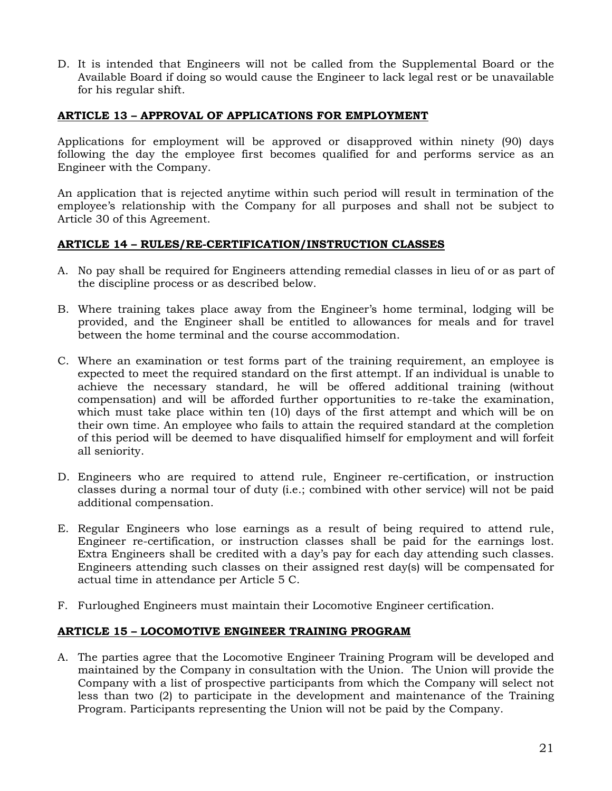D. It is intended that Engineers will not be called from the Supplemental Board or the Available Board if doing so would cause the Engineer to lack legal rest or be unavailable for his regular shift.

## <span id="page-22-0"></span>**ARTICLE 13 – APPROVAL OF APPLICATIONS FOR EMPLOYMENT**

Applications for employment will be approved or disapproved within ninety (90) days following the day the employee first becomes qualified for and performs service as an Engineer with the Company.

An application that is rejected anytime within such period will result in termination of the employee's relationship with the Company for all purposes and shall not be subject to Article 30 of this Agreement.

### <span id="page-22-1"></span>**ARTICLE 14 – RULES/RE-CERTIFICATION/INSTRUCTION CLASSES**

- A. No pay shall be required for Engineers attending remedial classes in lieu of or as part of the discipline process or as described below.
- B. Where training takes place away from the Engineer's home terminal, lodging will be provided, and the Engineer shall be entitled to allowances for meals and for travel between the home terminal and the course accommodation.
- C. Where an examination or test forms part of the training requirement, an employee is expected to meet the required standard on the first attempt. If an individual is unable to achieve the necessary standard, he will be offered additional training (without compensation) and will be afforded further opportunities to re-take the examination, which must take place within ten (10) days of the first attempt and which will be on their own time. An employee who fails to attain the required standard at the completion of this period will be deemed to have disqualified himself for employment and will forfeit all seniority.
- D. Engineers who are required to attend rule, Engineer re-certification, or instruction classes during a normal tour of duty (i.e.; combined with other service) will not be paid additional compensation.
- E. Regular Engineers who lose earnings as a result of being required to attend rule, Engineer re-certification, or instruction classes shall be paid for the earnings lost. Extra Engineers shall be credited with a day's pay for each day attending such classes. Engineers attending such classes on their assigned rest day(s) will be compensated for actual time in attendance per Article 5 C.
- F. Furloughed Engineers must maintain their Locomotive Engineer certification.

### <span id="page-22-2"></span>**ARTICLE 15 – LOCOMOTIVE ENGINEER TRAINING PROGRAM**

A. The parties agree that the Locomotive Engineer Training Program will be developed and maintained by the Company in consultation with the Union. The Union will provide the Company with a list of prospective participants from which the Company will select not less than two (2) to participate in the development and maintenance of the Training Program. Participants representing the Union will not be paid by the Company.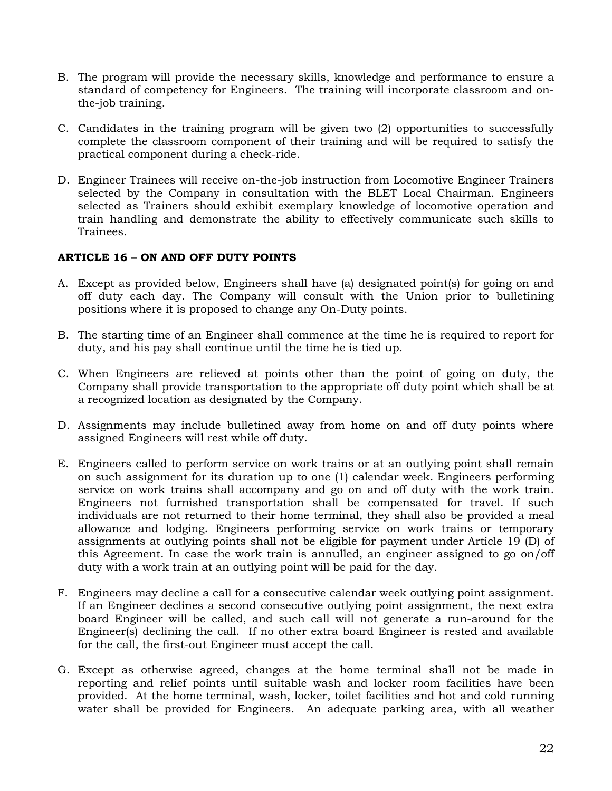- B. The program will provide the necessary skills, knowledge and performance to ensure a standard of competency for Engineers. The training will incorporate classroom and onthe-job training.
- C. Candidates in the training program will be given two (2) opportunities to successfully complete the classroom component of their training and will be required to satisfy the practical component during a check-ride.
- D. Engineer Trainees will receive on-the-job instruction from Locomotive Engineer Trainers selected by the Company in consultation with the BLET Local Chairman. Engineers selected as Trainers should exhibit exemplary knowledge of locomotive operation and train handling and demonstrate the ability to effectively communicate such skills to Trainees.

### <span id="page-23-0"></span>**ARTICLE 16 – ON AND OFF DUTY POINTS**

- A. Except as provided below, Engineers shall have (a) designated point(s) for going on and off duty each day. The Company will consult with the Union prior to bulletining positions where it is proposed to change any On-Duty points.
- B. The starting time of an Engineer shall commence at the time he is required to report for duty, and his pay shall continue until the time he is tied up.
- C. When Engineers are relieved at points other than the point of going on duty, the Company shall provide transportation to the appropriate off duty point which shall be at a recognized location as designated by the Company.
- D. Assignments may include bulletined away from home on and off duty points where assigned Engineers will rest while off duty.
- E. Engineers called to perform service on work trains or at an outlying point shall remain on such assignment for its duration up to one (1) calendar week. Engineers performing service on work trains shall accompany and go on and off duty with the work train. Engineers not furnished transportation shall be compensated for travel. If such individuals are not returned to their home terminal, they shall also be provided a meal allowance and lodging. Engineers performing service on work trains or temporary assignments at outlying points shall not be eligible for payment under Article 19 (D) of this Agreement. In case the work train is annulled, an engineer assigned to go on/off duty with a work train at an outlying point will be paid for the day.
- F. Engineers may decline a call for a consecutive calendar week outlying point assignment. If an Engineer declines a second consecutive outlying point assignment, the next extra board Engineer will be called, and such call will not generate a run-around for the Engineer(s) declining the call. If no other extra board Engineer is rested and available for the call, the first-out Engineer must accept the call.
- G. Except as otherwise agreed, changes at the home terminal shall not be made in reporting and relief points until suitable wash and locker room facilities have been provided. At the home terminal, wash, locker, toilet facilities and hot and cold running water shall be provided for Engineers. An adequate parking area, with all weather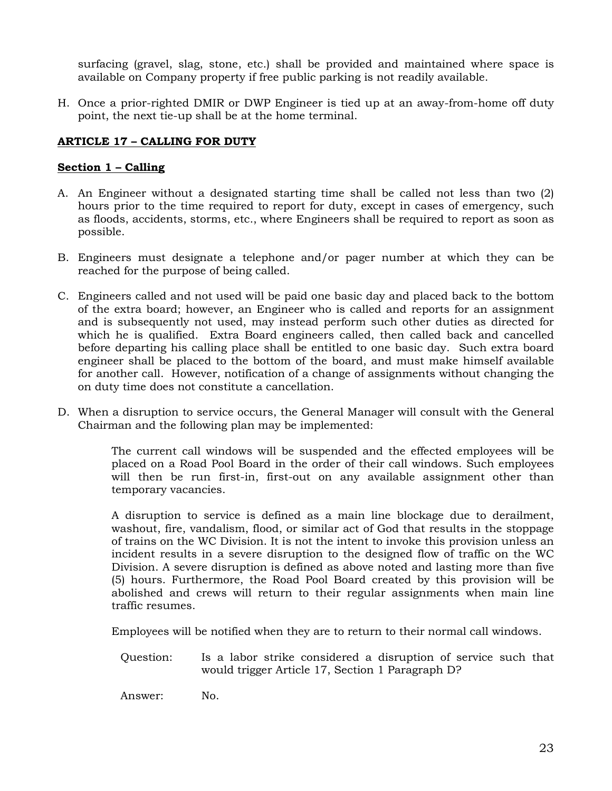surfacing (gravel, slag, stone, etc.) shall be provided and maintained where space is available on Company property if free public parking is not readily available.

H. Once a prior-righted DMIR or DWP Engineer is tied up at an away-from-home off duty point, the next tie-up shall be at the home terminal.

## <span id="page-24-0"></span>**ARTICLE 17 – CALLING FOR DUTY**

#### <span id="page-24-1"></span>**Section 1 – Calling**

- A. An Engineer without a designated starting time shall be called not less than two (2) hours prior to the time required to report for duty, except in cases of emergency, such as floods, accidents, storms, etc., where Engineers shall be required to report as soon as possible.
- B. Engineers must designate a telephone and/or pager number at which they can be reached for the purpose of being called.
- C. Engineers called and not used will be paid one basic day and placed back to the bottom of the extra board; however, an Engineer who is called and reports for an assignment and is subsequently not used, may instead perform such other duties as directed for which he is qualified. Extra Board engineers called, then called back and cancelled before departing his calling place shall be entitled to one basic day. Such extra board engineer shall be placed to the bottom of the board, and must make himself available for another call. However, notification of a change of assignments without changing the on duty time does not constitute a cancellation.
- D. When a disruption to service occurs, the General Manager will consult with the General Chairman and the following plan may be implemented:

The current call windows will be suspended and the effected employees will be placed on a Road Pool Board in the order of their call windows. Such employees will then be run first-in, first-out on any available assignment other than temporary vacancies.

A disruption to service is defined as a main line blockage due to derailment, washout, fire, vandalism, flood, or similar act of God that results in the stoppage of trains on the WC Division. It is not the intent to invoke this provision unless an incident results in a severe disruption to the designed flow of traffic on the WC Division. A severe disruption is defined as above noted and lasting more than five (5) hours. Furthermore, the Road Pool Board created by this provision will be abolished and crews will return to their regular assignments when main line traffic resumes.

Employees will be notified when they are to return to their normal call windows.

Question: Is a labor strike considered a disruption of service such that would trigger Article 17, Section 1 Paragraph D?

Answer: No.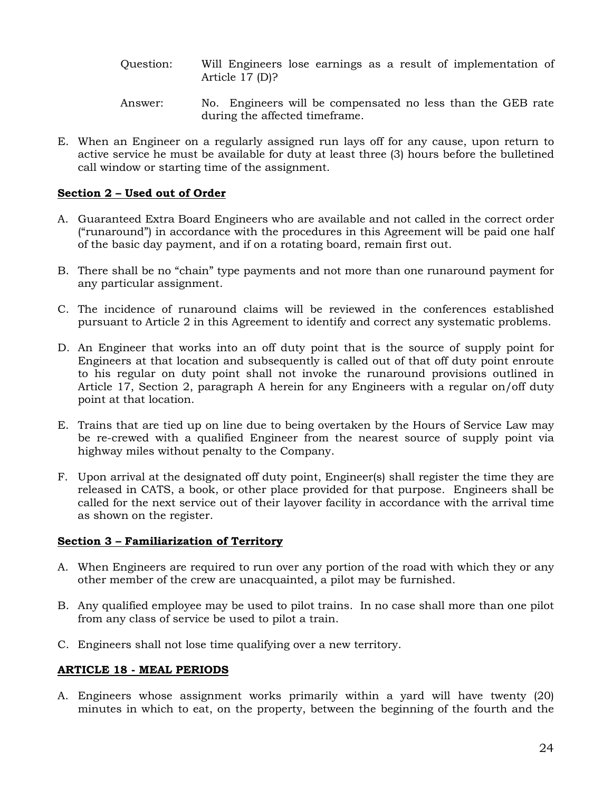- Question: Will Engineers lose earnings as a result of implementation of Article 17 (D)?
- Answer: No. Engineers will be compensated no less than the GEB rate during the affected timeframe.
- E. When an Engineer on a regularly assigned run lays off for any cause, upon return to active service he must be available for duty at least three (3) hours before the bulletined call window or starting time of the assignment.

## <span id="page-25-0"></span>**Section 2 – Used out of Order**

- A. Guaranteed Extra Board Engineers who are available and not called in the correct order ("runaround") in accordance with the procedures in this Agreement will be paid one half of the basic day payment, and if on a rotating board, remain first out.
- B. There shall be no "chain" type payments and not more than one runaround payment for any particular assignment.
- C. The incidence of runaround claims will be reviewed in the conferences established pursuant to Article 2 in this Agreement to identify and correct any systematic problems.
- D. An Engineer that works into an off duty point that is the source of supply point for Engineers at that location and subsequently is called out of that off duty point enroute to his regular on duty point shall not invoke the runaround provisions outlined in Article 17, Section 2, paragraph A herein for any Engineers with a regular on/off duty point at that location.
- E. Trains that are tied up on line due to being overtaken by the Hours of Service Law may be re-crewed with a qualified Engineer from the nearest source of supply point via highway miles without penalty to the Company.
- F. Upon arrival at the designated off duty point, Engineer(s) shall register the time they are released in CATS, a book, or other place provided for that purpose. Engineers shall be called for the next service out of their layover facility in accordance with the arrival time as shown on the register.

### <span id="page-25-1"></span>**Section 3 – Familiarization of Territory**

- A. When Engineers are required to run over any portion of the road with which they or any other member of the crew are unacquainted, a pilot may be furnished.
- B. Any qualified employee may be used to pilot trains. In no case shall more than one pilot from any class of service be used to pilot a train.
- C. Engineers shall not lose time qualifying over a new territory.

### <span id="page-25-2"></span>**ARTICLE 18 - MEAL PERIODS**

A. Engineers whose assignment works primarily within a yard will have twenty (20) minutes in which to eat, on the property, between the beginning of the fourth and the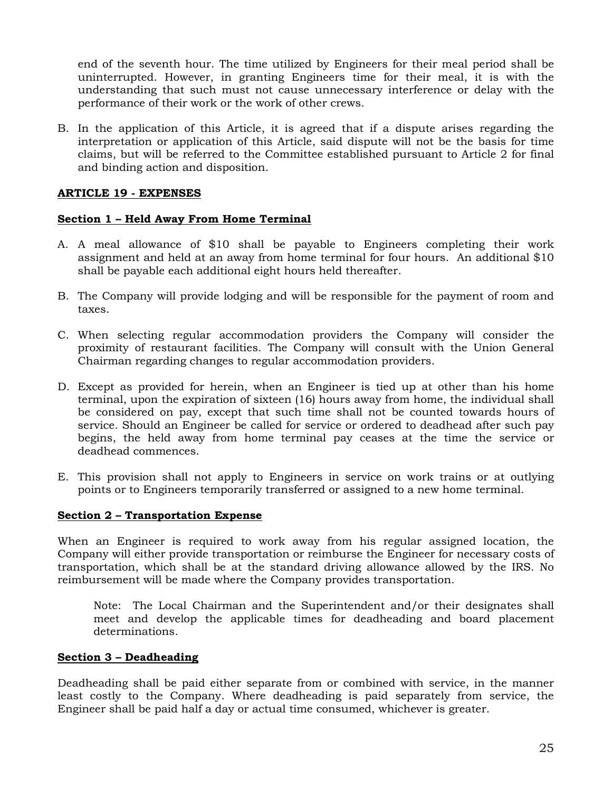end of the seventh hour. The time utilized by Engineers for their meal period shall be uninterrupted. However, in granting Engineers time for their meal, it is with the understanding that such must not cause unnecessary interference or delay with the performance of their work or the work of other crews.

B. In the application of this Article, it is agreed that if a dispute arises regarding the interpretation or application of this Article, said dispute will not be the basis for time claims, but will be referred to the Committee established pursuant to Article 2 for final and binding action and disposition.

#### <span id="page-26-0"></span>**ARTICLE 19 - EXPENSES**

#### <span id="page-26-1"></span>**Section 1 – Held Away From Home Terminal**

- A. A meal allowance of \$10 shall be payable to Engineers completing their work assignment and held at an away from home terminal for four hours. An additional \$10 shall be payable each additional eight hours held thereafter.
- B. The Company will provide lodging and will be responsible for the payment of room and taxes.
- C. When selecting regular accommodation providers the Company will consider the proximity of restaurant facilities. The Company will consult with the Union General Chairman regarding changes to regular accommodation providers.
- D. Except as provided for herein, when an Engineer is tied up at other than his home terminal, upon the expiration of sixteen (16) hours away from home, the individual shall be considered on pay, except that such time shall not be counted towards hours of service. Should an Engineer be called for service or ordered to deadhead after such pay begins, the held away from home terminal pay ceases at the time the service or deadhead commences.
- E. This provision shall not apply to Engineers in service on work trains or at outlying points or to Engineers temporarily transferred or assigned to a new home terminal.

#### <span id="page-26-2"></span>**Section 2 – Transportation Expense**

When an Engineer is required to work away from his regular assigned location, the Company will either provide transportation or reimburse the Engineer for necessary costs of transportation, which shall be at the standard driving allowance allowed by the IRS. No reimbursement will be made where the Company provides transportation.

Note: The Local Chairman and the Superintendent and/or their designates shall meet and develop the applicable times for deadheading and board placement determinations.

#### <span id="page-26-3"></span>**Section 3 – Deadheading**

Deadheading shall be paid either separate from or combined with service, in the manner least costly to the Company. Where deadheading is paid separately from service, the Engineer shall be paid half a day or actual time consumed, whichever is greater.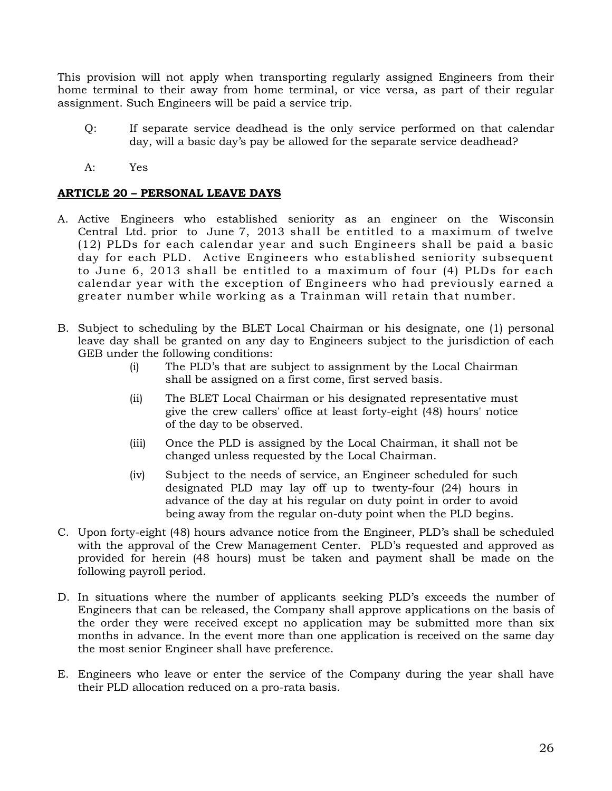This provision will not apply when transporting regularly assigned Engineers from their home terminal to their away from home terminal, or vice versa, as part of their regular assignment. Such Engineers will be paid a service trip.

- Q: If separate service deadhead is the only service performed on that calendar day, will a basic day's pay be allowed for the separate service deadhead?
- A: Yes

#### <span id="page-27-0"></span>**ARTICLE 20 – PERSONAL LEAVE DAYS**

- A. Active Engineers who established seniority as an engineer on the Wisconsin Central Ltd. prior to June 7, 2013 shall be entitled to a maximum of twelve (12) PLDs for each calendar year and such Engineers shall be paid a basic day for each PLD. Active Engineers who established seniority subsequent to June 6, 2013 shall be entitled to a maximum of four (4) PLDs for each calendar year with the exception of Engineers who had previously earned a greater number while working as a Trainman will retain that number.
- B. Subject to scheduling by the BLET Local Chairman or his designate, one (1) personal leave day shall be granted on any day to Engineers subject to the jurisdiction of each GEB under the following conditions:
	- (i) The PLD's that are subject to assignment by the Local Chairman shall be assigned on a first come, first served basis.
	- (ii) The BLET Local Chairman or his designated representative must give the crew callers' office at least forty-eight (48) hours' notice of the day to be observed.
	- (iii) Once the PLD is assigned by the Local Chairman, it shall not be changed unless requested by the Local Chairman.
	- (iv) Subject to the needs of service, an Engineer scheduled for such designated PLD may lay off up to twenty-four (24) hours in advance of the day at his regular on duty point in order to avoid being away from the regular on-duty point when the PLD begins.
- C. Upon forty-eight (48) hours advance notice from the Engineer, PLD's shall be scheduled with the approval of the Crew Management Center. PLD's requested and approved as provided for herein (48 hours) must be taken and payment shall be made on the following payroll period.
- D. In situations where the number of applicants seeking PLD's exceeds the number of Engineers that can be released, the Company shall approve applications on the basis of the order they were received except no application may be submitted more than six months in advance. In the event more than one application is received on the same day the most senior Engineer shall have preference.
- E. Engineers who leave or enter the service of the Company during the year shall have their PLD allocation reduced on a pro-rata basis.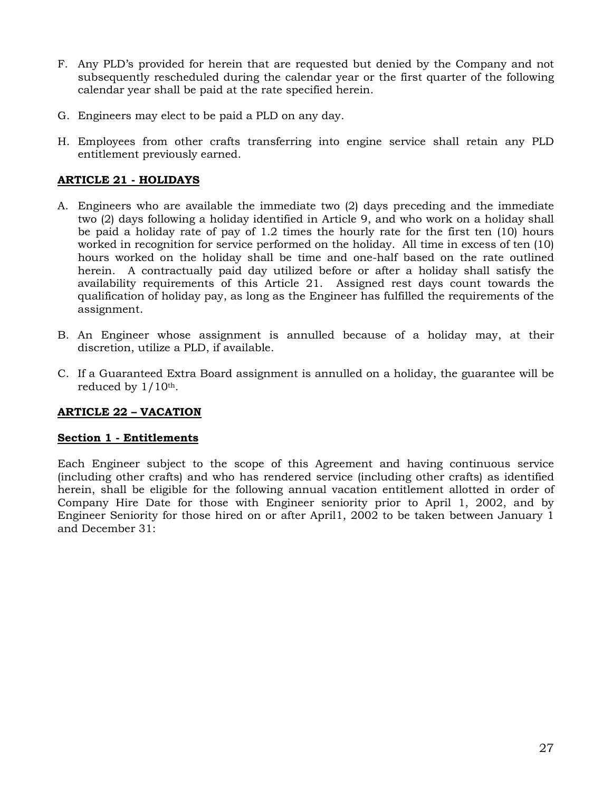- F. Any PLD's provided for herein that are requested but denied by the Company and not subsequently rescheduled during the calendar year or the first quarter of the following calendar year shall be paid at the rate specified herein.
- G. Engineers may elect to be paid a PLD on any day.
- H. Employees from other crafts transferring into engine service shall retain any PLD entitlement previously earned.

### <span id="page-28-0"></span>**ARTICLE 21 - HOLIDAYS**

- A. Engineers who are available the immediate two (2) days preceding and the immediate two (2) days following a holiday identified in Article 9, and who work on a holiday shall be paid a holiday rate of pay of 1.2 times the hourly rate for the first ten (10) hours worked in recognition for service performed on the holiday. All time in excess of ten (10) hours worked on the holiday shall be time and one-half based on the rate outlined herein. A contractually paid day utilized before or after a holiday shall satisfy the availability requirements of this Article 21. Assigned rest days count towards the qualification of holiday pay, as long as the Engineer has fulfilled the requirements of the assignment.
- B. An Engineer whose assignment is annulled because of a holiday may, at their discretion, utilize a PLD, if available.
- C. If a Guaranteed Extra Board assignment is annulled on a holiday, the guarantee will be reduced by  $1/10$ <sup>th</sup>.

### <span id="page-28-1"></span>**ARTICLE 22 – VACATION**

#### <span id="page-28-2"></span>**Section 1 - Entitlements**

Each Engineer subject to the scope of this Agreement and having continuous service (including other crafts) and who has rendered service (including other crafts) as identified herein, shall be eligible for the following annual vacation entitlement allotted in order of Company Hire Date for those with Engineer seniority prior to April 1, 2002, and by Engineer Seniority for those hired on or after April1, 2002 to be taken between January 1 and December 31: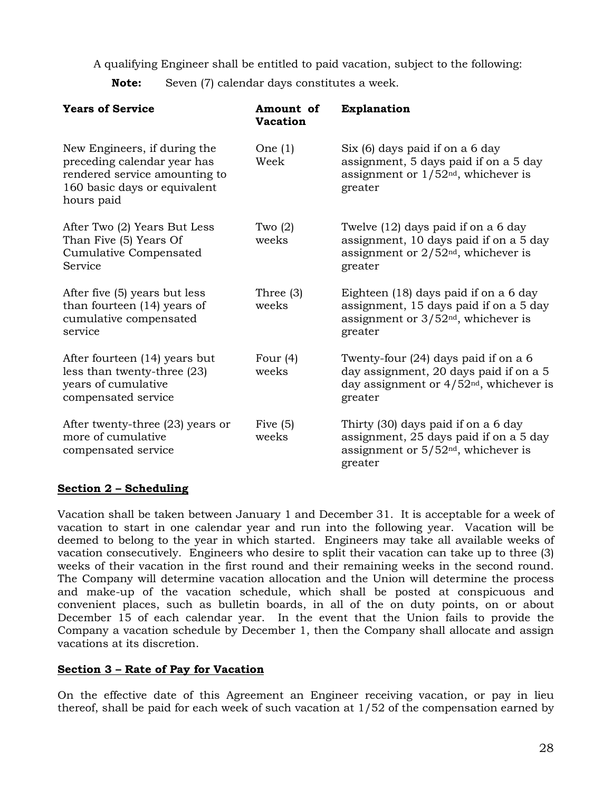A qualifying Engineer shall be entitled to paid vacation, subject to the following:

**Note:** Seven (7) calendar days constitutes a week.

| <b>Years of Service</b>                                                                                                                    | Amount of<br><b>Vacation</b> | <b>Explanation</b>                                                                                                                     |
|--------------------------------------------------------------------------------------------------------------------------------------------|------------------------------|----------------------------------------------------------------------------------------------------------------------------------------|
| New Engineers, if during the<br>preceding calendar year has<br>rendered service amounting to<br>160 basic days or equivalent<br>hours paid | One $(1)$<br>Week            | Six (6) days paid if on a 6 day<br>assignment, 5 days paid if on a 5 day<br>assignment or $1/52nd$ , whichever is<br>greater           |
| After Two (2) Years But Less<br>Than Five (5) Years Of<br>Cumulative Compensated<br>Service                                                | Two $(2)$<br>weeks           | Twelve (12) days paid if on a 6 day<br>assignment, 10 days paid if on a 5 day<br>assignment or $2/52nd$ , whichever is<br>greater      |
| After five (5) years but less<br>than fourteen (14) years of<br>cumulative compensated<br>service                                          | Three $(3)$<br>weeks         | Eighteen (18) days paid if on a 6 day<br>assignment, 15 days paid if on a 5 day<br>assignment or $3/52nd$ , whichever is<br>greater    |
| After fourteen (14) years but<br>less than twenty-three (23)<br>years of cumulative<br>compensated service                                 | Four $(4)$<br>weeks          | Twenty-four (24) days paid if on a 6<br>day assignment, 20 days paid if on a 5<br>day assignment or $4/52nd$ , whichever is<br>greater |
| After twenty-three (23) years or<br>more of cumulative<br>compensated service                                                              | Five $(5)$<br>weeks          | Thirty (30) days paid if on a 6 day<br>assignment, 25 days paid if on a 5 day<br>assignment or $5/52nd$ , whichever is<br>greater      |

### <span id="page-29-0"></span>**Section 2 – Scheduling**

Vacation shall be taken between January 1 and December 31. It is acceptable for a week of vacation to start in one calendar year and run into the following year. Vacation will be deemed to belong to the year in which started. Engineers may take all available weeks of vacation consecutively. Engineers who desire to split their vacation can take up to three (3) weeks of their vacation in the first round and their remaining weeks in the second round. The Company will determine vacation allocation and the Union will determine the process and make-up of the vacation schedule, which shall be posted at conspicuous and convenient places, such as bulletin boards, in all of the on duty points, on or about December 15 of each calendar year. In the event that the Union fails to provide the Company a vacation schedule by December 1, then the Company shall allocate and assign vacations at its discretion.

### <span id="page-29-1"></span>**Section 3 – Rate of Pay for Vacation**

On the effective date of this Agreement an Engineer receiving vacation, or pay in lieu thereof, shall be paid for each week of such vacation at 1/52 of the compensation earned by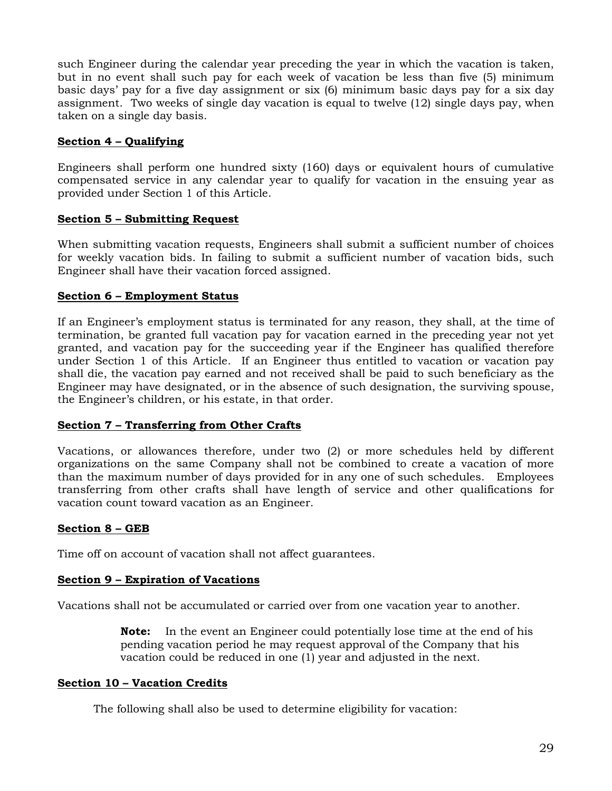such Engineer during the calendar year preceding the year in which the vacation is taken, but in no event shall such pay for each week of vacation be less than five (5) minimum basic days' pay for a five day assignment or six (6) minimum basic days pay for a six day assignment. Two weeks of single day vacation is equal to twelve (12) single days pay, when taken on a single day basis.

## <span id="page-30-0"></span>**Section 4 – Qualifying**

Engineers shall perform one hundred sixty (160) days or equivalent hours of cumulative compensated service in any calendar year to qualify for vacation in the ensuing year as provided under Section 1 of this Article.

### <span id="page-30-1"></span>**Section 5 – Submitting Request**

When submitting vacation requests, Engineers shall submit a sufficient number of choices for weekly vacation bids. In failing to submit a sufficient number of vacation bids, such Engineer shall have their vacation forced assigned.

## <span id="page-30-2"></span>**Section 6 – Employment Status**

If an Engineer's employment status is terminated for any reason, they shall, at the time of termination, be granted full vacation pay for vacation earned in the preceding year not yet granted, and vacation pay for the succeeding year if the Engineer has qualified therefore under Section 1 of this Article. If an Engineer thus entitled to vacation or vacation pay shall die, the vacation pay earned and not received shall be paid to such beneficiary as the Engineer may have designated, or in the absence of such designation, the surviving spouse, the Engineer's children, or his estate, in that order.

## <span id="page-30-3"></span>**Section 7 – Transferring from Other Crafts**

Vacations, or allowances therefore, under two (2) or more schedules held by different organizations on the same Company shall not be combined to create a vacation of more than the maximum number of days provided for in any one of such schedules. Employees transferring from other crafts shall have length of service and other qualifications for vacation count toward vacation as an Engineer.

## <span id="page-30-4"></span>**Section 8 – GEB**

Time off on account of vacation shall not affect guarantees.

### <span id="page-30-5"></span>**Section 9 – Expiration of Vacations**

Vacations shall not be accumulated or carried over from one vacation year to another.

**Note:** In the event an Engineer could potentially lose time at the end of his pending vacation period he may request approval of the Company that his vacation could be reduced in one (1) year and adjusted in the next.

### <span id="page-30-6"></span>**Section 10 – Vacation Credits**

The following shall also be used to determine eligibility for vacation: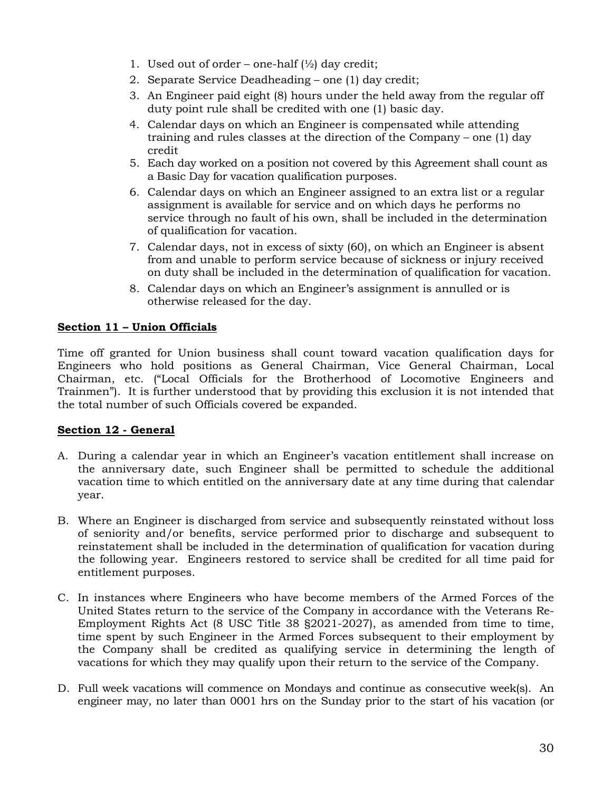- 1. Used out of order one-half  $\left(\frac{1}{2}\right)$  day credit;
- 2. Separate Service Deadheading one (1) day credit;
- 3. An Engineer paid eight (8) hours under the held away from the regular off duty point rule shall be credited with one (1) basic day.
- 4. Calendar days on which an Engineer is compensated while attending training and rules classes at the direction of the Company – one (1) day credit
- 5. Each day worked on a position not covered by this Agreement shall count as a Basic Day for vacation qualification purposes.
- 6. Calendar days on which an Engineer assigned to an extra list or a regular assignment is available for service and on which days he performs no service through no fault of his own, shall be included in the determination of qualification for vacation.
- 7. Calendar days, not in excess of sixty (60), on which an Engineer is absent from and unable to perform service because of sickness or injury received on duty shall be included in the determination of qualification for vacation.
- 8. Calendar days on which an Engineer's assignment is annulled or is otherwise released for the day.

## <span id="page-31-0"></span>**Section 11 – Union Officials**

Time off granted for Union business shall count toward vacation qualification days for Engineers who hold positions as General Chairman, Vice General Chairman, Local Chairman, etc. ("Local Officials for the Brotherhood of Locomotive Engineers and Trainmen"). It is further understood that by providing this exclusion it is not intended that the total number of such Officials covered be expanded.

### <span id="page-31-1"></span>**Section 12 - General**

- A. During a calendar year in which an Engineer's vacation entitlement shall increase on the anniversary date, such Engineer shall be permitted to schedule the additional vacation time to which entitled on the anniversary date at any time during that calendar year.
- B. Where an Engineer is discharged from service and subsequently reinstated without loss of seniority and/or benefits, service performed prior to discharge and subsequent to reinstatement shall be included in the determination of qualification for vacation during the following year. Engineers restored to service shall be credited for all time paid for entitlement purposes.
- C. In instances where Engineers who have become members of the Armed Forces of the United States return to the service of the Company in accordance with the Veterans Re-Employment Rights Act (8 USC Title 38 §2021-2027), as amended from time to time, time spent by such Engineer in the Armed Forces subsequent to their employment by the Company shall be credited as qualifying service in determining the length of vacations for which they may qualify upon their return to the service of the Company.
- D. Full week vacations will commence on Mondays and continue as consecutive week(s). An engineer may, no later than 0001 hrs on the Sunday prior to the start of his vacation (or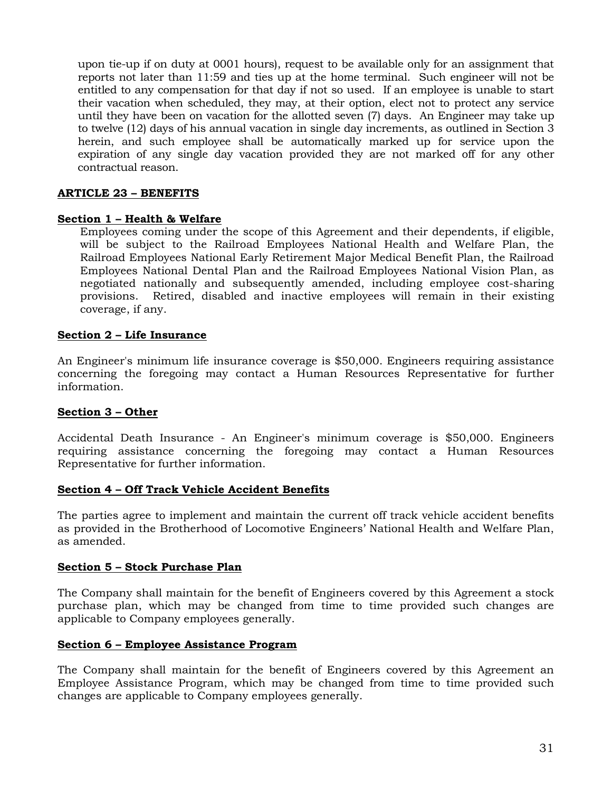upon tie-up if on duty at 0001 hours), request to be available only for an assignment that reports not later than 11:59 and ties up at the home terminal. Such engineer will not be entitled to any compensation for that day if not so used. If an employee is unable to start their vacation when scheduled, they may, at their option, elect not to protect any service until they have been on vacation for the allotted seven (7) days. An Engineer may take up to twelve (12) days of his annual vacation in single day increments, as outlined in Section 3 herein, and such employee shall be automatically marked up for service upon the expiration of any single day vacation provided they are not marked off for any other contractual reason.

#### <span id="page-32-0"></span>**ARTICLE 23 – BENEFITS**

#### <span id="page-32-1"></span>**Section 1 – Health & Welfare**

Employees coming under the scope of this Agreement and their dependents, if eligible, will be subject to the Railroad Employees National Health and Welfare Plan, the Railroad Employees National Early Retirement Major Medical Benefit Plan, the Railroad Employees National Dental Plan and the Railroad Employees National Vision Plan, as negotiated nationally and subsequently amended, including employee cost-sharing provisions. Retired, disabled and inactive employees will remain in their existing coverage, if any.

### <span id="page-32-2"></span>**Section 2 – Life Insurance**

An Engineer's minimum life insurance coverage is \$50,000. Engineers requiring assistance concerning the foregoing may contact a Human Resources Representative for further information.

### <span id="page-32-3"></span>**Section 3 – Other**

Accidental Death Insurance - An Engineer's minimum coverage is \$50,000. Engineers requiring assistance concerning the foregoing may contact a Human Resources Representative for further information.

#### <span id="page-32-4"></span>**Section 4 – Off Track Vehicle Accident Benefits**

The parties agree to implement and maintain the current off track vehicle accident benefits as provided in the Brotherhood of Locomotive Engineers' National Health and Welfare Plan, as amended.

#### <span id="page-32-5"></span>**Section 5 – Stock Purchase Plan**

The Company shall maintain for the benefit of Engineers covered by this Agreement a stock purchase plan, which may be changed from time to time provided such changes are applicable to Company employees generally.

#### <span id="page-32-6"></span>**Section 6 – Employee Assistance Program**

The Company shall maintain for the benefit of Engineers covered by this Agreement an Employee Assistance Program, which may be changed from time to time provided such changes are applicable to Company employees generally.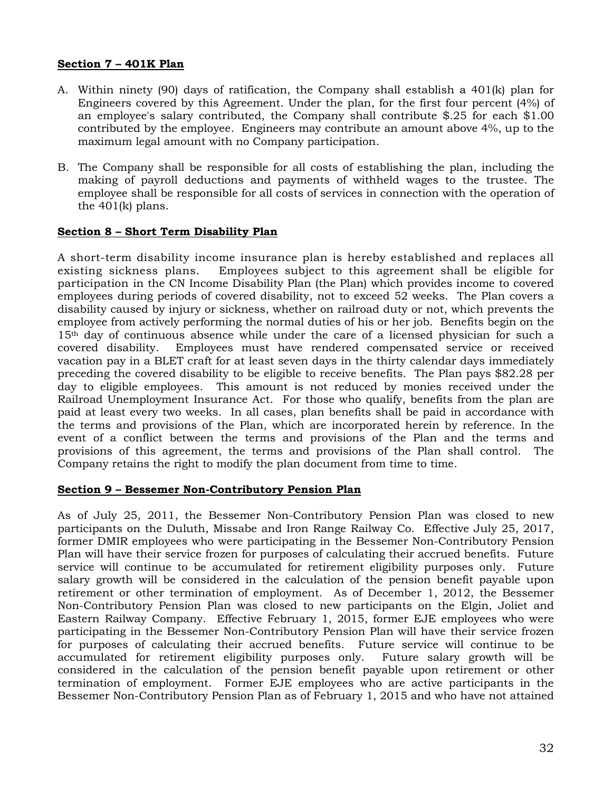#### <span id="page-33-0"></span>**Section 7 – 401K Plan**

- A. Within ninety (90) days of ratification, the Company shall establish a 401(k) plan for Engineers covered by this Agreement. Under the plan, for the first four percent (4%) of an employee's salary contributed, the Company shall contribute \$.25 for each \$1.00 contributed by the employee. Engineers may contribute an amount above 4%, up to the maximum legal amount with no Company participation.
- B. The Company shall be responsible for all costs of establishing the plan, including the making of payroll deductions and payments of withheld wages to the trustee. The employee shall be responsible for all costs of services in connection with the operation of the 401(k) plans.

#### <span id="page-33-1"></span>**Section 8 – Short Term Disability Plan**

A short-term disability income insurance plan is hereby established and replaces all existing sickness plans. Employees subject to this agreement shall be eligible for participation in the CN Income Disability Plan (the Plan) which provides income to covered employees during periods of covered disability, not to exceed 52 weeks. The Plan covers a disability caused by injury or sickness, whether on railroad duty or not, which prevents the employee from actively performing the normal duties of his or her job. Benefits begin on the 15th day of continuous absence while under the care of a licensed physician for such a covered disability. Employees must have rendered compensated service or received vacation pay in a BLET craft for at least seven days in the thirty calendar days immediately preceding the covered disability to be eligible to receive benefits. The Plan pays \$82.28 per day to eligible employees. This amount is not reduced by monies received under the Railroad Unemployment Insurance Act. For those who qualify, benefits from the plan are paid at least every two weeks. In all cases, plan benefits shall be paid in accordance with the terms and provisions of the Plan, which are incorporated herein by reference. In the event of a conflict between the terms and provisions of the Plan and the terms and provisions of this agreement, the terms and provisions of the Plan shall control. The Company retains the right to modify the plan document from time to time.

#### <span id="page-33-2"></span>**Section 9 – Bessemer Non-Contributory Pension Plan**

As of July 25, 2011, the Bessemer Non-Contributory Pension Plan was closed to new participants on the Duluth, Missabe and Iron Range Railway Co. Effective July 25, 2017, former DMIR employees who were participating in the Bessemer Non-Contributory Pension Plan will have their service frozen for purposes of calculating their accrued benefits. Future service will continue to be accumulated for retirement eligibility purposes only. Future salary growth will be considered in the calculation of the pension benefit payable upon retirement or other termination of employment. As of December 1, 2012, the Bessemer Non-Contributory Pension Plan was closed to new participants on the Elgin, Joliet and Eastern Railway Company. Effective February 1, 2015, former EJE employees who were participating in the Bessemer Non-Contributory Pension Plan will have their service frozen for purposes of calculating their accrued benefits. Future service will continue to be accumulated for retirement eligibility purposes only. Future salary growth will be considered in the calculation of the pension benefit payable upon retirement or other termination of employment. Former EJE employees who are active participants in the Bessemer Non-Contributory Pension Plan as of February 1, 2015 and who have not attained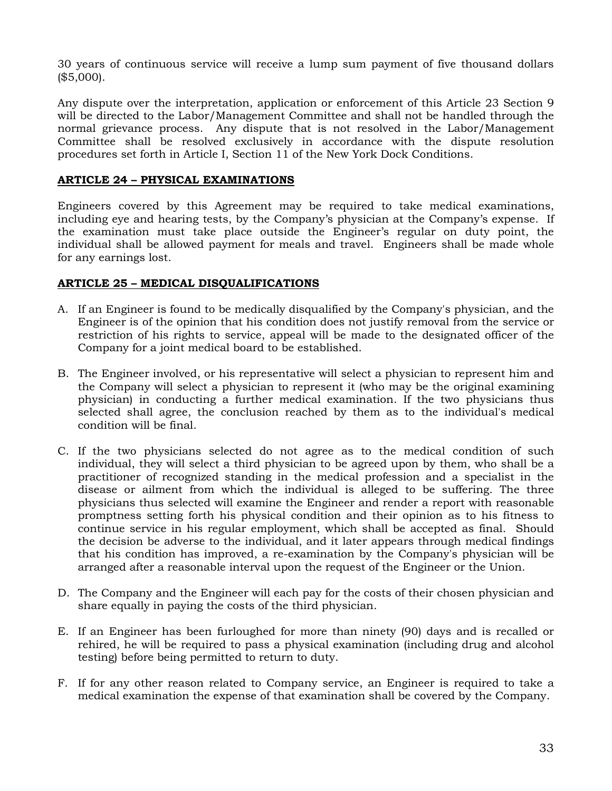30 years of continuous service will receive a lump sum payment of five thousand dollars (\$5,000).

Any dispute over the interpretation, application or enforcement of this Article 23 Section 9 will be directed to the Labor/Management Committee and shall not be handled through the normal grievance process. Any dispute that is not resolved in the Labor/Management Committee shall be resolved exclusively in accordance with the dispute resolution procedures set forth in Article I, Section 11 of the New York Dock Conditions.

### <span id="page-34-0"></span>**ARTICLE 24 – PHYSICAL EXAMINATIONS**

Engineers covered by this Agreement may be required to take medical examinations, including eye and hearing tests, by the Company's physician at the Company's expense. If the examination must take place outside the Engineer's regular on duty point, the individual shall be allowed payment for meals and travel. Engineers shall be made whole for any earnings lost.

### <span id="page-34-1"></span>**ARTICLE 25 – MEDICAL DISQUALIFICATIONS**

- A. If an Engineer is found to be medically disqualified by the Company's physician, and the Engineer is of the opinion that his condition does not justify removal from the service or restriction of his rights to service, appeal will be made to the designated officer of the Company for a joint medical board to be established.
- B. The Engineer involved, or his representative will select a physician to represent him and the Company will select a physician to represent it (who may be the original examining physician) in conducting a further medical examination. If the two physicians thus selected shall agree, the conclusion reached by them as to the individual's medical condition will be final.
- C. If the two physicians selected do not agree as to the medical condition of such individual, they will select a third physician to be agreed upon by them, who shall be a practitioner of recognized standing in the medical profession and a specialist in the disease or ailment from which the individual is alleged to be suffering. The three physicians thus selected will examine the Engineer and render a report with reasonable promptness setting forth his physical condition and their opinion as to his fitness to continue service in his regular employment, which shall be accepted as final. Should the decision be adverse to the individual, and it later appears through medical findings that his condition has improved, a re-examination by the Company's physician will be arranged after a reasonable interval upon the request of the Engineer or the Union.
- D. The Company and the Engineer will each pay for the costs of their chosen physician and share equally in paying the costs of the third physician.
- E. If an Engineer has been furloughed for more than ninety (90) days and is recalled or rehired, he will be required to pass a physical examination (including drug and alcohol testing) before being permitted to return to duty.
- F. If for any other reason related to Company service, an Engineer is required to take a medical examination the expense of that examination shall be covered by the Company.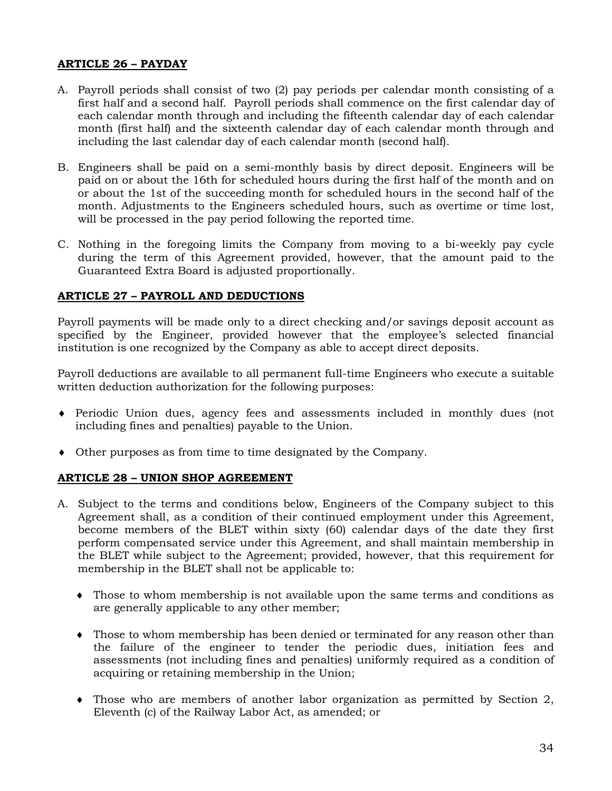### <span id="page-35-0"></span>**ARTICLE 26 – PAYDAY**

- A. Payroll periods shall consist of two (2) pay periods per calendar month consisting of a first half and a second half. Payroll periods shall commence on the first calendar day of each calendar month through and including the fifteenth calendar day of each calendar month (first half) and the sixteenth calendar day of each calendar month through and including the last calendar day of each calendar month (second half).
- B. Engineers shall be paid on a semi-monthly basis by direct deposit. Engineers will be paid on or about the 16th for scheduled hours during the first half of the month and on or about the 1st of the succeeding month for scheduled hours in the second half of the month. Adjustments to the Engineers scheduled hours, such as overtime or time lost, will be processed in the pay period following the reported time.
- C. Nothing in the foregoing limits the Company from moving to a bi-weekly pay cycle during the term of this Agreement provided, however, that the amount paid to the Guaranteed Extra Board is adjusted proportionally.

### <span id="page-35-1"></span>**ARTICLE 27 – PAYROLL AND DEDUCTIONS**

Payroll payments will be made only to a direct checking and/or savings deposit account as specified by the Engineer, provided however that the employee's selected financial institution is one recognized by the Company as able to accept direct deposits.

Payroll deductions are available to all permanent full-time Engineers who execute a suitable written deduction authorization for the following purposes:

- ♦ Periodic Union dues, agency fees and assessments included in monthly dues (not including fines and penalties) payable to the Union.
- ♦ Other purposes as from time to time designated by the Company.

#### <span id="page-35-2"></span>**ARTICLE 28 – UNION SHOP AGREEMENT**

- A. Subject to the terms and conditions below, Engineers of the Company subject to this Agreement shall, as a condition of their continued employment under this Agreement, become members of the BLET within sixty (60) calendar days of the date they first perform compensated service under this Agreement, and shall maintain membership in the BLET while subject to the Agreement; provided, however, that this requirement for membership in the BLET shall not be applicable to:
	- ♦ Those to whom membership is not available upon the same terms and conditions as are generally applicable to any other member;
	- ♦ Those to whom membership has been denied or terminated for any reason other than the failure of the engineer to tender the periodic dues, initiation fees and assessments (not including fines and penalties) uniformly required as a condition of acquiring or retaining membership in the Union;
	- ♦ Those who are members of another labor organization as permitted by Section 2, Eleventh (c) of the Railway Labor Act, as amended; or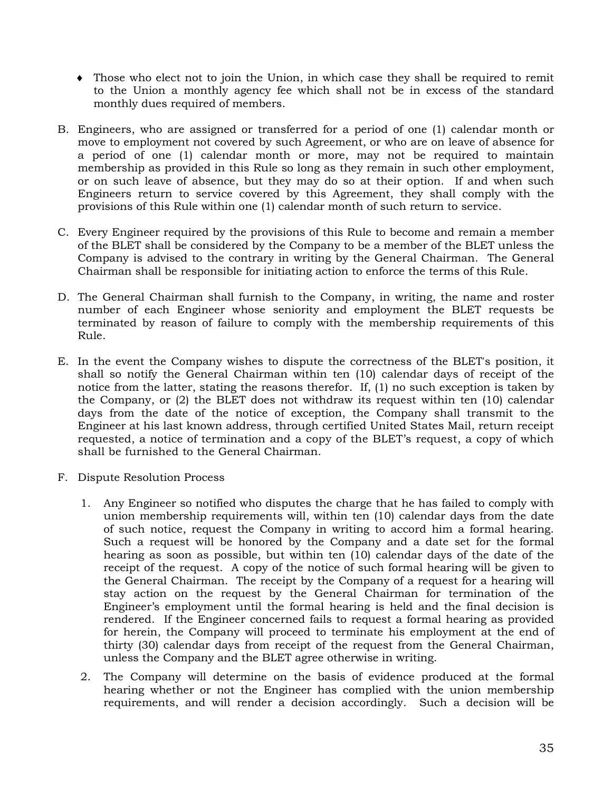- ♦ Those who elect not to join the Union, in which case they shall be required to remit to the Union a monthly agency fee which shall not be in excess of the standard monthly dues required of members.
- B. Engineers, who are assigned or transferred for a period of one (1) calendar month or move to employment not covered by such Agreement, or who are on leave of absence for a period of one (1) calendar month or more, may not be required to maintain membership as provided in this Rule so long as they remain in such other employment, or on such leave of absence, but they may do so at their option. If and when such Engineers return to service covered by this Agreement, they shall comply with the provisions of this Rule within one (1) calendar month of such return to service.
- C. Every Engineer required by the provisions of this Rule to become and remain a member of the BLET shall be considered by the Company to be a member of the BLET unless the Company is advised to the contrary in writing by the General Chairman. The General Chairman shall be responsible for initiating action to enforce the terms of this Rule.
- D. The General Chairman shall furnish to the Company, in writing, the name and roster number of each Engineer whose seniority and employment the BLET requests be terminated by reason of failure to comply with the membership requirements of this Rule.
- E. In the event the Company wishes to dispute the correctness of the BLET's position, it shall so notify the General Chairman within ten (10) calendar days of receipt of the notice from the latter, stating the reasons therefor. If, (1) no such exception is taken by the Company, or (2) the BLET does not withdraw its request within ten (10) calendar days from the date of the notice of exception, the Company shall transmit to the Engineer at his last known address, through certified United States Mail, return receipt requested, a notice of termination and a copy of the BLET's request, a copy of which shall be furnished to the General Chairman.
- F. Dispute Resolution Process
	- 1. Any Engineer so notified who disputes the charge that he has failed to comply with union membership requirements will, within ten (10) calendar days from the date of such notice, request the Company in writing to accord him a formal hearing. Such a request will be honored by the Company and a date set for the formal hearing as soon as possible, but within ten (10) calendar days of the date of the receipt of the request. A copy of the notice of such formal hearing will be given to the General Chairman. The receipt by the Company of a request for a hearing will stay action on the request by the General Chairman for termination of the Engineer's employment until the formal hearing is held and the final decision is rendered. If the Engineer concerned fails to request a formal hearing as provided for herein, the Company will proceed to terminate his employment at the end of thirty (30) calendar days from receipt of the request from the General Chairman, unless the Company and the BLET agree otherwise in writing.
	- 2. The Company will determine on the basis of evidence produced at the formal hearing whether or not the Engineer has complied with the union membership requirements, and will render a decision accordingly. Such a decision will be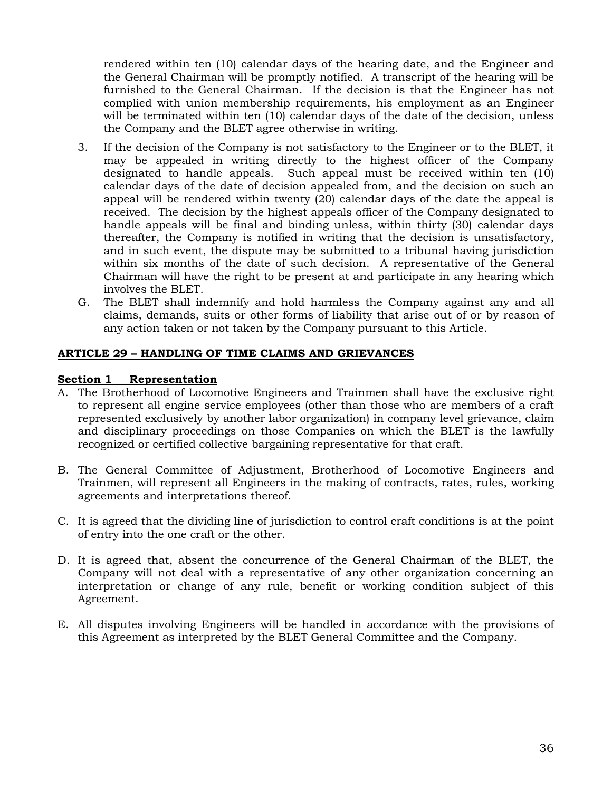rendered within ten (10) calendar days of the hearing date, and the Engineer and the General Chairman will be promptly notified. A transcript of the hearing will be furnished to the General Chairman. If the decision is that the Engineer has not complied with union membership requirements, his employment as an Engineer will be terminated within ten (10) calendar days of the date of the decision, unless the Company and the BLET agree otherwise in writing.

- 3. If the decision of the Company is not satisfactory to the Engineer or to the BLET, it may be appealed in writing directly to the highest officer of the Company designated to handle appeals. Such appeal must be received within ten (10) calendar days of the date of decision appealed from, and the decision on such an appeal will be rendered within twenty (20) calendar days of the date the appeal is received. The decision by the highest appeals officer of the Company designated to handle appeals will be final and binding unless, within thirty (30) calendar days thereafter, the Company is notified in writing that the decision is unsatisfactory, and in such event, the dispute may be submitted to a tribunal having jurisdiction within six months of the date of such decision. A representative of the General Chairman will have the right to be present at and participate in any hearing which involves the BLET.
- G. The BLET shall indemnify and hold harmless the Company against any and all claims, demands, suits or other forms of liability that arise out of or by reason of any action taken or not taken by the Company pursuant to this Article.

### <span id="page-37-0"></span>**ARTICLE 29 – HANDLING OF TIME CLAIMS AND GRIEVANCES**

#### <span id="page-37-1"></span>**Section 1 Representation**

- A. The Brotherhood of Locomotive Engineers and Trainmen shall have the exclusive right to represent all engine service employees (other than those who are members of a craft represented exclusively by another labor organization) in company level grievance, claim and disciplinary proceedings on those Companies on which the BLET is the lawfully recognized or certified collective bargaining representative for that craft.
- B. The General Committee of Adjustment, Brotherhood of Locomotive Engineers and Trainmen, will represent all Engineers in the making of contracts, rates, rules, working agreements and interpretations thereof.
- C. It is agreed that the dividing line of jurisdiction to control craft conditions is at the point of entry into the one craft or the other.
- D. It is agreed that, absent the concurrence of the General Chairman of the BLET, the Company will not deal with a representative of any other organization concerning an interpretation or change of any rule, benefit or working condition subject of this Agreement.
- E. All disputes involving Engineers will be handled in accordance with the provisions of this Agreement as interpreted by the BLET General Committee and the Company.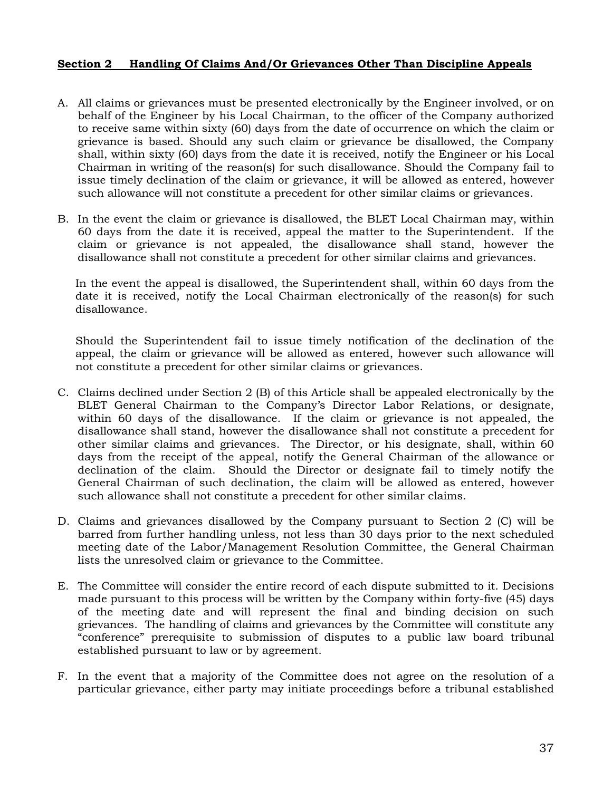#### <span id="page-38-0"></span>**Section 2 Handling Of Claims And/Or Grievances Other Than Discipline Appeals**

- A. All claims or grievances must be presented electronically by the Engineer involved, or on behalf of the Engineer by his Local Chairman, to the officer of the Company authorized to receive same within sixty (60) days from the date of occurrence on which the claim or grievance is based. Should any such claim or grievance be disallowed, the Company shall, within sixty (60) days from the date it is received, notify the Engineer or his Local Chairman in writing of the reason(s) for such disallowance. Should the Company fail to issue timely declination of the claim or grievance, it will be allowed as entered, however such allowance will not constitute a precedent for other similar claims or grievances.
- B. In the event the claim or grievance is disallowed, the BLET Local Chairman may, within 60 days from the date it is received, appeal the matter to the Superintendent. If the claim or grievance is not appealed, the disallowance shall stand, however the disallowance shall not constitute a precedent for other similar claims and grievances.

In the event the appeal is disallowed, the Superintendent shall, within 60 days from the date it is received, notify the Local Chairman electronically of the reason(s) for such disallowance.

Should the Superintendent fail to issue timely notification of the declination of the appeal, the claim or grievance will be allowed as entered, however such allowance will not constitute a precedent for other similar claims or grievances.

- C. Claims declined under Section 2 (B) of this Article shall be appealed electronically by the BLET General Chairman to the Company's Director Labor Relations, or designate, within 60 days of the disallowance. If the claim or grievance is not appealed, the disallowance shall stand, however the disallowance shall not constitute a precedent for other similar claims and grievances. The Director, or his designate, shall, within 60 days from the receipt of the appeal, notify the General Chairman of the allowance or declination of the claim. Should the Director or designate fail to timely notify the General Chairman of such declination, the claim will be allowed as entered, however such allowance shall not constitute a precedent for other similar claims.
- D. Claims and grievances disallowed by the Company pursuant to Section 2 (C) will be barred from further handling unless, not less than 30 days prior to the next scheduled meeting date of the Labor/Management Resolution Committee, the General Chairman lists the unresolved claim or grievance to the Committee.
- E. The Committee will consider the entire record of each dispute submitted to it. Decisions made pursuant to this process will be written by the Company within forty-five (45) days of the meeting date and will represent the final and binding decision on such grievances. The handling of claims and grievances by the Committee will constitute any "conference" prerequisite to submission of disputes to a public law board tribunal established pursuant to law or by agreement.
- F. In the event that a majority of the Committee does not agree on the resolution of a particular grievance, either party may initiate proceedings before a tribunal established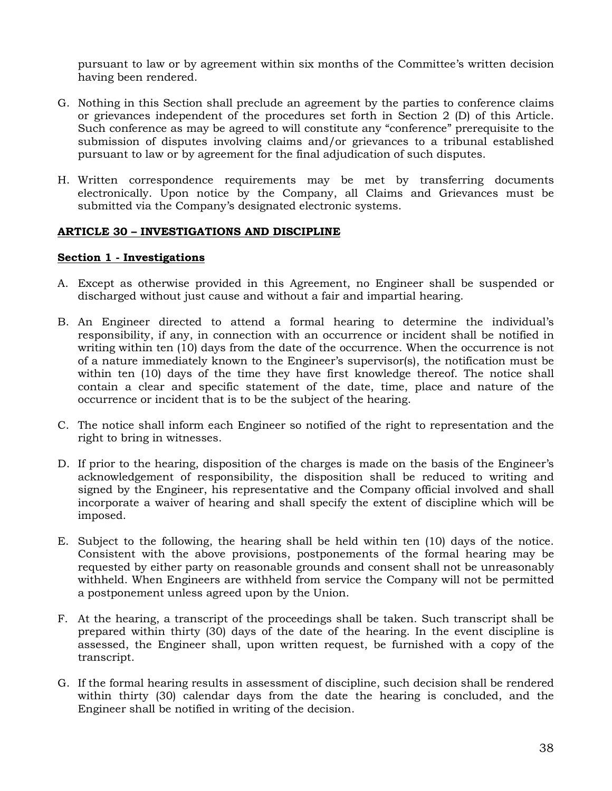pursuant to law or by agreement within six months of the Committee's written decision having been rendered.

- G. Nothing in this Section shall preclude an agreement by the parties to conference claims or grievances independent of the procedures set forth in Section 2 (D) of this Article. Such conference as may be agreed to will constitute any "conference" prerequisite to the submission of disputes involving claims and/or grievances to a tribunal established pursuant to law or by agreement for the final adjudication of such disputes.
- H. Written correspondence requirements may be met by transferring documents electronically. Upon notice by the Company, all Claims and Grievances must be submitted via the Company's designated electronic systems.

#### <span id="page-39-0"></span>**ARTICLE 30 – INVESTIGATIONS AND DISCIPLINE**

#### <span id="page-39-1"></span>**Section 1 - Investigations**

- A. Except as otherwise provided in this Agreement, no Engineer shall be suspended or discharged without just cause and without a fair and impartial hearing.
- B. An Engineer directed to attend a formal hearing to determine the individual's responsibility, if any, in connection with an occurrence or incident shall be notified in writing within ten (10) days from the date of the occurrence. When the occurrence is not of a nature immediately known to the Engineer's supervisor(s), the notification must be within ten (10) days of the time they have first knowledge thereof. The notice shall contain a clear and specific statement of the date, time, place and nature of the occurrence or incident that is to be the subject of the hearing.
- C. The notice shall inform each Engineer so notified of the right to representation and the right to bring in witnesses.
- D. If prior to the hearing, disposition of the charges is made on the basis of the Engineer's acknowledgement of responsibility, the disposition shall be reduced to writing and signed by the Engineer, his representative and the Company official involved and shall incorporate a waiver of hearing and shall specify the extent of discipline which will be imposed.
- E. Subject to the following, the hearing shall be held within ten (10) days of the notice. Consistent with the above provisions, postponements of the formal hearing may be requested by either party on reasonable grounds and consent shall not be unreasonably withheld. When Engineers are withheld from service the Company will not be permitted a postponement unless agreed upon by the Union.
- F. At the hearing, a transcript of the proceedings shall be taken. Such transcript shall be prepared within thirty (30) days of the date of the hearing. In the event discipline is assessed, the Engineer shall, upon written request, be furnished with a copy of the transcript.
- G. If the formal hearing results in assessment of discipline, such decision shall be rendered within thirty (30) calendar days from the date the hearing is concluded, and the Engineer shall be notified in writing of the decision.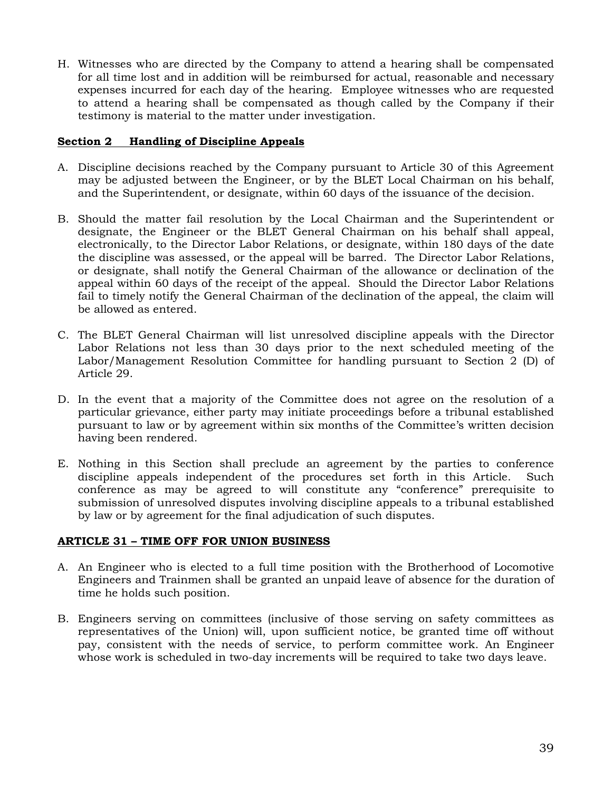H. Witnesses who are directed by the Company to attend a hearing shall be compensated for all time lost and in addition will be reimbursed for actual, reasonable and necessary expenses incurred for each day of the hearing. Employee witnesses who are requested to attend a hearing shall be compensated as though called by the Company if their testimony is material to the matter under investigation.

#### <span id="page-40-0"></span>**Section 2 Handling of Discipline Appeals**

- A. Discipline decisions reached by the Company pursuant to Article 30 of this Agreement may be adjusted between the Engineer, or by the BLET Local Chairman on his behalf, and the Superintendent, or designate, within 60 days of the issuance of the decision.
- B. Should the matter fail resolution by the Local Chairman and the Superintendent or designate, the Engineer or the BLET General Chairman on his behalf shall appeal, electronically, to the Director Labor Relations, or designate, within 180 days of the date the discipline was assessed, or the appeal will be barred. The Director Labor Relations, or designate, shall notify the General Chairman of the allowance or declination of the appeal within 60 days of the receipt of the appeal. Should the Director Labor Relations fail to timely notify the General Chairman of the declination of the appeal, the claim will be allowed as entered.
- C. The BLET General Chairman will list unresolved discipline appeals with the Director Labor Relations not less than 30 days prior to the next scheduled meeting of the Labor/Management Resolution Committee for handling pursuant to Section 2 (D) of Article 29.
- D. In the event that a majority of the Committee does not agree on the resolution of a particular grievance, either party may initiate proceedings before a tribunal established pursuant to law or by agreement within six months of the Committee's written decision having been rendered.
- E. Nothing in this Section shall preclude an agreement by the parties to conference discipline appeals independent of the procedures set forth in this Article. Such conference as may be agreed to will constitute any "conference" prerequisite to submission of unresolved disputes involving discipline appeals to a tribunal established by law or by agreement for the final adjudication of such disputes.

#### <span id="page-40-1"></span>**ARTICLE 31 – TIME OFF FOR UNION BUSINESS**

- A. An Engineer who is elected to a full time position with the Brotherhood of Locomotive Engineers and Trainmen shall be granted an unpaid leave of absence for the duration of time he holds such position.
- B. Engineers serving on committees (inclusive of those serving on safety committees as representatives of the Union) will, upon sufficient notice, be granted time off without pay, consistent with the needs of service, to perform committee work. An Engineer whose work is scheduled in two-day increments will be required to take two days leave.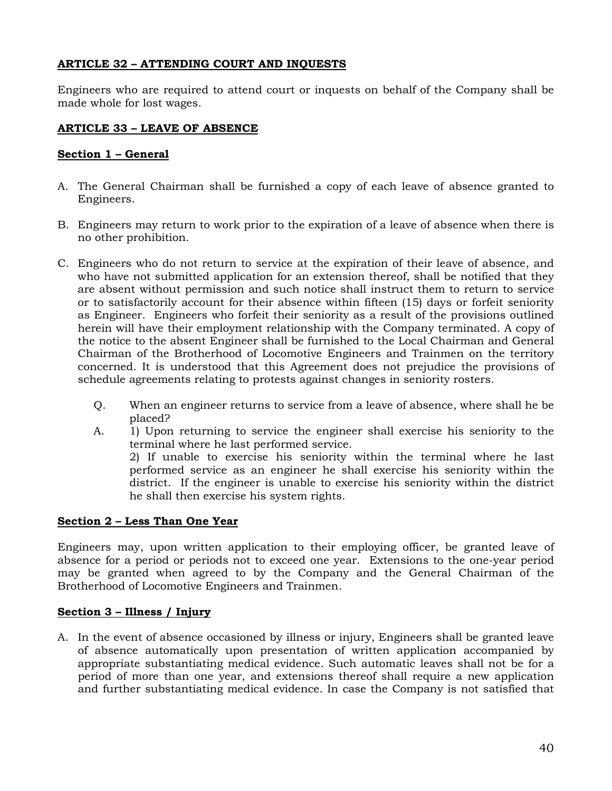## <span id="page-41-0"></span>**ARTICLE 32 – ATTENDING COURT AND INQUESTS**

Engineers who are required to attend court or inquests on behalf of the Company shall be made whole for lost wages.

## <span id="page-41-1"></span>**ARTICLE 33 – LEAVE OF ABSENCE**

## <span id="page-41-2"></span>**Section 1 – General**

- A. The General Chairman shall be furnished a copy of each leave of absence granted to Engineers.
- B. Engineers may return to work prior to the expiration of a leave of absence when there is no other prohibition.
- C. Engineers who do not return to service at the expiration of their leave of absence, and who have not submitted application for an extension thereof, shall be notified that they are absent without permission and such notice shall instruct them to return to service or to satisfactorily account for their absence within fifteen (15) days or forfeit seniority as Engineer. Engineers who forfeit their seniority as a result of the provisions outlined herein will have their employment relationship with the Company terminated. A copy of the notice to the absent Engineer shall be furnished to the Local Chairman and General Chairman of the Brotherhood of Locomotive Engineers and Trainmen on the territory concerned. It is understood that this Agreement does not prejudice the provisions of schedule agreements relating to protests against changes in seniority rosters.
	- Q. When an engineer returns to service from a leave of absence, where shall he be placed?
	- A. 1) Upon returning to service the engineer shall exercise his seniority to the terminal where he last performed service. 2) If unable to exercise his seniority within the terminal where he last performed service as an engineer he shall exercise his seniority within the

district. If the engineer is unable to exercise his seniority within the district

he shall then exercise his system rights.

## <span id="page-41-3"></span>**Section 2 – Less Than One Year**

Engineers may, upon written application to their employing officer, be granted leave of absence for a period or periods not to exceed one year. Extensions to the one-year period may be granted when agreed to by the Company and the General Chairman of the Brotherhood of Locomotive Engineers and Trainmen.

### <span id="page-41-4"></span>**Section 3 – Illness / Injury**

A. In the event of absence occasioned by illness or injury, Engineers shall be granted leave of absence automatically upon presentation of written application accompanied by appropriate substantiating medical evidence. Such automatic leaves shall not be for a period of more than one year, and extensions thereof shall require a new application and further substantiating medical evidence. In case the Company is not satisfied that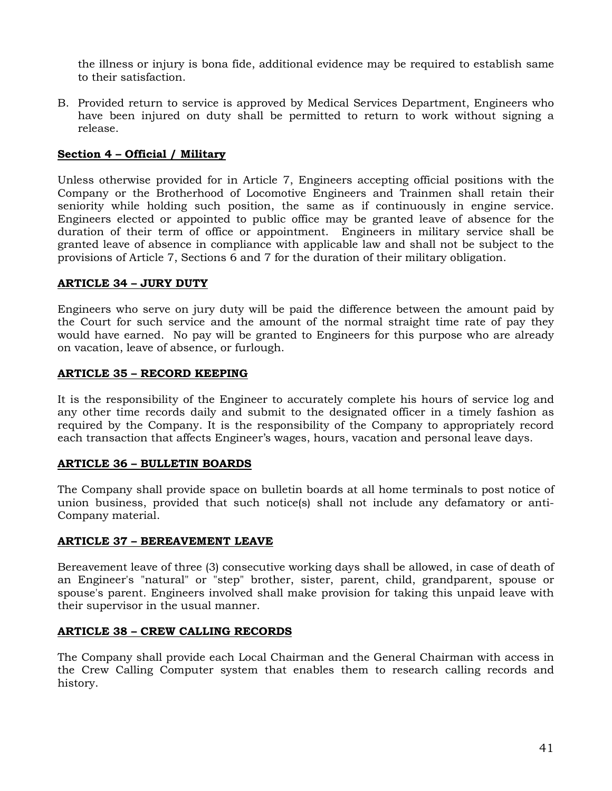the illness or injury is bona fide, additional evidence may be required to establish same to their satisfaction.

B. Provided return to service is approved by Medical Services Department, Engineers who have been injured on duty shall be permitted to return to work without signing a release.

## <span id="page-42-0"></span>**Section 4 – Official / Military**

Unless otherwise provided for in Article 7, Engineers accepting official positions with the Company or the Brotherhood of Locomotive Engineers and Trainmen shall retain their seniority while holding such position, the same as if continuously in engine service. Engineers elected or appointed to public office may be granted leave of absence for the duration of their term of office or appointment. Engineers in military service shall be granted leave of absence in compliance with applicable law and shall not be subject to the provisions of Article 7, Sections 6 and 7 for the duration of their military obligation.

### <span id="page-42-1"></span>**ARTICLE 34 – JURY DUTY**

Engineers who serve on jury duty will be paid the difference between the amount paid by the Court for such service and the amount of the normal straight time rate of pay they would have earned. No pay will be granted to Engineers for this purpose who are already on vacation, leave of absence, or furlough.

### <span id="page-42-2"></span>**ARTICLE 35 – RECORD KEEPING**

It is the responsibility of the Engineer to accurately complete his hours of service log and any other time records daily and submit to the designated officer in a timely fashion as required by the Company. It is the responsibility of the Company to appropriately record each transaction that affects Engineer's wages, hours, vacation and personal leave days.

### <span id="page-42-3"></span>**ARTICLE 36 – BULLETIN BOARDS**

The Company shall provide space on bulletin boards at all home terminals to post notice of union business, provided that such notice(s) shall not include any defamatory or anti-Company material.

### <span id="page-42-4"></span>**ARTICLE 37 – BEREAVEMENT LEAVE**

Bereavement leave of three (3) consecutive working days shall be allowed, in case of death of an Engineer's "natural" or "step" brother, sister, parent, child, grandparent, spouse or spouse's parent. Engineers involved shall make provision for taking this unpaid leave with their supervisor in the usual manner.

### <span id="page-42-5"></span>**ARTICLE 38 – CREW CALLING RECORDS**

The Company shall provide each Local Chairman and the General Chairman with access in the Crew Calling Computer system that enables them to research calling records and history.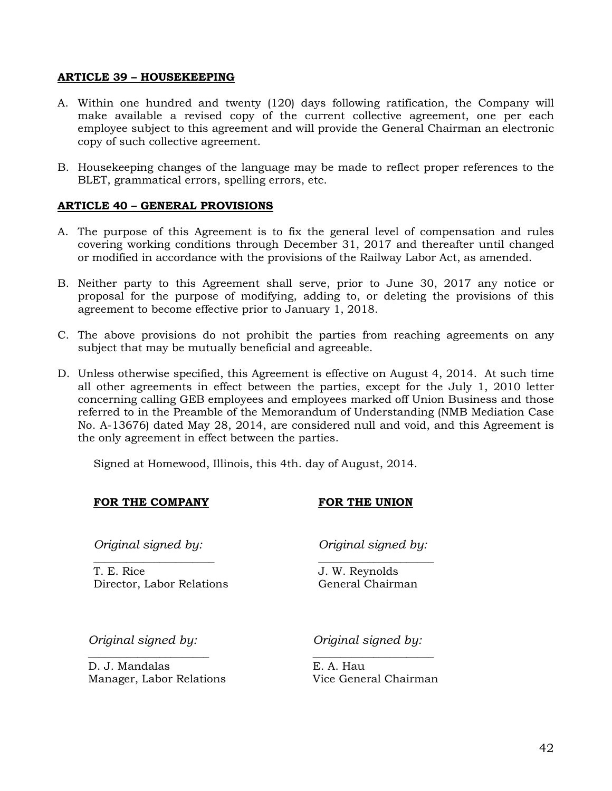#### <span id="page-43-0"></span>**ARTICLE 39 – HOUSEKEEPING**

- A. Within one hundred and twenty (120) days following ratification, the Company will make available a revised copy of the current collective agreement, one per each employee subject to this agreement and will provide the General Chairman an electronic copy of such collective agreement.
- B. Housekeeping changes of the language may be made to reflect proper references to the BLET, grammatical errors, spelling errors, etc.

#### <span id="page-43-1"></span>**ARTICLE 40 – GENERAL PROVISIONS**

- A. The purpose of this Agreement is to fix the general level of compensation and rules covering working conditions through December 31, 2017 and thereafter until changed or modified in accordance with the provisions of the Railway Labor Act, as amended.
- B. Neither party to this Agreement shall serve, prior to June 30, 2017 any notice or proposal for the purpose of modifying, adding to, or deleting the provisions of this agreement to become effective prior to January 1, 2018.
- C. The above provisions do not prohibit the parties from reaching agreements on any subject that may be mutually beneficial and agreeable.
- D. Unless otherwise specified, this Agreement is effective on August 4, 2014. At such time all other agreements in effect between the parties, except for the July 1, 2010 letter concerning calling GEB employees and employees marked off Union Business and those referred to in the Preamble of the Memorandum of Understanding (NMB Mediation Case No. A-13676) dated May 28, 2014, are considered null and void, and this Agreement is the only agreement in effect between the parties.

Signed at Homewood, Illinois, this 4th. day of August, 2014.

### **FOR THE COMPANY FOR THE UNION**

*Original signed by:*

\_\_\_\_\_\_\_\_\_\_\_\_\_\_\_\_\_\_\_\_\_\_ T. E. Rice Director, Labor Relations *Original signed by:* \_\_\_\_\_\_\_\_\_\_\_\_\_\_\_\_\_\_\_\_\_

J. W. Reynolds General Chairman

*Original signed by: Original signed by:*

D. J. Mandalas E. A. Hau Manager, Labor Relations Vice General Chairman

\_\_\_\_\_\_\_\_\_\_\_\_\_\_\_\_\_\_\_\_\_\_ \_\_\_\_\_\_\_\_\_\_\_\_\_\_\_\_\_\_\_\_\_\_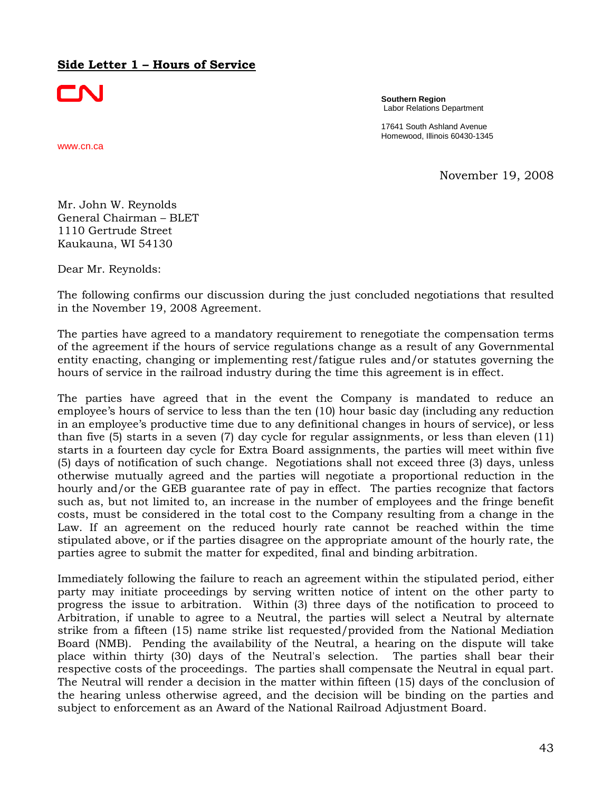## <span id="page-44-0"></span>**Side Letter 1 – Hours of Service**

CNI

**Southern Region** Labor Relations Department

17641 South Ashland Avenue Homewood, Illinois 60430-1345

www.cn.ca

November 19, 2008

Mr. John W. Reynolds General Chairman – BLET 1110 Gertrude Street Kaukauna, WI 54130

Dear Mr. Reynolds:

The following confirms our discussion during the just concluded negotiations that resulted in the November 19, 2008 Agreement.

The parties have agreed to a mandatory requirement to renegotiate the compensation terms of the agreement if the hours of service regulations change as a result of any Governmental entity enacting, changing or implementing rest/fatigue rules and/or statutes governing the hours of service in the railroad industry during the time this agreement is in effect.

The parties have agreed that in the event the Company is mandated to reduce an employee's hours of service to less than the ten (10) hour basic day (including any reduction in an employee's productive time due to any definitional changes in hours of service), or less than five (5) starts in a seven (7) day cycle for regular assignments, or less than eleven (11) starts in a fourteen day cycle for Extra Board assignments, the parties will meet within five (5) days of notification of such change. Negotiations shall not exceed three (3) days, unless otherwise mutually agreed and the parties will negotiate a proportional reduction in the hourly and/or the GEB guarantee rate of pay in effect. The parties recognize that factors such as, but not limited to, an increase in the number of employees and the fringe benefit costs, must be considered in the total cost to the Company resulting from a change in the Law. If an agreement on the reduced hourly rate cannot be reached within the time stipulated above, or if the parties disagree on the appropriate amount of the hourly rate, the parties agree to submit the matter for expedited, final and binding arbitration.

Immediately following the failure to reach an agreement within the stipulated period, either party may initiate proceedings by serving written notice of intent on the other party to progress the issue to arbitration. Within (3) three days of the notification to proceed to Arbitration, if unable to agree to a Neutral, the parties will select a Neutral by alternate strike from a fifteen (15) name strike list requested/provided from the National Mediation Board (NMB). Pending the availability of the Neutral, a hearing on the dispute will take place within thirty (30) days of the Neutral's selection. The parties shall bear their respective costs of the proceedings. The parties shall compensate the Neutral in equal part. The Neutral will render a decision in the matter within fifteen (15) days of the conclusion of the hearing unless otherwise agreed, and the decision will be binding on the parties and subject to enforcement as an Award of the National Railroad Adjustment Board.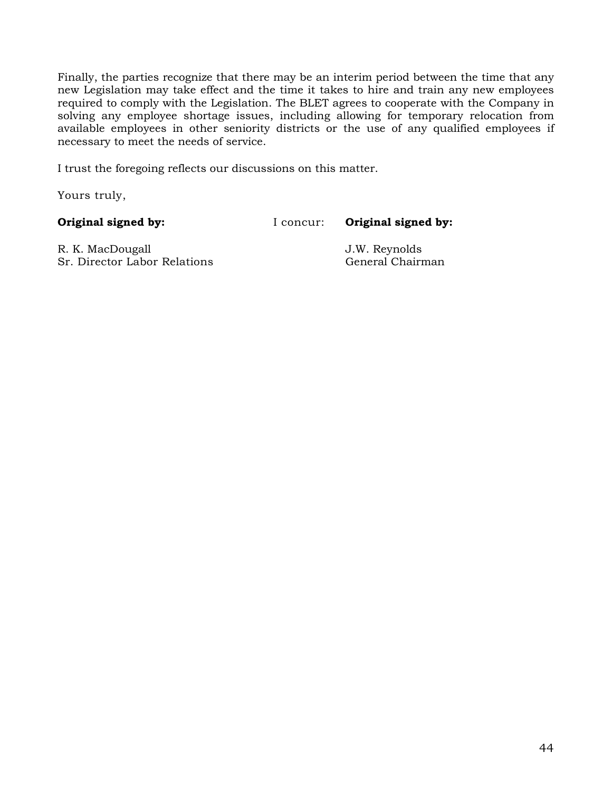Finally, the parties recognize that there may be an interim period between the time that any new Legislation may take effect and the time it takes to hire and train any new employees required to comply with the Legislation. The BLET agrees to cooperate with the Company in solving any employee shortage issues, including allowing for temporary relocation from available employees in other seniority districts or the use of any qualified employees if necessary to meet the needs of service.

I trust the foregoing reflects our discussions on this matter.

Yours truly,

**Original signed by:** I concur: **Original signed by:** 

R. K. MacDougall J.W. Reynolds Sr. Director Labor Relations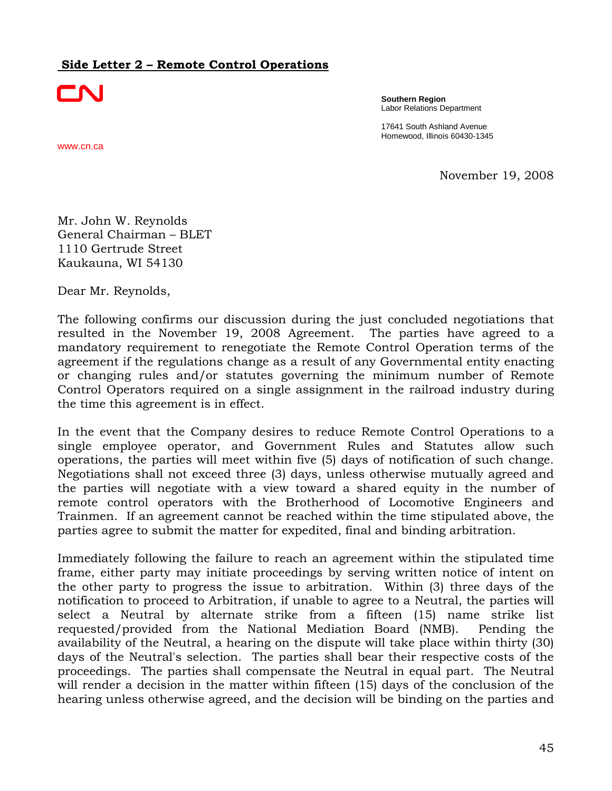## <span id="page-46-0"></span>**Side Letter 2 – Remote Control Operations**



www.cn.ca

**Southern Region** Labor Relations Department

17641 South Ashland Avenue Homewood, Illinois 60430-1345

November 19, 2008

Mr. John W. Reynolds General Chairman – BLET 1110 Gertrude Street Kaukauna, WI 54130

Dear Mr. Reynolds,

The following confirms our discussion during the just concluded negotiations that resulted in the November 19, 2008 Agreement. The parties have agreed to a mandatory requirement to renegotiate the Remote Control Operation terms of the agreement if the regulations change as a result of any Governmental entity enacting or changing rules and/or statutes governing the minimum number of Remote Control Operators required on a single assignment in the railroad industry during the time this agreement is in effect.

In the event that the Company desires to reduce Remote Control Operations to a single employee operator, and Government Rules and Statutes allow such operations, the parties will meet within five (5) days of notification of such change. Negotiations shall not exceed three (3) days, unless otherwise mutually agreed and the parties will negotiate with a view toward a shared equity in the number of remote control operators with the Brotherhood of Locomotive Engineers and Trainmen. If an agreement cannot be reached within the time stipulated above, the parties agree to submit the matter for expedited, final and binding arbitration.

Immediately following the failure to reach an agreement within the stipulated time frame, either party may initiate proceedings by serving written notice of intent on the other party to progress the issue to arbitration. Within (3) three days of the notification to proceed to Arbitration, if unable to agree to a Neutral, the parties will select a Neutral by alternate strike from a fifteen (15) name strike list requested/provided from the National Mediation Board (NMB). Pending the availability of the Neutral, a hearing on the dispute will take place within thirty (30) days of the Neutral's selection. The parties shall bear their respective costs of the proceedings. The parties shall compensate the Neutral in equal part. The Neutral will render a decision in the matter within fifteen (15) days of the conclusion of the hearing unless otherwise agreed, and the decision will be binding on the parties and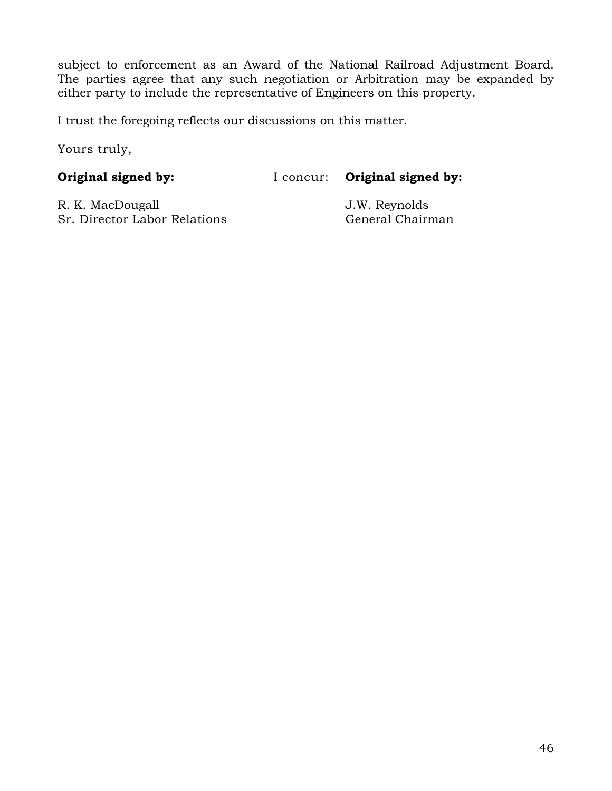subject to enforcement as an Award of the National Railroad Adjustment Board. The parties agree that any such negotiation or Arbitration may be expanded by either party to include the representative of Engineers on this property.

I trust the foregoing reflects our discussions on this matter.

Yours truly,

**Original signed by:** I concur: **Original signed by:**

R. K. MacDougall J.W. Reynolds Sr. Director Labor Relations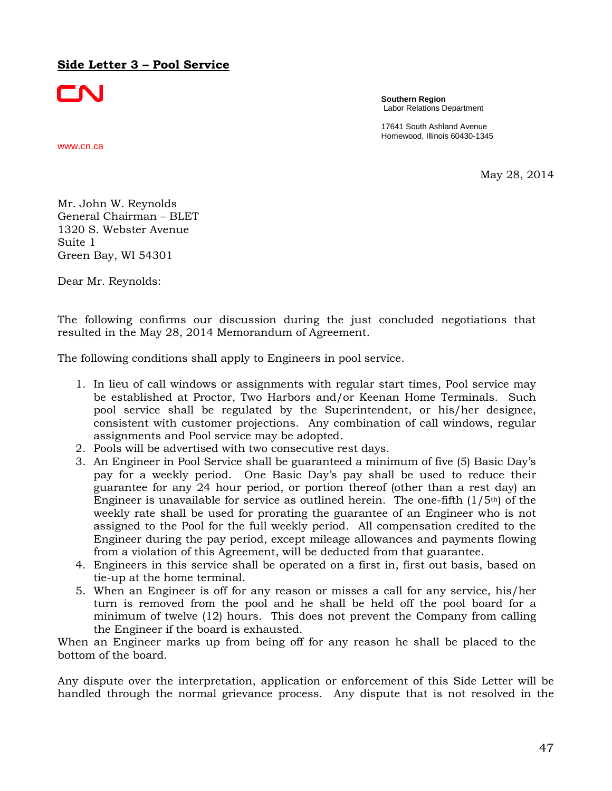## <span id="page-48-0"></span>**Side Letter 3 – Pool Service**



**Southern Region** Labor Relations Department

17641 South Ashland Avenue Homewood, Illinois 60430-1345

www.cn.ca

May 28, 2014

Mr. John W. Reynolds General Chairman – BLET 1320 S. Webster Avenue Suite 1 Green Bay, WI 54301

Dear Mr. Reynolds:

The following confirms our discussion during the just concluded negotiations that resulted in the May 28, 2014 Memorandum of Agreement.

The following conditions shall apply to Engineers in pool service.

- 1. In lieu of call windows or assignments with regular start times, Pool service may be established at Proctor, Two Harbors and/or Keenan Home Terminals. Such pool service shall be regulated by the Superintendent, or his/her designee, consistent with customer projections. Any combination of call windows, regular assignments and Pool service may be adopted.
- 2. Pools will be advertised with two consecutive rest days.
- 3. An Engineer in Pool Service shall be guaranteed a minimum of five (5) Basic Day's pay for a weekly period. One Basic Day's pay shall be used to reduce their guarantee for any 24 hour period, or portion thereof (other than a rest day) an Engineer is unavailable for service as outlined herein. The one-fifth  $(1/5<sup>th</sup>)$  of the weekly rate shall be used for prorating the guarantee of an Engineer who is not assigned to the Pool for the full weekly period. All compensation credited to the Engineer during the pay period, except mileage allowances and payments flowing from a violation of this Agreement, will be deducted from that guarantee.
- 4. Engineers in this service shall be operated on a first in, first out basis, based on tie-up at the home terminal.
- 5. When an Engineer is off for any reason or misses a call for any service, his/her turn is removed from the pool and he shall be held off the pool board for a minimum of twelve (12) hours. This does not prevent the Company from calling the Engineer if the board is exhausted.

When an Engineer marks up from being off for any reason he shall be placed to the bottom of the board.

Any dispute over the interpretation, application or enforcement of this Side Letter will be handled through the normal grievance process. Any dispute that is not resolved in the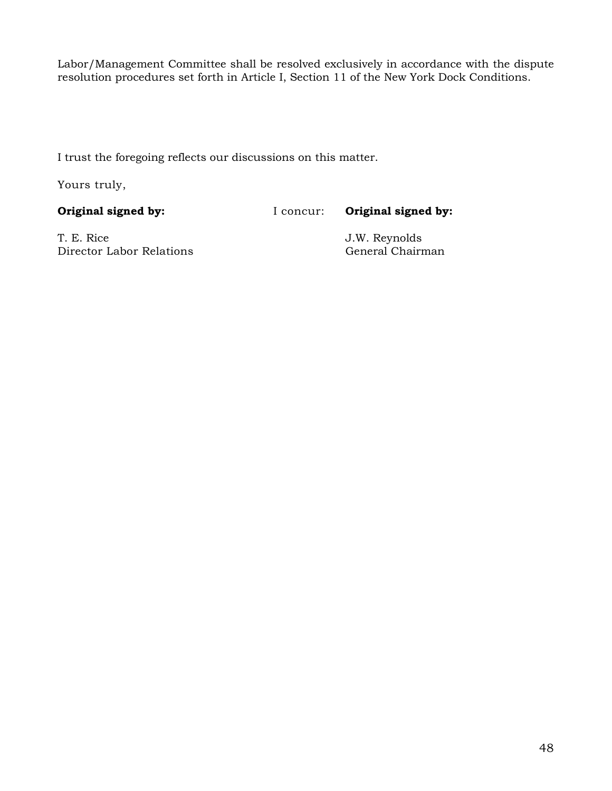Labor/Management Committee shall be resolved exclusively in accordance with the dispute resolution procedures set forth in Article I, Section 11 of the New York Dock Conditions.

I trust the foregoing reflects our discussions on this matter.

Yours truly,

**Original signed by:** I concur: **Original signed by:** 

T. E. Rice<br>Director Labor Relations<br>Director Labor Relations<br>General Chairman Director Labor Relations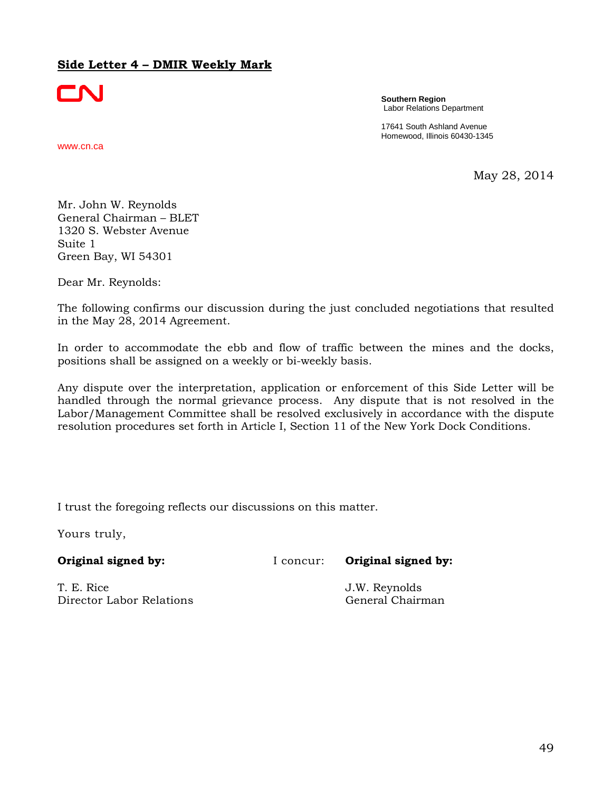## <span id="page-50-0"></span>**Side Letter 4 – DMIR Weekly Mark**



**Southern Region** Labor Relations Department

17641 South Ashland Avenue Homewood, Illinois 60430-1345

www.cn.ca

May 28, 2014

Mr. John W. Reynolds General Chairman – BLET 1320 S. Webster Avenue Suite 1 Green Bay, WI 54301

Dear Mr. Reynolds:

The following confirms our discussion during the just concluded negotiations that resulted in the May 28, 2014 Agreement.

In order to accommodate the ebb and flow of traffic between the mines and the docks, positions shall be assigned on a weekly or bi-weekly basis.

Any dispute over the interpretation, application or enforcement of this Side Letter will be handled through the normal grievance process. Any dispute that is not resolved in the Labor/Management Committee shall be resolved exclusively in accordance with the dispute resolution procedures set forth in Article I, Section 11 of the New York Dock Conditions.

I trust the foregoing reflects our discussions on this matter.

Yours truly,

**Original signed by:** I concur: **Original signed by:** 

T. E. Rice J.W. Reynolds Director Labor Relations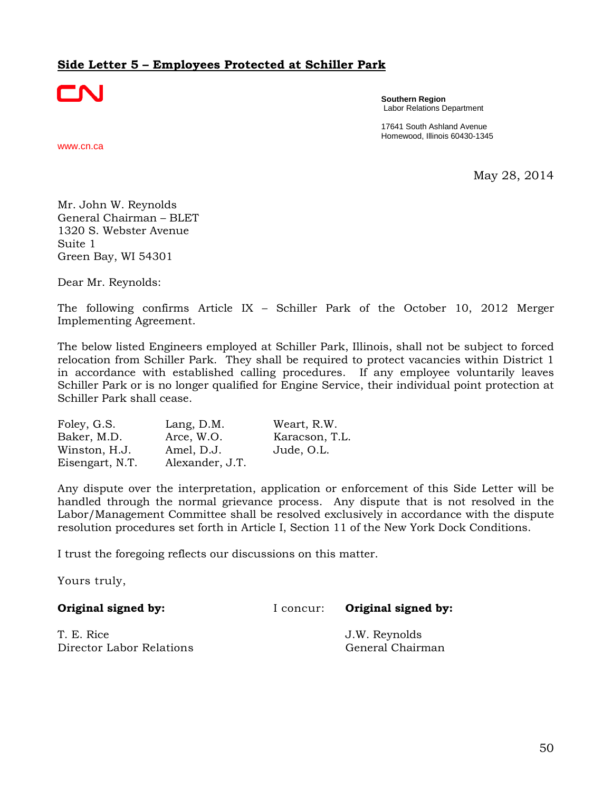## <span id="page-51-0"></span>**Side Letter 5 – Employees Protected at Schiller Park**



**Southern Region** Labor Relations Department

17641 South Ashland Avenue Homewood, Illinois 60430-1345

www.cn.ca

May 28, 2014

Mr. John W. Reynolds General Chairman – BLET 1320 S. Webster Avenue Suite 1 Green Bay, WI 54301

Dear Mr. Reynolds:

The following confirms Article IX – Schiller Park of the October 10, 2012 Merger Implementing Agreement.

The below listed Engineers employed at Schiller Park, Illinois, shall not be subject to forced relocation from Schiller Park. They shall be required to protect vacancies within District 1 in accordance with established calling procedures. If any employee voluntarily leaves Schiller Park or is no longer qualified for Engine Service, their individual point protection at Schiller Park shall cease.

| Foley, G.S.     | Lang, D.M.      | Weart, R.W.    |
|-----------------|-----------------|----------------|
| Baker, M.D.     | Arce, W.O.      | Karacson, T.L. |
| Winston, H.J.   | Amel, D.J.      | Jude, O.L.     |
| Eisengart, N.T. | Alexander, J.T. |                |

Any dispute over the interpretation, application or enforcement of this Side Letter will be handled through the normal grievance process. Any dispute that is not resolved in the Labor/Management Committee shall be resolved exclusively in accordance with the dispute resolution procedures set forth in Article I, Section 11 of the New York Dock Conditions.

I trust the foregoing reflects our discussions on this matter.

Yours truly,

**Original signed by:** I concur: **Original signed by:** T. E. Rice J.W. Reynolds

Director Labor Relations **General Chairman**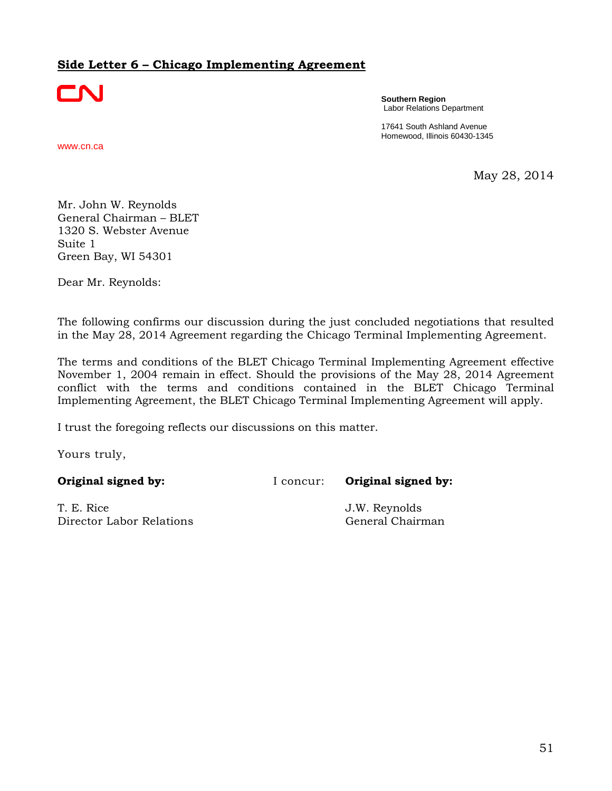# <span id="page-52-0"></span>**Side Letter 6 – Chicago Implementing Agreement**



**Southern Region** Labor Relations Department

17641 South Ashland Avenue Homewood, Illinois 60430-1345

www.cn.ca

May 28, 2014

Mr. John W. Reynolds General Chairman – BLET 1320 S. Webster Avenue Suite 1 Green Bay, WI 54301

Dear Mr. Reynolds:

The following confirms our discussion during the just concluded negotiations that resulted in the May 28, 2014 Agreement regarding the Chicago Terminal Implementing Agreement.

The terms and conditions of the BLET Chicago Terminal Implementing Agreement effective November 1, 2004 remain in effect. Should the provisions of the May 28, 2014 Agreement conflict with the terms and conditions contained in the BLET Chicago Terminal Implementing Agreement, the BLET Chicago Terminal Implementing Agreement will apply.

I trust the foregoing reflects our discussions on this matter.

Yours truly,

T. E. Rice J.W. Reynolds Director Labor Relations **General Chairman**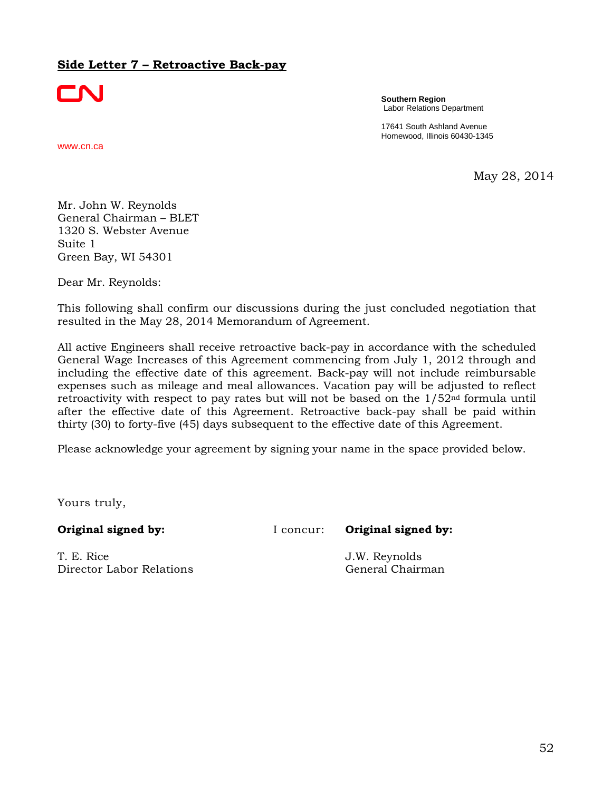## <span id="page-53-0"></span>**Side Letter 7 – Retroactive Back-pay**



**Southern Region** Labor Relations Department

17641 South Ashland Avenue Homewood, Illinois 60430-1345

www.cn.ca

May 28, 2014

Mr. John W. Reynolds General Chairman – BLET 1320 S. Webster Avenue Suite 1 Green Bay, WI 54301

Dear Mr. Reynolds:

This following shall confirm our discussions during the just concluded negotiation that resulted in the May 28, 2014 Memorandum of Agreement.

All active Engineers shall receive retroactive back-pay in accordance with the scheduled General Wage Increases of this Agreement commencing from July 1, 2012 through and including the effective date of this agreement. Back-pay will not include reimbursable expenses such as mileage and meal allowances. Vacation pay will be adjusted to reflect retroactivity with respect to pay rates but will not be based on the  $1/52<sup>nd</sup>$  formula until after the effective date of this Agreement. Retroactive back-pay shall be paid within thirty (30) to forty-five (45) days subsequent to the effective date of this Agreement.

Please acknowledge your agreement by signing your name in the space provided below.

Yours truly,

T. E. Rice J.W. Reynolds Director Labor Relations and General Chairman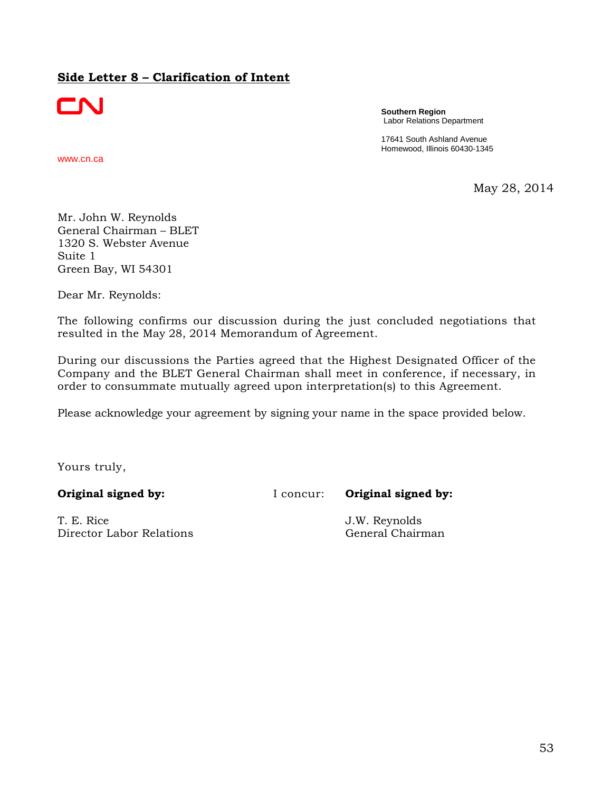## <span id="page-54-0"></span>**Side Letter 8 – Clarification of Intent**



www.cn.ca

**Southern Region** Labor Relations Department

17641 South Ashland Avenue Homewood, Illinois 60430-1345

May 28, 2014

Mr. John W. Reynolds General Chairman – BLET 1320 S. Webster Avenue Suite 1 Green Bay, WI 54301

Dear Mr. Reynolds:

The following confirms our discussion during the just concluded negotiations that resulted in the May 28, 2014 Memorandum of Agreement.

During our discussions the Parties agreed that the Highest Designated Officer of the Company and the BLET General Chairman shall meet in conference, if necessary, in order to consummate mutually agreed upon interpretation(s) to this Agreement.

Please acknowledge your agreement by signing your name in the space provided below.

Yours truly,

T. E. Rice J.W. Reynolds Director Labor Relations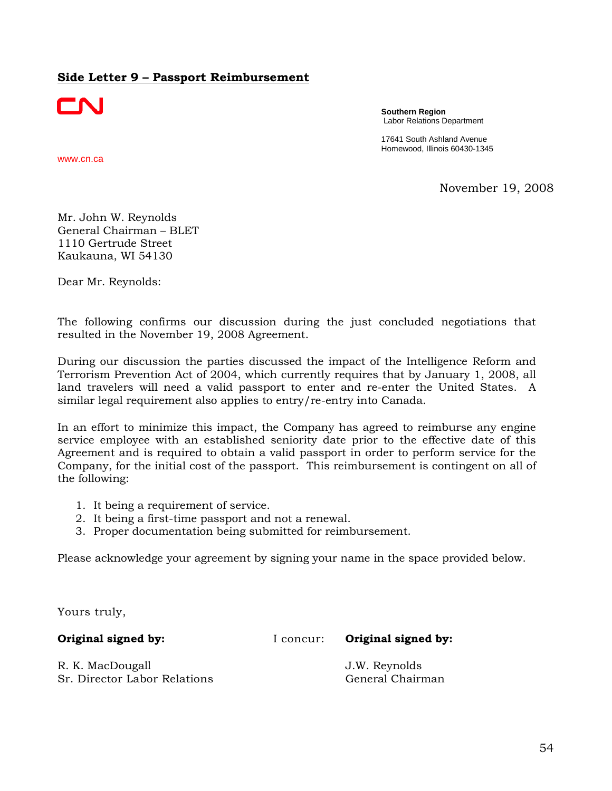### <span id="page-55-0"></span>**Side Letter 9 – Passport Reimbursement**



www.cn.ca

**Southern Region** Labor Relations Department

17641 South Ashland Avenue Homewood, Illinois 60430-1345

November 19, 2008

Mr. John W. Reynolds General Chairman – BLET 1110 Gertrude Street Kaukauna, WI 54130

Dear Mr. Reynolds:

The following confirms our discussion during the just concluded negotiations that resulted in the November 19, 2008 Agreement.

During our discussion the parties discussed the impact of the Intelligence Reform and Terrorism Prevention Act of 2004, which currently requires that by January 1, 2008, all land travelers will need a valid passport to enter and re-enter the United States. A similar legal requirement also applies to entry/re-entry into Canada.

In an effort to minimize this impact, the Company has agreed to reimburse any engine service employee with an established seniority date prior to the effective date of this Agreement and is required to obtain a valid passport in order to perform service for the Company, for the initial cost of the passport. This reimbursement is contingent on all of the following:

- 1. It being a requirement of service.
- 2. It being a first-time passport and not a renewal.
- 3. Proper documentation being submitted for reimbursement.

Please acknowledge your agreement by signing your name in the space provided below.

Yours truly,

**Original signed by:** I concur: **Original signed by:** 

R. K. MacDougall **I.W. Reynolds** Sr. Director Labor Relations (General Chairman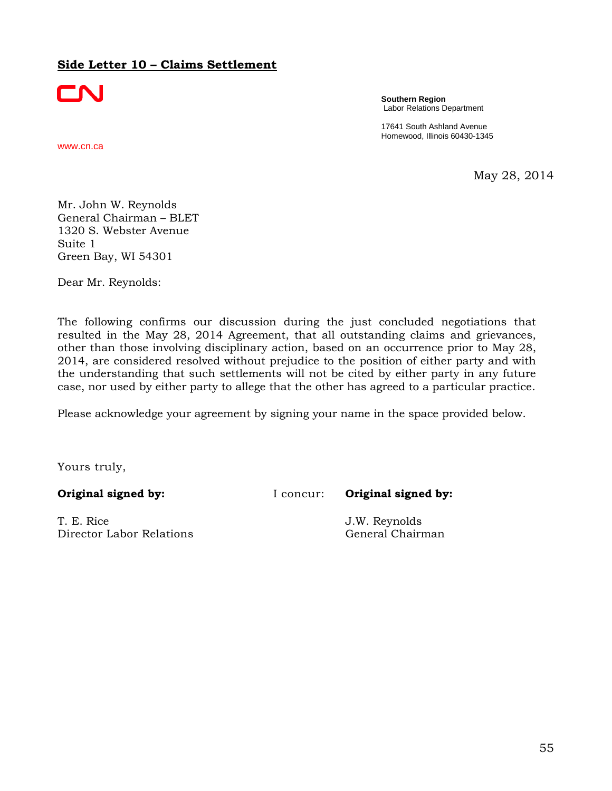## <span id="page-56-0"></span>**Side Letter 10 – Claims Settlement**



**Southern Region** Labor Relations Department

17641 South Ashland Avenue Homewood, Illinois 60430-1345

www.cn.ca

May 28, 2014

Mr. John W. Reynolds General Chairman – BLET 1320 S. Webster Avenue Suite 1 Green Bay, WI 54301

Dear Mr. Reynolds:

The following confirms our discussion during the just concluded negotiations that resulted in the May 28, 2014 Agreement, that all outstanding claims and grievances, other than those involving disciplinary action, based on an occurrence prior to May 28, 2014, are considered resolved without prejudice to the position of either party and with the understanding that such settlements will not be cited by either party in any future case, nor used by either party to allege that the other has agreed to a particular practice.

Please acknowledge your agreement by signing your name in the space provided below.

Yours truly,

T. E. Rice J.W. Reynolds Director Labor Relations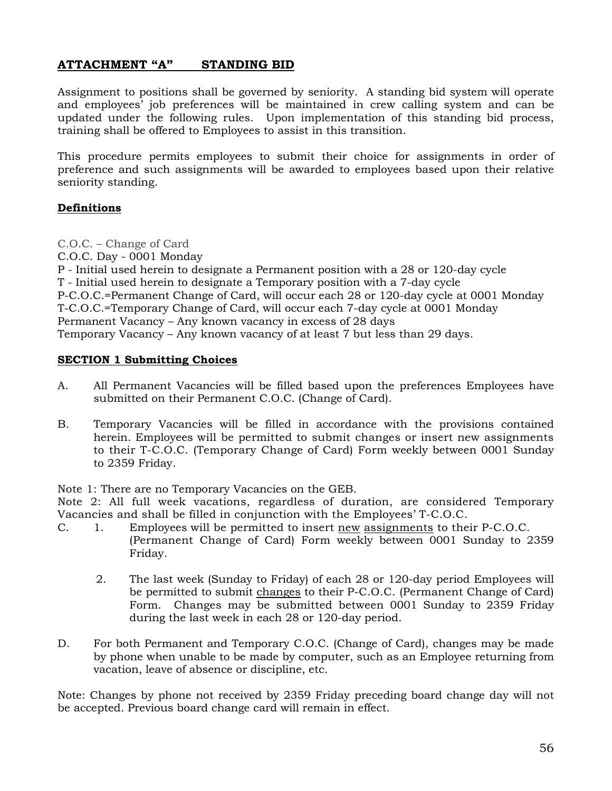## <span id="page-57-0"></span>**ATTACHMENT "A" STANDING BID**

Assignment to positions shall be governed by seniority. A standing bid system will operate and employees' job preferences will be maintained in crew calling system and can be updated under the following rules. Upon implementation of this standing bid process, training shall be offered to Employees to assist in this transition.

This procedure permits employees to submit their choice for assignments in order of preference and such assignments will be awarded to employees based upon their relative seniority standing.

### **Definitions**

C.O.C. – Change of Card

C.O.C. Day - 0001 Monday

P - Initial used herein to designate a Permanent position with a 28 or 120-day cycle T - Initial used herein to designate a Temporary position with a 7-day cycle P-C.O.C.=Permanent Change of Card, will occur each 28 or 120-day cycle at 0001 Monday T-C.O.C.=Temporary Change of Card, will occur each 7-day cycle at 0001 Monday Permanent Vacancy – Any known vacancy in excess of 28 days Temporary Vacancy – Any known vacancy of at least 7 but less than 29 days.

### **SECTION 1 Submitting Choices**

- A. All Permanent Vacancies will be filled based upon the preferences Employees have submitted on their Permanent C.O.C. (Change of Card).
- B. Temporary Vacancies will be filled in accordance with the provisions contained herein. Employees will be permitted to submit changes or insert new assignments to their T-C.O.C. (Temporary Change of Card) Form weekly between 0001 Sunday to 2359 Friday.

Note 1: There are no Temporary Vacancies on the GEB.

Note 2: All full week vacations, regardless of duration, are considered Temporary Vacancies and shall be filled in conjunction with the Employees' T-C.O.C.

- C. 1. Employees will be permitted to insert new assignments to their P-C.O.C. (Permanent Change of Card) Form weekly between 0001 Sunday to 2359 Friday.
	- 2. The last week (Sunday to Friday) of each 28 or 120-day period Employees will be permitted to submit changes to their P-C.O.C. (Permanent Change of Card) Form. Changes may be submitted between 0001 Sunday to 2359 Friday during the last week in each 28 or 120-day period.
- D. For both Permanent and Temporary C.O.C. (Change of Card), changes may be made by phone when unable to be made by computer, such as an Employee returning from vacation, leave of absence or discipline, etc.

Note: Changes by phone not received by 2359 Friday preceding board change day will not be accepted. Previous board change card will remain in effect.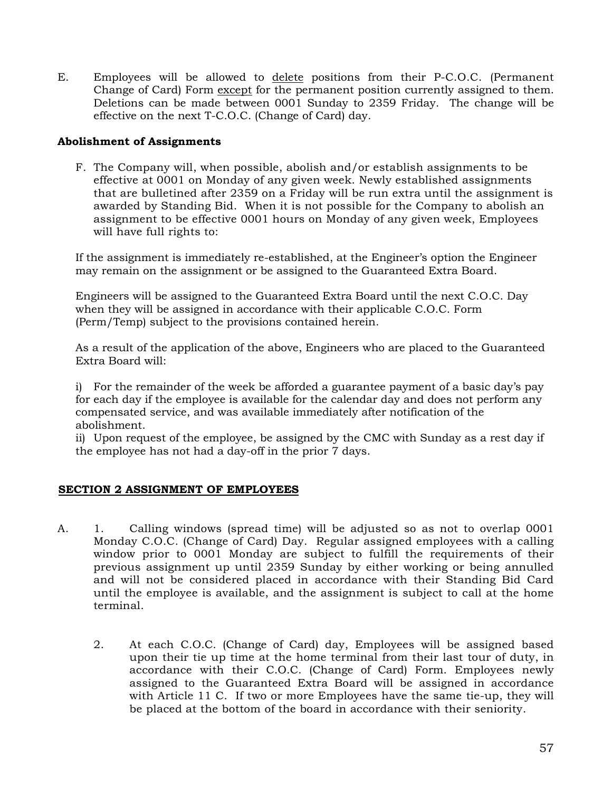E. Employees will be allowed to delete positions from their P-C.O.C. (Permanent Change of Card) Form except for the permanent position currently assigned to them. Deletions can be made between 0001 Sunday to 2359 Friday. The change will be effective on the next T-C.O.C. (Change of Card) day.

#### **Abolishment of Assignments**

F. The Company will, when possible, abolish and/or establish assignments to be effective at 0001 on Monday of any given week. Newly established assignments that are bulletined after 2359 on a Friday will be run extra until the assignment is awarded by Standing Bid. When it is not possible for the Company to abolish an assignment to be effective 0001 hours on Monday of any given week, Employees will have full rights to:

If the assignment is immediately re-established, at the Engineer's option the Engineer may remain on the assignment or be assigned to the Guaranteed Extra Board.

Engineers will be assigned to the Guaranteed Extra Board until the next C.O.C. Day when they will be assigned in accordance with their applicable C.O.C. Form (Perm/Temp) subject to the provisions contained herein.

As a result of the application of the above, Engineers who are placed to the Guaranteed Extra Board will:

i) For the remainder of the week be afforded a guarantee payment of a basic day's pay for each day if the employee is available for the calendar day and does not perform any compensated service, and was available immediately after notification of the abolishment.

ii) Upon request of the employee, be assigned by the CMC with Sunday as a rest day if the employee has not had a day-off in the prior 7 days.

### **SECTION 2 ASSIGNMENT OF EMPLOYEES**

- A. 1. Calling windows (spread time) will be adjusted so as not to overlap 0001 Monday C.O.C. (Change of Card) Day. Regular assigned employees with a calling window prior to 0001 Monday are subject to fulfill the requirements of their previous assignment up until 2359 Sunday by either working or being annulled and will not be considered placed in accordance with their Standing Bid Card until the employee is available, and the assignment is subject to call at the home terminal.
	- 2. At each C.O.C. (Change of Card) day, Employees will be assigned based upon their tie up time at the home terminal from their last tour of duty, in accordance with their C.O.C. (Change of Card) Form. Employees newly assigned to the Guaranteed Extra Board will be assigned in accordance with Article 11 C. If two or more Employees have the same tie-up, they will be placed at the bottom of the board in accordance with their seniority.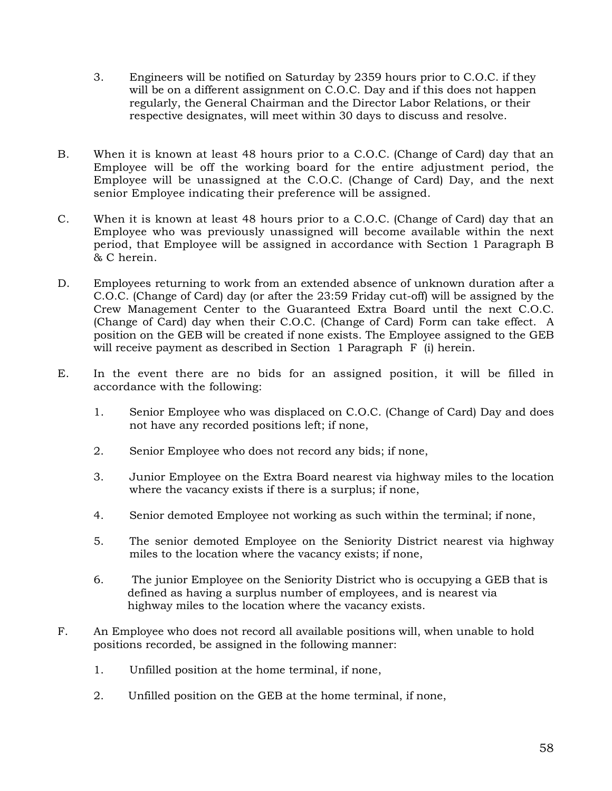- 3. Engineers will be notified on Saturday by 2359 hours prior to C.O.C. if they will be on a different assignment on C.O.C. Day and if this does not happen regularly, the General Chairman and the Director Labor Relations, or their respective designates, will meet within 30 days to discuss and resolve.
- B. When it is known at least 48 hours prior to a C.O.C. (Change of Card) day that an Employee will be off the working board for the entire adjustment period, the Employee will be unassigned at the C.O.C. (Change of Card) Day, and the next senior Employee indicating their preference will be assigned.
- C. When it is known at least 48 hours prior to a C.O.C. (Change of Card) day that an Employee who was previously unassigned will become available within the next period, that Employee will be assigned in accordance with Section 1 Paragraph B & C herein.
- D. Employees returning to work from an extended absence of unknown duration after a C.O.C. (Change of Card) day (or after the 23:59 Friday cut-off) will be assigned by the Crew Management Center to the Guaranteed Extra Board until the next C.O.C. (Change of Card) day when their C.O.C. (Change of Card) Form can take effect. A position on the GEB will be created if none exists. The Employee assigned to the GEB will receive payment as described in Section 1 Paragraph F (i) herein.
- E. In the event there are no bids for an assigned position, it will be filled in accordance with the following:
	- 1. Senior Employee who was displaced on C.O.C. (Change of Card) Day and does not have any recorded positions left; if none,
	- 2. Senior Employee who does not record any bids; if none,
	- 3. Junior Employee on the Extra Board nearest via highway miles to the location where the vacancy exists if there is a surplus; if none,
	- 4. Senior demoted Employee not working as such within the terminal; if none,
	- 5. The senior demoted Employee on the Seniority District nearest via highway miles to the location where the vacancy exists; if none,
	- 6. The junior Employee on the Seniority District who is occupying a GEB that is defined as having a surplus number of employees, and is nearest via highway miles to the location where the vacancy exists.
- F. An Employee who does not record all available positions will, when unable to hold positions recorded, be assigned in the following manner:
	- 1. Unfilled position at the home terminal, if none,
	- 2. Unfilled position on the GEB at the home terminal, if none,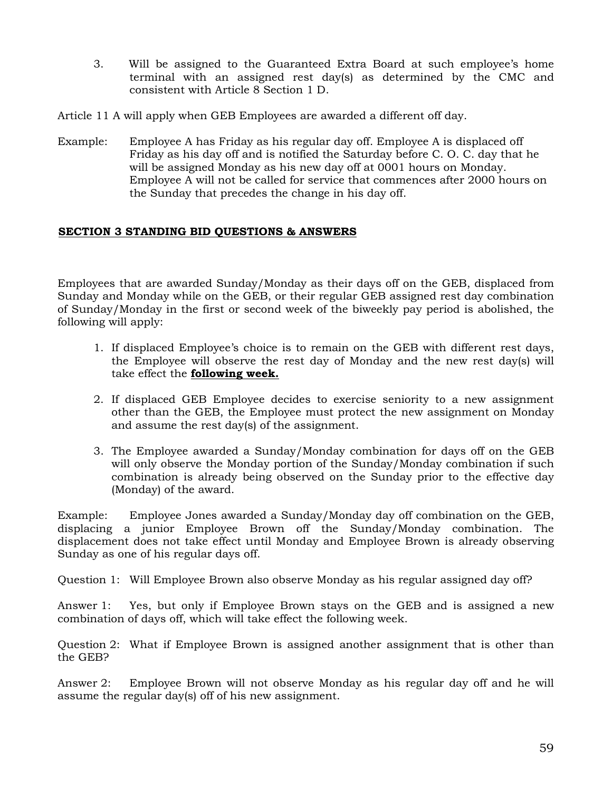3. Will be assigned to the Guaranteed Extra Board at such employee's home terminal with an assigned rest day(s) as determined by the CMC and consistent with Article 8 Section 1 D.

Article 11 A will apply when GEB Employees are awarded a different off day.

Example: Employee A has Friday as his regular day off. Employee A is displaced off Friday as his day off and is notified the Saturday before C. O. C. day that he will be assigned Monday as his new day off at 0001 hours on Monday. Employee A will not be called for service that commences after 2000 hours on the Sunday that precedes the change in his day off.

### **SECTION 3 STANDING BID QUESTIONS & ANSWERS**

Employees that are awarded Sunday/Monday as their days off on the GEB, displaced from Sunday and Monday while on the GEB, or their regular GEB assigned rest day combination of Sunday/Monday in the first or second week of the biweekly pay period is abolished, the following will apply:

- 1. If displaced Employee's choice is to remain on the GEB with different rest days, the Employee will observe the rest day of Monday and the new rest day(s) will take effect the **following week.**
- 2. If displaced GEB Employee decides to exercise seniority to a new assignment other than the GEB, the Employee must protect the new assignment on Monday and assume the rest day(s) of the assignment.
- 3. The Employee awarded a Sunday/Monday combination for days off on the GEB will only observe the Monday portion of the Sunday/Monday combination if such combination is already being observed on the Sunday prior to the effective day (Monday) of the award.

Example: Employee Jones awarded a Sunday/Monday day off combination on the GEB, displacing a junior Employee Brown off the Sunday/Monday combination. The displacement does not take effect until Monday and Employee Brown is already observing Sunday as one of his regular days off.

Question 1: Will Employee Brown also observe Monday as his regular assigned day off?

Answer 1: Yes, but only if Employee Brown stays on the GEB and is assigned a new combination of days off, which will take effect the following week.

Question 2: What if Employee Brown is assigned another assignment that is other than the GEB?

Answer 2: Employee Brown will not observe Monday as his regular day off and he will assume the regular day(s) off of his new assignment.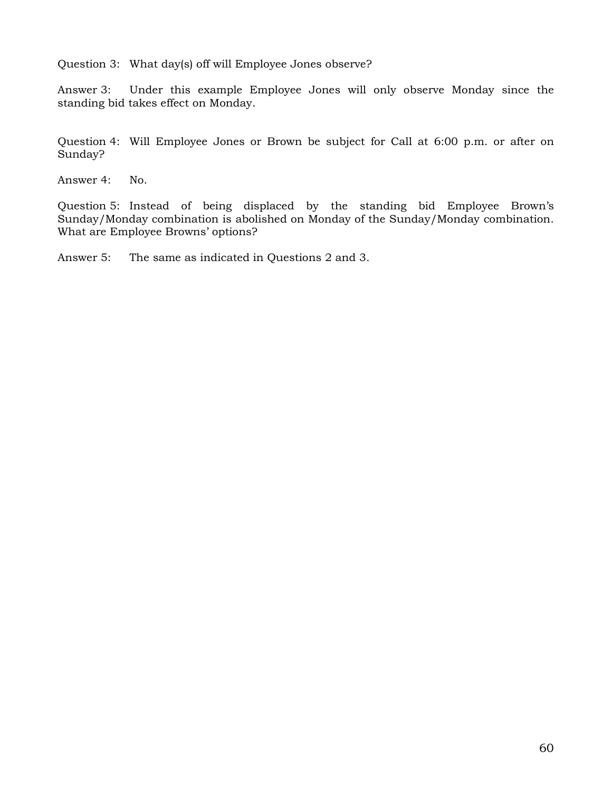Question 3: What day(s) off will Employee Jones observe?

Answer 3: Under this example Employee Jones will only observe Monday since the standing bid takes effect on Monday.

Question 4: Will Employee Jones or Brown be subject for Call at 6:00 p.m. or after on Sunday?

Answer 4: No.

Question 5: Instead of being displaced by the standing bid Employee Brown's Sunday/Monday combination is abolished on Monday of the Sunday/Monday combination. What are Employee Browns' options?

Answer 5: The same as indicated in Questions 2 and 3.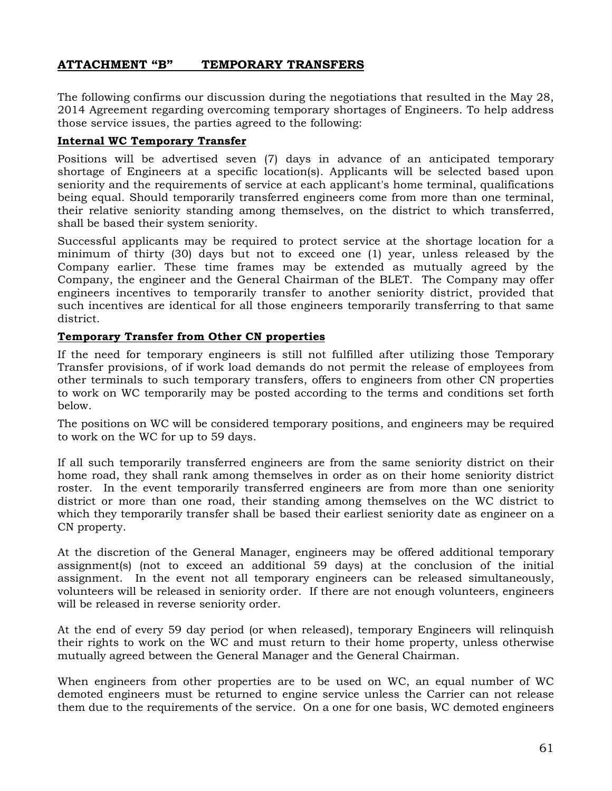## <span id="page-62-0"></span>**ATTACHMENT "B" TEMPORARY TRANSFERS**

The following confirms our discussion during the negotiations that resulted in the May 28, 2014 Agreement regarding overcoming temporary shortages of Engineers. To help address those service issues, the parties agreed to the following:

#### **Internal WC Temporary Transfer**

Positions will be advertised seven (7) days in advance of an anticipated temporary shortage of Engineers at a specific location(s). Applicants will be selected based upon seniority and the requirements of service at each applicant's home terminal, qualifications being equal. Should temporarily transferred engineers come from more than one terminal, their relative seniority standing among themselves, on the district to which transferred, shall be based their system seniority.

Successful applicants may be required to protect service at the shortage location for a minimum of thirty (30) days but not to exceed one (1) year, unless released by the Company earlier. These time frames may be extended as mutually agreed by the Company, the engineer and the General Chairman of the BLET. The Company may offer engineers incentives to temporarily transfer to another seniority district, provided that such incentives are identical for all those engineers temporarily transferring to that same district.

### **Temporary Transfer from Other CN properties**

If the need for temporary engineers is still not fulfilled after utilizing those Temporary Transfer provisions, of if work load demands do not permit the release of employees from other terminals to such temporary transfers, offers to engineers from other CN properties to work on WC temporarily may be posted according to the terms and conditions set forth below.

The positions on WC will be considered temporary positions, and engineers may be required to work on the WC for up to 59 days.

If all such temporarily transferred engineers are from the same seniority district on their home road, they shall rank among themselves in order as on their home seniority district roster. In the event temporarily transferred engineers are from more than one seniority district or more than one road, their standing among themselves on the WC district to which they temporarily transfer shall be based their earliest seniority date as engineer on a CN property.

At the discretion of the General Manager, engineers may be offered additional temporary assignment(s) (not to exceed an additional 59 days) at the conclusion of the initial assignment. In the event not all temporary engineers can be released simultaneously, volunteers will be released in seniority order. If there are not enough volunteers, engineers will be released in reverse seniority order.

At the end of every 59 day period (or when released), temporary Engineers will relinquish their rights to work on the WC and must return to their home property, unless otherwise mutually agreed between the General Manager and the General Chairman.

When engineers from other properties are to be used on WC, an equal number of WC demoted engineers must be returned to engine service unless the Carrier can not release them due to the requirements of the service. On a one for one basis, WC demoted engineers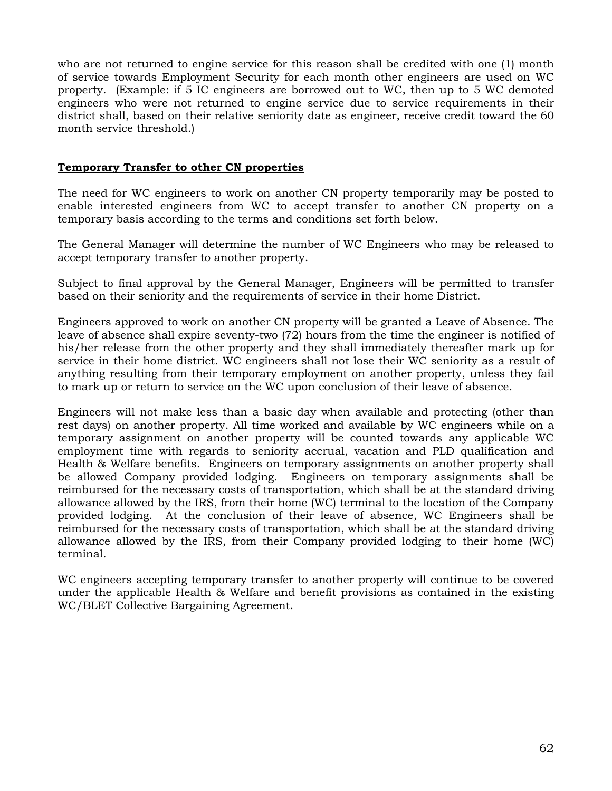who are not returned to engine service for this reason shall be credited with one (1) month of service towards Employment Security for each month other engineers are used on WC property. (Example: if 5 IC engineers are borrowed out to WC, then up to 5 WC demoted engineers who were not returned to engine service due to service requirements in their district shall, based on their relative seniority date as engineer, receive credit toward the 60 month service threshold.)

## **Temporary Transfer to other CN properties**

The need for WC engineers to work on another CN property temporarily may be posted to enable interested engineers from WC to accept transfer to another CN property on a temporary basis according to the terms and conditions set forth below.

The General Manager will determine the number of WC Engineers who may be released to accept temporary transfer to another property.

Subject to final approval by the General Manager, Engineers will be permitted to transfer based on their seniority and the requirements of service in their home District.

Engineers approved to work on another CN property will be granted a Leave of Absence. The leave of absence shall expire seventy-two (72) hours from the time the engineer is notified of his/her release from the other property and they shall immediately thereafter mark up for service in their home district. WC engineers shall not lose their WC seniority as a result of anything resulting from their temporary employment on another property, unless they fail to mark up or return to service on the WC upon conclusion of their leave of absence.

Engineers will not make less than a basic day when available and protecting (other than rest days) on another property. All time worked and available by WC engineers while on a temporary assignment on another property will be counted towards any applicable WC employment time with regards to seniority accrual, vacation and PLD qualification and Health & Welfare benefits. Engineers on temporary assignments on another property shall be allowed Company provided lodging. Engineers on temporary assignments shall be reimbursed for the necessary costs of transportation, which shall be at the standard driving allowance allowed by the IRS, from their home (WC) terminal to the location of the Company provided lodging. At the conclusion of their leave of absence, WC Engineers shall be reimbursed for the necessary costs of transportation, which shall be at the standard driving allowance allowed by the IRS, from their Company provided lodging to their home (WC) terminal.

WC engineers accepting temporary transfer to another property will continue to be covered under the applicable Health & Welfare and benefit provisions as contained in the existing WC/BLET Collective Bargaining Agreement.